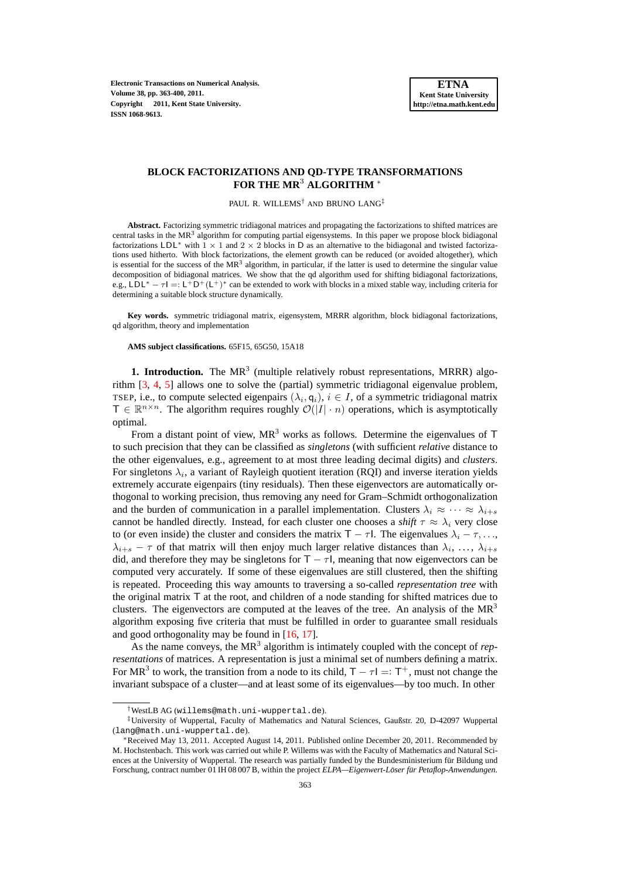**Electronic Transactions on Numerical Analysis. Volume 38, pp. 363-400, 2011. Copyright 2011, Kent State University. ISSN 1068-9613.**

# **BLOCK FACTORIZATIONS AND QD-TYPE TRANSFORMATIONS FOR THE MR**<sup>3</sup> **ALGORITHM** <sup>∗</sup>

PAUL R. WILLEMS† AND BRUNO LANG‡

**Abstract.** Factorizing symmetric tridiagonal matrices and propagating the factorizations to shifted matrices are central tasks in the MR<sup>3</sup> algorithm for computing partial eigensystems. In this paper we propose block bidiagonal factorizations LDL<sup>\*</sup> with  $1 \times 1$  and  $2 \times 2$  blocks in D as an alternative to the bidiagonal and twisted factorizations used hitherto. With block factorizations, the element growth can be reduced (or avoided altogether), which is essential for the success of the  $MR<sup>3</sup>$  algorithm, in particular, if the latter is used to determine the singular value decomposition of bidiagonal matrices. We show that the qd algorithm used for shifting bidiagonal factorizations, e.g., LDL<sup>\*</sup> –  $\tau I =: L^+D^+(L^+)^*$  can be extended to work with blocks in a mixed stable way, including criteria for determining a suitable block structure dynamically.

**Key words.** symmetric tridiagonal matrix, eigensystem, MRRR algorithm, block bidiagonal factorizations, qd algorithm, theory and implementation

**AMS subject classifications.** 65F15, 65G50, 15A18

**1. Introduction.** The  $MR<sup>3</sup>$  (multiple relatively robust representations, MRRR) algorithm [\[3,](#page-27-0) [4,](#page-27-1) [5\]](#page-27-2) allows one to solve the (partial) symmetric tridiagonal eigenvalue problem, TSEP, i.e., to compute selected eigenpairs  $(\lambda_i, \mathbf{q}_i), i \in I$ , of a symmetric tridiagonal matrix  $T \in \mathbb{R}^{n \times n}$ . The algorithm requires roughly  $\mathcal{O}(|I| \cdot n)$  operations, which is asymptotically optimal.

From a distant point of view,  $MR<sup>3</sup>$  works as follows. Determine the eigenvalues of T to such precision that they can be classified as *singletons* (with sufficient *relative* distance to the other eigenvalues, e.g., agreement to at most three leading decimal digits) and *clusters*. For singletons  $\lambda_i$ , a variant of Rayleigh quotient iteration (RQI) and inverse iteration yields extremely accurate eigenpairs (tiny residuals). Then these eigenvectors are automatically orthogonal to working precision, thus removing any need for Gram–Schmidt orthogonalization and the burden of communication in a parallel implementation. Clusters  $\lambda_i \approx \cdots \approx \lambda_{i+\epsilon}$ cannot be handled directly. Instead, for each cluster one chooses a *shift*  $\tau \approx \lambda_i$  very close to (or even inside) the cluster and considers the matrix  $T - \tau l$ . The eigenvalues  $\lambda_i - \tau, \ldots$  $\lambda_{i+s} - \tau$  of that matrix will then enjoy much larger relative distances than  $\lambda_i, \ldots, \lambda_{i+s}$ did, and therefore they may be singletons for  $T - \tau l$ , meaning that now eigenvectors can be computed very accurately. If some of these eigenvalues are still clustered, then the shifting is repeated. Proceeding this way amounts to traversing a so-called *representation tree* with the original matrix T at the root, and children of a node standing for shifted matrices due to clusters. The eigenvectors are computed at the leaves of the tree. An analysis of the  $MR<sup>3</sup>$ algorithm exposing five criteria that must be fulfilled in order to guarantee small residuals and good orthogonality may be found in [\[16,](#page-27-3) [17\]](#page-27-4).

As the name conveys, the  $MR<sup>3</sup>$  algorithm is intimately coupled with the concept of *representations* of matrices. A representation is just a minimal set of numbers defining a matrix. For MR<sup>3</sup> to work, the transition from a node to its child,  $T - \tau l = T^+$ , must not change the invariant subspace of a cluster—and at least some of its eigenvalues—by too much. In other

<sup>†</sup>WestLB AG (willems@math.uni-wuppertal.de).

<sup>‡</sup>University of Wuppertal, Faculty of Mathematics and Natural Sciences, Gaußstr. 20, D-42097 Wuppertal (lang@math.uni-wuppertal.de).

<sup>∗</sup>Received May 13, 2011. Accepted August 14, 2011. Published online December 20, 2011. Recommended by M. Hochstenbach. This work was carried out while P. Willems was with the Faculty of Mathematics and Natural Sciences at the University of Wuppertal. The research was partially funded by the Bundesministerium für Bildung und Forschung, contract number 01 IH 08 007 B, within the project *ELPA—Eigenwert-Löser für Petaflop-Anwendungen*.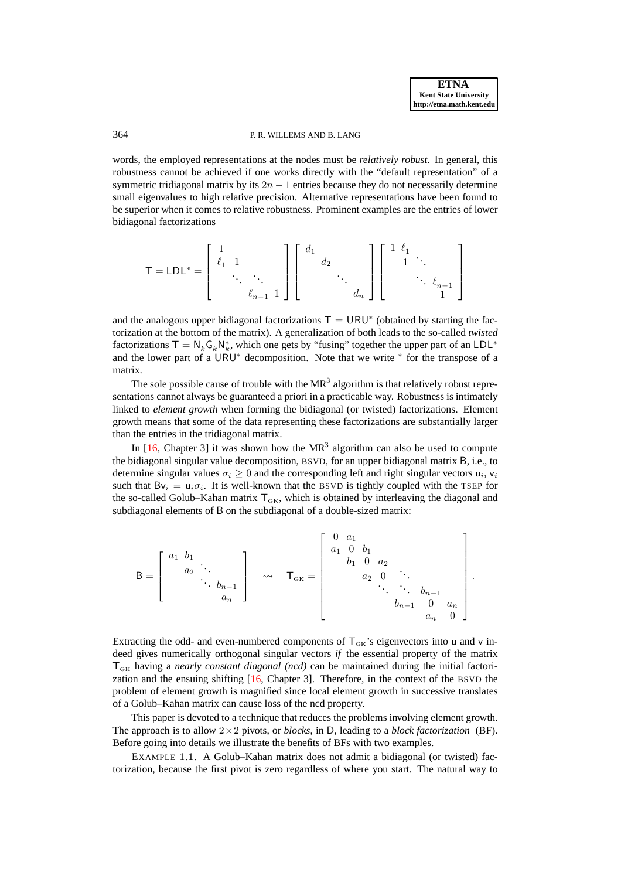# 364 P. R. WILLEMS AND B. LANG

words, the employed representations at the nodes must be *relatively robust*. In general, this robustness cannot be achieved if one works directly with the "default representation" of a symmetric tridiagonal matrix by its  $2n - 1$  entries because they do not necessarily determine small eigenvalues to high relative precision. Alternative representations have been found to be superior when it comes to relative robustness. Prominent examples are the entries of lower bidiagonal factorizations

$$
\mathsf{T}=\mathsf{LDL}^*=\left[\begin{array}{ccc}1\\ \ell_1 & 1\\ & \ddots & \ddots\\ & & \ell_{n-1} & 1\end{array}\right]\left[\begin{array}{ccc}d_1\\ & d_2\\ & \ddots\\ & & d_n\end{array}\right]\left[\begin{array}{ccc}1&\ell_1\\ & 1&\ddots\\ & & \ddots\\ & & & 1\end{array}\right]
$$

and the analogous upper bidiagonal factorizations  $T = \text{URU}^*$  (obtained by starting the factorization at the bottom of the matrix). A generalization of both leads to the so-called *twisted* factorizations  $T = N_k G_k N_k^*$ , which one gets by "fusing" together the upper part of an LDL<sup>\*</sup> and the lower part of a URU<sup>∗</sup> decomposition. Note that we write <sup>∗</sup> for the transpose of a matrix.

The sole possible cause of trouble with the  $MR<sup>3</sup>$  algorithm is that relatively robust representations cannot always be guaranteed a priori in a practicable way. Robustness is intimately linked to *element growth* when forming the bidiagonal (or twisted) factorizations. Element growth means that some of the data representing these factorizations are substantially larger than the entries in the tridiagonal matrix.

In  $[16,$  Chapter 3] it was shown how the MR<sup>3</sup> algorithm can also be used to compute the bidiagonal singular value decomposition, BSVD, for an upper bidiagonal matrix B, i.e., to determine singular values  $\sigma_i \geq 0$  and the corresponding left and right singular vectors  $u_i$ ,  $v_i$ such that  $Bv_i = u_i \sigma_i$ . It is well-known that the BSVD is tightly coupled with the TSEP for the so-called Golub–Kahan matrix  $T_{\text{GK}}$ , which is obtained by interleaving the diagonal and subdiagonal elements of B on the subdiagonal of a double-sized matrix:

$$
B = \begin{bmatrix} a_1 & b_1 & & & \\ & a_2 & \ddots & & \\ & & \ddots & b_{n-1} & \\ & & & a_n \end{bmatrix} \quad \leadsto \quad \mathsf{T}_{\mathrm{GK}} = \begin{bmatrix} 0 & a_1 & & & & \\ & a_1 & 0 & b_1 & & & \\ & & b_1 & 0 & a_2 & & \\ & & & a_2 & 0 & \ddots & \\ & & & & \ddots & \ddots & b_{n-1} & \\ & & & & & b_{n-1} & 0 & a_n \\ & & & & & & a_n & 0 \end{bmatrix}.
$$

Extracting the odd- and even-numbered components of  $T_{GK}$ 's eigenvectors into u and v indeed gives numerically orthogonal singular vectors *if* the essential property of the matrix TGK having a *nearly constant diagonal (ncd)* can be maintained during the initial factorization and the ensuing shifting [\[16,](#page-27-3) Chapter 3]. Therefore, in the context of the BSVD the problem of element growth is magnified since local element growth in successive translates of a Golub–Kahan matrix can cause loss of the ncd property.

This paper is devoted to a technique that reduces the problems involving element growth. The approach is to allow  $2 \times 2$  pivots, or *blocks*, in D, leading to a *block factorization* (BF). Before going into details we illustrate the benefits of BFs with two examples.

<span id="page-1-0"></span>EXAMPLE 1.1. A Golub–Kahan matrix does not admit a bidiagonal (or twisted) factorization, because the first pivot is zero regardless of where you start. The natural way to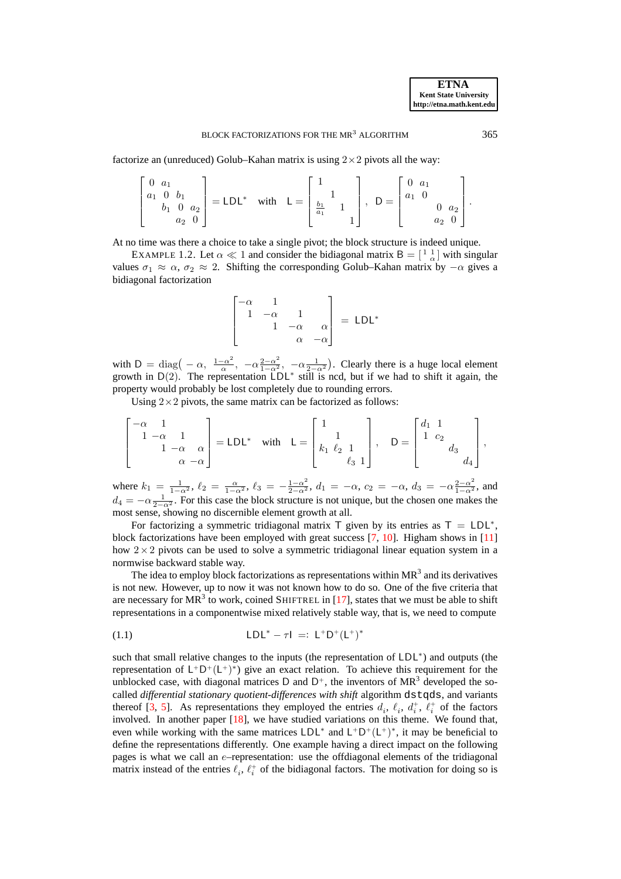factorize an (unreduced) Golub–Kahan matrix is using  $2 \times 2$  pivots all the way:

$$
\begin{bmatrix} 0 & a_1 \\ a_1 & 0 & b_1 \\ b_1 & 0 & a_2 \\ a_2 & 0 \end{bmatrix} = \mathsf{LDL}^* \quad \text{with} \quad \mathsf{L} = \begin{bmatrix} 1 \\ 1 \\ \frac{b_1}{a_1} & 1 \\ 1 \end{bmatrix}, \quad \mathsf{D} = \begin{bmatrix} 0 & a_1 \\ a_1 & 0 \\ 0 & a_2 \\ a_2 & 0 \end{bmatrix}.
$$

<span id="page-2-1"></span>At no time was there a choice to take a single pivot; the block structure is indeed unique.

EXAMPLE 1.2. Let  $\alpha \ll 1$  and consider the bidiagonal matrix  $B = \begin{bmatrix} 1 & 1 \\ 0 & \alpha \end{bmatrix}$  with singular values  $\sigma_1 \approx \alpha$ ,  $\sigma_2 \approx 2$ . Shifting the corresponding Golub–Kahan matrix by  $-\alpha$  gives a bidiagonal factorization

$$
\begin{bmatrix} -\alpha & 1 \\ 1 & -\alpha & 1 \\ & 1 & -\alpha & \alpha \\ & & \alpha & -\alpha \end{bmatrix} = LDL^*
$$

with  $D = \text{diag}(-\alpha, \frac{1-\alpha^2}{\alpha})$  $\frac{-\alpha^2}{\alpha}$ ,  $-\alpha \frac{2-\alpha^2}{1-\alpha^2}$ ,  $-\alpha \frac{1}{2-\alpha^2}$ ). Clearly there is a huge local element growth in  $D(2)$ . The representation  $LDL^*$  still is ncd, but if we had to shift it again, the property would probably be lost completely due to rounding errors.

Using  $2 \times 2$  pivots, the same matrix can be factorized as follows:

$$
\begin{bmatrix} -\alpha & 1 \\ 1 & -\alpha & 1 \\ & 1 & -\alpha & \alpha \\ & & \alpha & -\alpha \end{bmatrix} = LDL^* \text{ with } L = \begin{bmatrix} 1 & & \\ 1 & & \\ k_1 & \ell_2 & 1 \\ & & \ell_3 & 1 \end{bmatrix}, \quad D = \begin{bmatrix} d_1 & 1 & & \\ 1 & c_2 & & \\ & & d_3 & \\ & & & d_4 \end{bmatrix},
$$

where  $k_1 = \frac{1}{1-\alpha^2}$ ,  $\ell_2 = \frac{\alpha}{1-\alpha^2}$ ,  $\ell_3 = -\frac{1-\alpha^2}{2-\alpha^2}$ ,  $d_1 = -\alpha$ ,  $c_2 = -\alpha$ ,  $d_3 = -\alpha \frac{2-\alpha^2}{1-\alpha^2}$ , and  $d_4 = -\alpha \frac{1}{2-\alpha^2}$ . For this case the block structure is not unique, but the chosen one makes the most sense, showing no discernible element growth at all.

For factorizing a symmetric tridiagonal matrix  $\top$  given by its entries as  $\top = LDL^*$ , block factorizations have been employed with great success [\[7,](#page-27-5) [10\]](#page-27-6). Higham shows in [\[11\]](#page-27-7) how  $2 \times 2$  pivots can be used to solve a symmetric tridiagonal linear equation system in a normwise backward stable way.

The idea to employ block factorizations as representations within  $MR<sup>3</sup>$  and its derivatives is not new. However, up to now it was not known how to do so. One of the five criteria that are necessary for MR<sup>3</sup> to work, coined SHIFTREL in [\[17\]](#page-27-4), states that we must be able to shift representations in a componentwise mixed relatively stable way, that is, we need to compute

<span id="page-2-0"></span>(1.1) 
$$
LDL^* - \tau I =: L^+D^+(L^+)^*
$$

such that small relative changes to the inputs (the representation of LDL<sup>\*</sup>) and outputs (the representation of  $L^+D^+(L^+)^*$ ) give an exact relation. To achieve this requirement for the unblocked case, with diagonal matrices D and  $D^+$ , the inventors of MR<sup>3</sup> developed the socalled *differential stationary quotient-differences with shift* algorithm dstqds, and variants thereof [\[3,](#page-27-0) [5\]](#page-27-2). As representations they employed the entries  $d_i$ ,  $\ell_i$ ,  $d_i^+$ ,  $\ell_i^+$  of the factors involved. In another paper  $[18]$ , we have studied variations on this theme. We found that, even while working with the same matrices  $LDL^*$  and  $L^+D^+(L^+)^*$ , it may be beneficial to define the representations differently. One example having a direct impact on the following pages is what we call an e–representation: use the offdiagonal elements of the tridiagonal matrix instead of the entries  $\ell_i$ ,  $\ell_i^+$  of the bidiagonal factors. The motivation for doing so is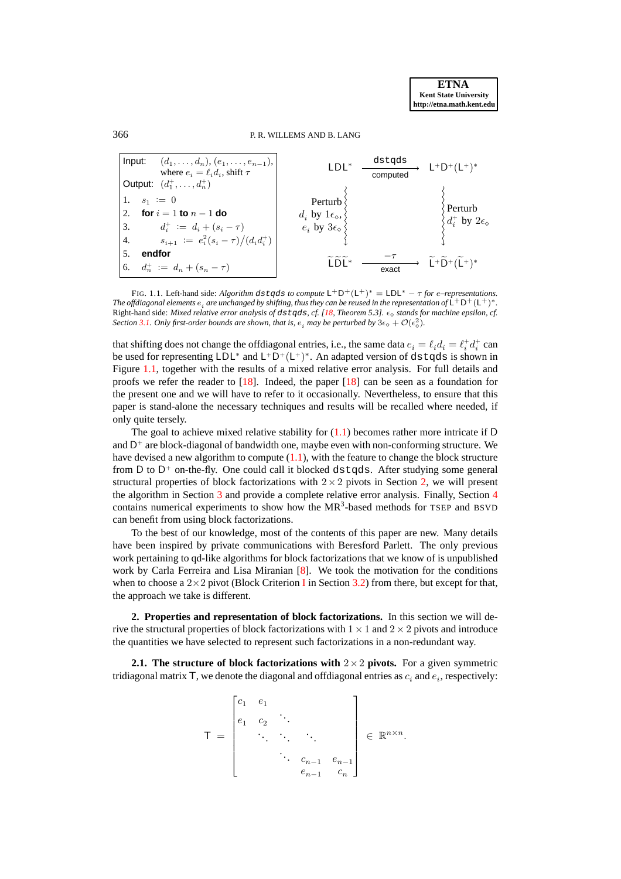# 366 P. R. WILLEMS AND B. LANG



<span id="page-3-0"></span>FIG. 1.1. Left-hand side: *Algorithm* dstqds *to compute*  $L^+D^+(L^+)^* = LDL^* - \tau$  *for e–representations.* The offdiagonal elements  $e_i$  are unchanged by shifting, thus they can be reused in the representation of  $\sf L^+D^+(L^+)^*.$ Right-hand side: *Mixed relative error analysis of* dstqds*, cf. [\[18,](#page-27-8) Theorem 5.3].* ǫ<sup>⋄</sup> *stands for machine epsilon, cf. Section* [3.1.](#page-12-0) Only first-order bounds are shown, that is,  $e_i$  may be perturbed by  $3\epsilon_\diamond + \mathcal{O}(\epsilon_\diamond^2)$ .

that shifting does not change the offdiagonal entries, i.e., the same data  $e_i = \ell_i d_i = \ell_i^+ d_i^+$  can be used for representing  $LDL^*$  and  $L^+D^+(L^+)^*$ . An adapted version of dstqds is shown in Figure [1.1,](#page-3-0) together with the results of a mixed relative error analysis. For full details and proofs we refer the reader to [\[18\]](#page-27-8). Indeed, the paper [\[18\]](#page-27-8) can be seen as a foundation for the present one and we will have to refer to it occasionally. Nevertheless, to ensure that this paper is stand-alone the necessary techniques and results will be recalled where needed, if only quite tersely.

The goal to achieve mixed relative stability for  $(1.1)$  becomes rather more intricate if D and  $D^+$  are block-diagonal of bandwidth one, maybe even with non-conforming structure. We have devised a new algorithm to compute [\(1.1\)](#page-2-0), with the feature to change the block structure from D to  $D^+$  on-the-fly. One could call it blocked d $stqds$ . After studying some general structural properties of block factorizations with  $2 \times 2$  pivots in Section [2,](#page-3-1) we will present the algorithm in Section [3](#page-9-0) and provide a complete relative error analysis. Finally, Section [4](#page-25-0) contains numerical experiments to show how the  $MR<sup>3</sup>$ -based methods for TSEP and BSVD can benefit from using block factorizations.

To the best of our knowledge, most of the contents of this paper are new. Many details have been inspired by private communications with Beresford Parlett. The only previous work pertaining to qd-like algorithms for block factorizations that we know of is unpublished work by Carla Ferreira and Lisa Miranian [\[8\]](#page-27-9). We took the motivation for the conditions when to choose a  $2\times 2$  pivot (Block Criterion [I](#page-15-0) in Section [3.2\)](#page-15-1) from there, but except for that, the approach we take is different.

<span id="page-3-1"></span>**2. Properties and representation of block factorizations.** In this section we will derive the structural properties of block factorizations with  $1 \times 1$  and  $2 \times 2$  pivots and introduce the quantities we have selected to represent such factorizations in a non-redundant way.

**2.1. The structure of block factorizations with**  $2 \times 2$  **pivots.** For a given symmetric tridiagonal matrix T, we denote the diagonal and offdiagonal entries as  $c_i$  and  $e_i$ , respectively:

$$
\mathsf{T} = \begin{bmatrix} c_1 & e_1 & & & \\ e_1 & c_2 & \ddots & & \\ & \ddots & \ddots & \ddots & \\ & & \ddots & \ddots & \\ & & & c_{n-1} & e_{n-1} \\ & & & e_{n-1} & c_n \end{bmatrix} \in \mathbb{R}^{n \times n}.
$$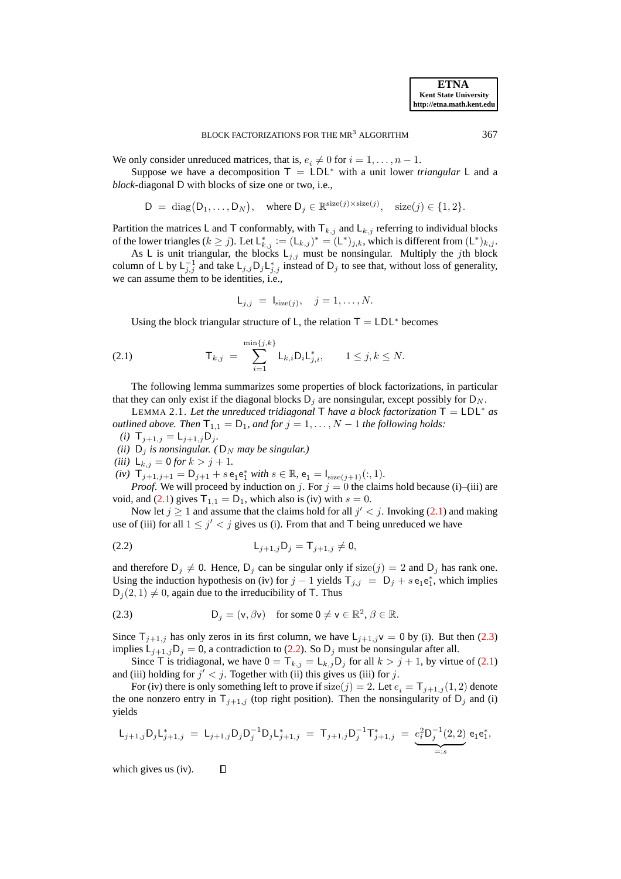We only consider unreduced matrices, that is,  $e_i \neq 0$  for  $i = 1, \ldots, n - 1$ .

Suppose we have a decomposition  $T = LDL^*$  with a unit lower *triangular* L and a *block*-diagonal D with blocks of size one or two, i.e.,

$$
D = diag(D_1, ..., D_N), \text{ where } D_j \in \mathbb{R}^{\text{size}(j) \times \text{size}(j)}, \text{size}(j) \in \{1, 2\}.
$$

Partition the matrices L and T conformably, with  $T_{k,j}$  and  $L_{k,j}$  referring to individual blocks of the lower triangles ( $k \geq j$ ). Let  $\mathsf{L}_{k,j}^* := (\mathsf{L}_{k,j})^* = (\mathsf{L}^*)_{j,k}$ , which is different from  $(\mathsf{L}^*)_{k,j}$ .

As L is unit triangular, the blocks  $L_{j,j}$  must be nonsingular. Multiply the jth block column of L by  $L_{j,j}^{-1}$  and take  $L_{j,j}D_jL_{j,j}^*$  instead of  $D_j$  to see that, without loss of generality, we can assume them to be identities, i.e.,

<span id="page-4-2"></span><span id="page-4-0"></span>
$$
\mathsf{L}_{j,j} = \mathsf{I}_{\text{size}(j)}, \quad j = 1, \dots, N.
$$

Using the block triangular structure of L, the relation  $T = LDL^*$  becomes

(2.1) 
$$
\mathsf{T}_{k,j} = \sum_{i=1}^{\min\{j,k\}} \mathsf{L}_{k,i} \mathsf{D}_i \mathsf{L}_{j,i}^*, \qquad 1 \le j,k \le N.
$$

The following lemma summarizes some properties of block factorizations, in particular that they can only exist if the diagonal blocks  $D_i$  are nonsingular, except possibly for  $D_N$ .

<span id="page-4-3"></span>LEMMA 2.1. Let the unreduced tridiagonal  $\mathsf T$  *have a block factorization*  $\mathsf T = \mathsf{LDL}^*$  *as outlined above. Then*  $T_{1,1} = D_1$ *, and for*  $j = 1, ..., N - 1$  *the following holds:* 

*(i)*  $T_{j+1,j} = L_{j+1,j}D_j.$ 

*(ii)*  $D_j$  *is nonsingular. (* $D_N$  *may be singular.)* 

*(iii)*  $L_{k,j} = 0$  *for*  $k > j + 1$ *.* 

 $(iv)$   $T_{j+1,j+1} = D_{j+1} + s e_1 e_1^*$  *with*  $s \in \mathbb{R}$ ,  $e_1 = I_{size(j+1)}(:, 1)$ .

*Proof.* We will proceed by induction on j. For  $j = 0$  the claims hold because (i)–(iii) are void, and [\(2.1\)](#page-4-0) gives  $T_{1,1} = D_1$ , which also is (iv) with  $s = 0$ .

Now let  $j \ge 1$  and assume that the claims hold for all  $j' < j$ . Invoking [\(2.1\)](#page-4-0) and making use of (iii) for all  $1 \leq j' < j$  gives us (i). From that and T being unreduced we have

(2.2) 
$$
L_{j+1,j}D_j = T_{j+1,j} \neq 0,
$$

and therefore  $D_j \neq 0$ . Hence,  $D_j$  can be singular only if size(j) = 2 and  $D_j$  has rank one. Using the induction hypothesis on (iv) for  $j - 1$  yields  $T_{j,j} = D_j + s e_1 e_1^*$ , which implies  $D_j(2, 1) \neq 0$ , again due to the irreducibility of T. Thus

<span id="page-4-1"></span>(2.3) 
$$
D_j = (v, \beta v) \text{ for some } 0 \neq v \in \mathbb{R}^2, \beta \in \mathbb{R}.
$$

Since  $T_{j+1,j}$  has only zeros in its first column, we have  $L_{j+1,j}v = 0$  by (i). But then [\(2.3\)](#page-4-1) implies  $L_{j+1,j}D_j = 0$ , a contradiction to [\(2.2\)](#page-4-2). So  $D_j$  must be nonsingular after all.

Since T is tridiagonal, we have  $0 = T_{k,j} = L_{k,j}D_j$  for all  $k > j + 1$ , by virtue of [\(2.1\)](#page-4-0) and (iii) holding for  $j' < j$ . Together with (ii) this gives us (iii) for j.

For (iv) there is only something left to prove if size(j) = 2. Let  $e_i = T_{j+1,j} (1, 2)$  denote the one nonzero entry in  $T_{j+1,j}$  (top right position). Then the nonsingularity of  $D_j$  and (i) yields

$$
\mathsf{L}_{j+1,j} \mathsf{D}_j \mathsf{L}_{j+1,j}^* \;=\; \mathsf{L}_{j+1,j} \mathsf{D}_j \mathsf{D}_j^{-1} \mathsf{D}_j \mathsf{L}_{j+1,j}^* \;=\; \mathsf{T}_{j+1,j} \mathsf{D}_j^{-1} \mathsf{T}_{j+1,j}^* \;=\; \underbrace{e_i^2 \mathsf{D}_j^{-1}(2,2)}_{=:s} \, \mathsf{e}_1 \mathsf{e}_1^*,
$$

which gives us (iv). $\Box$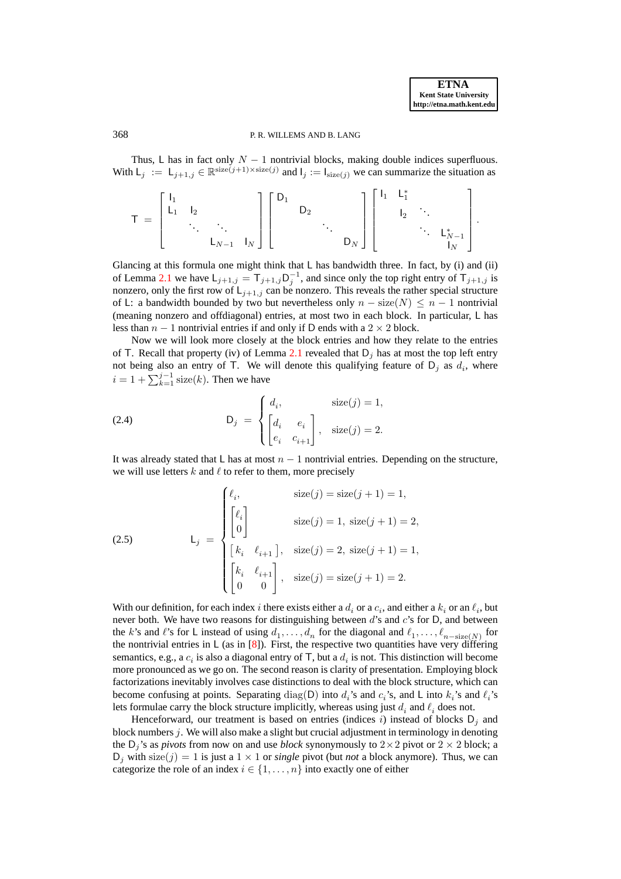# 368 P. R. WILLEMS AND B. LANG

Thus, L has in fact only  $N - 1$  nontrivial blocks, making double indices superfluous. With  $L_j := L_{j+1,j} \in \mathbb{R}^{\text{size}(j+1)\times \text{size}(j)}$  and  $I_j := I_{\text{size}(j)}$  we can summarize the situation as

$$
T \;=\; \left[\begin{array}{cccc} I_1 & & & & \\ L_1 & I_2 & & & \\ & \ddots & \ddots & \\ & & L_{N-1} & I_N \end{array}\right] \left[\begin{array}{cccc} D_1 & & & & \\ & D_2 & & & \\ & & \ddots & \\ & & & D_N \end{array}\right] \left[\begin{array}{cccc} I_1 & L_1^* & & & \\ & I_2 & \ddots & & \\ & & \ddots & L_{N-1}^* \\ & & & I_N \end{array}\right].
$$

Glancing at this formula one might think that  $L$  has bandwidth three. In fact, by (i) and (ii) of Lemma [2.1](#page-4-3) we have  $L_{j+1,j} = T_{j+1,j} D_j^{-1}$ , and since only the top right entry of  $T_{j+1,j}$  is nonzero, only the first row of  $L_{j+1,j}$  can be nonzero. This reveals the rather special structure of L: a bandwidth bounded by two but nevertheless only  $n - size(N) \leq n - 1$  nontrivial (meaning nonzero and offdiagonal) entries, at most two in each block. In particular, L has less than  $n - 1$  nontrivial entries if and only if D ends with a  $2 \times 2$  block.

Now we will look more closely at the block entries and how they relate to the entries of T. Recall that property (iv) of Lemma [2.1](#page-4-3) revealed that  $D_j$  has at most the top left entry not being also an entry of T. We will denote this qualifying feature of  $D_j$  as  $d_i$ , where  $i = 1 + \sum_{k=1}^{j-1} size(k)$ . Then we have

<span id="page-5-0"></span>(2.4) 
$$
\mathsf{D}_{j} = \begin{cases} d_{i}, & \text{size}(j) = 1, \\ \begin{bmatrix} d_{i} & e_{i} \\ e_{i} & e_{i+1} \end{bmatrix}, & \text{size}(j) = 2. \end{cases}
$$

<span id="page-5-1"></span>It was already stated that L has at most  $n - 1$  nontrivial entries. Depending on the structure, we will use letters  $k$  and  $\ell$  to refer to them, more precisely

(2.5)  
\n
$$
\mathsf{L}_{j} = \begin{cases}\n\ell_{i}, & \text{size}(j) = \text{size}(j+1) = 1, \\
\lbrack \ell_{i} \\
0 \rbrack & \text{size}(j) = 1, \text{ size}(j+1) = 2, \\
\lbrack k_{i} & \ell_{i+1} \rbrack, & \text{size}(j) = 2, \text{ size}(j+1) = 1, \\
\lbrack k_{i} & \ell_{i+1} \rbrack, & \text{size}(j) = \text{size}(j+1) = 2.\n\end{cases}
$$

With our definition, for each index i there exists either a  $d_i$  or a  $c_i$ , and either a  $k_i$  or an  $\ell_i$ , but never both. We have two reasons for distinguishing between  $d$ 's and  $c$ 's for D, and between the k's and l's for L instead of using  $d_1, \ldots, d_n$  for the diagonal and  $\ell_1, \ldots, \ell_{n-\text{size}(N)}$  for the nontrivial entries in  $\lfloor$  (as in [\[8\]](#page-27-9)). First, the respective two quantities have very differing semantics, e.g., a  $c_i$  is also a diagonal entry of T, but a  $d_i$  is not. This distinction will become more pronounced as we go on. The second reason is clarity of presentation. Employing block factorizations inevitably involves case distinctions to deal with the block structure, which can become confusing at points. Separating  $diag(D)$  into  $d_i$ 's and  $c_i$ 's, and L into  $k_i$ 's and  $\ell_i$ 's lets formulae carry the block structure implicitly, whereas using just  $d_i$  and  $\ell_i$  does not.

Henceforward, our treatment is based on entries (indices i) instead of blocks  $D_i$  and block numbers  $j$ . We will also make a slight but crucial adjustment in terminology in denoting the  $D_j$ 's as *pivots* from now on and use *block* synonymously to  $2 \times 2$  pivot or  $2 \times 2$  block; a  $D_j$  with size(j) = 1 is just a 1  $\times$  1 or *single* pivot (but *not* a block anymore). Thus, we can categorize the role of an index  $i \in \{1, \ldots, n\}$  into exactly one of either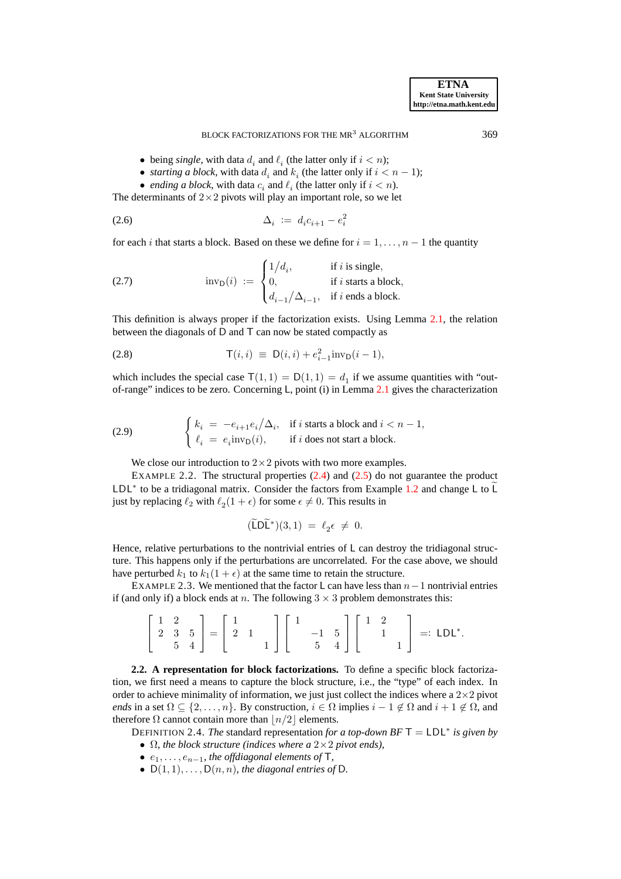#### <span id="page-6-1"></span><span id="page-6-0"></span>BLOCK FACTORIZATIONS FOR THE MR<sup>3</sup> ALGORITHM 369

- being *single*, with data  $d_i$  and  $\ell_i$  (the latter only if  $i < n$ );
- *starting a block*, with data  $d_i$  and  $k_i$  (the latter only if  $i < n 1$ );
- *ending a block*, with data  $c_i$  and  $\ell_i$  (the latter only if  $i < n$ ).

The determinants of  $2 \times 2$  pivots will play an important role, so we let

$$
\Delta_i := d_i c_{i+1} - e_i^2
$$

for each i that starts a block. Based on these we define for  $i = 1, \ldots, n - 1$  the quantity

(2.7) 
$$
\text{inv}_{\mathcal{D}}(i) := \begin{cases} 1/d_i, & \text{if } i \text{ is single,} \\ 0, & \text{if } i \text{ starts a block,} \\ d_{i-1}/\Delta_{i-1}, & \text{if } i \text{ ends a block.} \end{cases}
$$

This definition is always proper if the factorization exists. Using Lemma [2.1,](#page-4-3) the relation between the diagonals of D and T can now be stated compactly as

(2.8) 
$$
\mathsf{T}(i,i) \equiv \mathsf{D}(i,i) + e_{i-1}^2 \text{inv}_{\mathsf{D}}(i-1),
$$

which includes the special case  $T(1, 1) = D(1, 1) = d_1$  if we assume quantities with "outof-range" indices to be zero. Concerning L, point (i) in Lemma [2.1](#page-4-3) gives the characterization

<span id="page-6-2"></span>(2.9) 
$$
\begin{cases} k_i = -e_{i+1}e_i/\Delta_i, & \text{if } i \text{ starts a block and } i < n-1, \\ \ell_i = e_i \text{inv}_D(i), & \text{if } i \text{ does not start a block.} \end{cases}
$$

We close our introduction to  $2 \times 2$  pivots with two more examples.

<span id="page-6-3"></span>EXAMPLE 2.2. The structural properties  $(2.4)$  and  $(2.5)$  do not guarantee the product LDL<sup>∗</sup> to be a tridiagonal matrix. Consider the factors from Example [1.2](#page-2-1) and change L to L just by replacing  $\ell_2$  with  $\ell_2(1+\epsilon)$  for some  $\epsilon \neq 0$ . This results in

<span id="page-6-5"></span>
$$
(\widetilde{\mathsf{L}}\mathsf{D}\widetilde{\mathsf{L}}^*)(3,1) \;=\; \ell_2\epsilon \;\neq\; 0.
$$

Hence, relative perturbations to the nontrivial entries of L can destroy the tridiagonal structure. This happens only if the perturbations are uncorrelated. For the case above, we should have perturbed  $k_1$  to  $k_1(1 + \epsilon)$  at the same time to retain the structure.

EXAMPLE 2.3. We mentioned that the factor L can have less than  $n-1$  nontrivial entries if (and only if) a block ends at n. The following  $3 \times 3$  problem demonstrates this:

$$
\left[\begin{array}{ccc} 1 & 2 \\ 2 & 3 & 5 \\ & 5 & 4 \end{array}\right] = \left[\begin{array}{ccc} 1 & & \\ 2 & 1 & \\ & & 1 \end{array}\right] \left[\begin{array}{ccc} 1 & & \\ & -1 & 5 \\ & 5 & 4 \end{array}\right] \left[\begin{array}{ccc} 1 & 2 & \\ & 1 & \\ & & 1 \end{array}\right] =: LDL^*.
$$

**2.2. A representation for block factorizations.** To define a specific block factorization, we first need a means to capture the block structure, i.e., the "type" of each index. In order to achieve minimality of information, we just just collect the indices where a  $2\times2$  pivot *ends* in a set  $\Omega \subseteq \{2,\ldots,n\}$ . By construction,  $i \in \Omega$  implies  $i-1 \notin \Omega$  and  $i+1 \notin \Omega$ , and therefore  $\Omega$  cannot contain more than  $\lfloor n/2 \rfloor$  elements.

<span id="page-6-4"></span>DEFINITION 2.4. *The* standard representation *for a top-down BF* T = LDL<sup>∗</sup> *is given by* • Ω*, the block structure (indices where a* 2×2 *pivot ends),*

•  $e_1, \ldots, e_{n-1}$ *, the offdiagonal elements of*  $\mathsf{T}$ *,* 

•  $D(1, 1), \ldots, D(n, n)$ *, the diagonal entries of* D.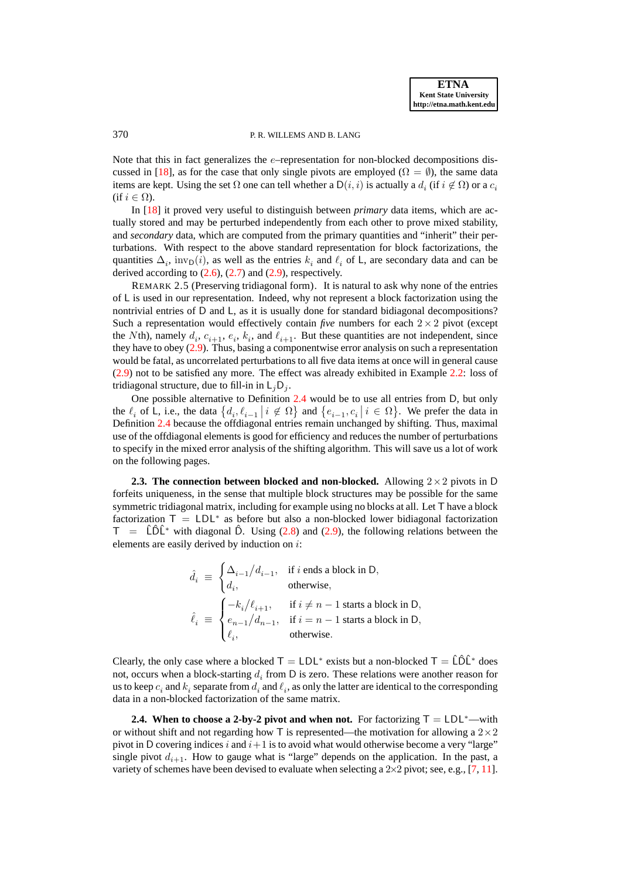# 370 P. R. WILLEMS AND B. LANG

Note that this in fact generalizes the e–representation for non-blocked decompositions dis-cussed in [\[18\]](#page-27-8), as for the case that only single pivots are employed ( $\Omega = \emptyset$ ), the same data items are kept. Using the set  $\Omega$  one can tell whether a  $\mathsf{D}(i,i)$  is actually a  $d_i$  (if  $i \notin \Omega$ ) or a  $c_i$ (if  $i \in \Omega$ ).

In [\[18\]](#page-27-8) it proved very useful to distinguish between *primary* data items, which are actually stored and may be perturbed independently from each other to prove mixed stability, and *secondary* data, which are computed from the primary quantities and "inherit" their perturbations. With respect to the above standard representation for block factorizations, the quantities  $\Delta_i$ , inv<sub>D</sub>(*i*), as well as the entries  $k_i$  and  $\ell_i$  of L, are secondary data and can be derived according to  $(2.6)$ ,  $(2.7)$  and  $(2.9)$ , respectively.

REMARK 2.5 (Preserving tridiagonal form). It is natural to ask why none of the entries of L is used in our representation. Indeed, why not represent a block factorization using the nontrivial entries of D and L, as it is usually done for standard bidiagonal decompositions? Such a representation would effectively contain *five* numbers for each  $2 \times 2$  pivot (except the Nth), namely  $d_i$ ,  $c_{i+1}$ ,  $e_i$ ,  $k_i$ , and  $\ell_{i+1}$ . But these quantities are not independent, since they have to obey [\(2.9\)](#page-6-2). Thus, basing a componentwise error analysis on such a representation would be fatal, as uncorrelated perturbations to all five data items at once will in general cause [\(2.9\)](#page-6-2) not to be satisfied any more. The effect was already exhibited in Example [2.2:](#page-6-3) loss of tridiagonal structure, due to fill-in in  $L_iD_i$ .

One possible alternative to Definition [2.4](#page-6-4) would be to use all entries from D, but only the  $\ell_i$  of L, i.e., the data  $\{d_i, \ell_{i-1} | i \notin \Omega\}$  and  $\{e_{i-1}, c_i | i \in \Omega\}$ . We prefer the data in Definition [2.4](#page-6-4) because the offdiagonal entries remain unchanged by shifting. Thus, maximal use of the offdiagonal elements is good for efficiency and reduces the number of perturbations to specify in the mixed error analysis of the shifting algorithm. This will save us a lot of work on the following pages.

**2.3. The connection between blocked and non-blocked.** Allowing  $2 \times 2$  pivots in D forfeits uniqueness, in the sense that multiple block structures may be possible for the same symmetric tridiagonal matrix, including for example using no blocks at all. Let T have a block factorization  $T = LDL^*$  as before but also a non-blocked lower bidiagonal factorization  $T = \hat{L}\hat{D}\hat{L}^*$  with diagonal  $\hat{D}$ . Using [\(2.8\)](#page-6-5) and [\(2.9\)](#page-6-2), the following relations between the elements are easily derived by induction on i:

$$
\begin{aligned} \hat{d}_i \; &\equiv \; \begin{cases} \Delta_{i-1}/d_{i-1}, & \text{if } i \text{ ends a block in D,} \\ d_i, & \text{otherwise,} \end{cases} \\ \hat{\ell}_i \; &\equiv \; \begin{cases} -k_i/\ell_{i+1}, & \text{if } i \neq n-1 \text{ starts a block in D,} \\ e_{n-1}/d_{n-1}, & \text{if } i = n-1 \text{ starts a block in D,} \\ \ell_i, & \text{otherwise.} \end{cases} \end{aligned}
$$

Clearly, the only case where a blocked  $T = LDL^*$  exists but a non-blocked  $T = \hat{L}\hat{D}\hat{L}^*$  does not, occurs when a block-starting  $d_i$  from D is zero. These relations were another reason for us to keep  $c_i$  and  $k_i$  separate from  $d_i$  and  $\ell_i$ , as only the latter are identical to the corresponding data in a non-blocked factorization of the same matrix.

<span id="page-7-0"></span>**2.4.** When to choose a 2-by-2 pivot and when not. For factorizing  $T = LDL^*$ —with or without shift and not regarding how T is represented—the motivation for allowing a  $2\times 2$ pivot in D covering indices i and  $i+1$  is to avoid what would otherwise become a very "large" single pivot  $d_{i+1}$ . How to gauge what is "large" depends on the application. In the past, a variety of schemes have been devised to evaluate when selecting a 2×2 pivot; see, e.g., [\[7,](#page-27-5) [11\]](#page-27-7).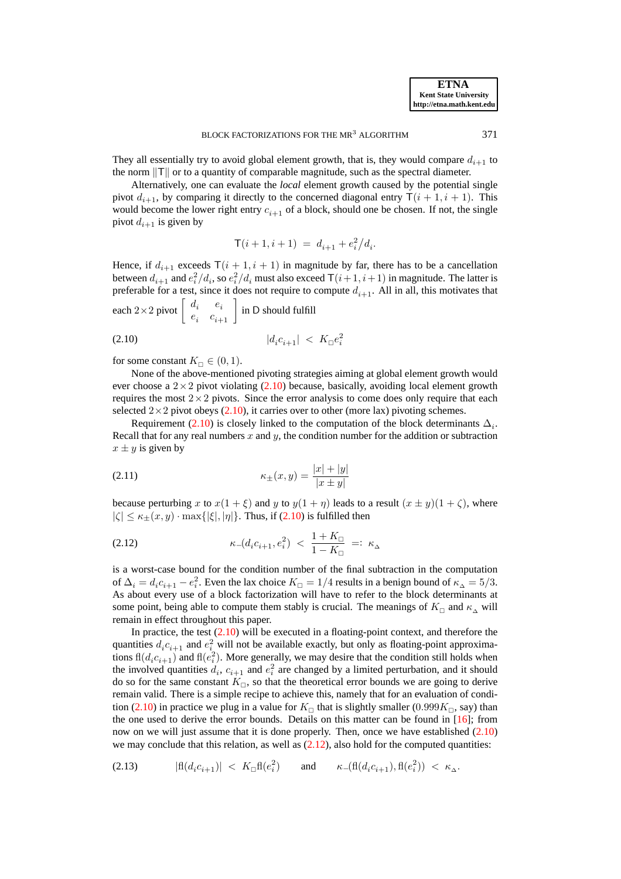They all essentially try to avoid global element growth, that is, they would compare  $d_{i+1}$  to the norm  $||T||$  or to a quantity of comparable magnitude, such as the spectral diameter.

Alternatively, one can evaluate the *local* element growth caused by the potential single pivot  $d_{i+1}$ , by comparing it directly to the concerned diagonal entry  $\mathsf{T}(i + 1, i + 1)$ . This would become the lower right entry  $c_{i+1}$  of a block, should one be chosen. If not, the single pivot  $d_{i+1}$  is given by

<span id="page-8-0"></span>
$$
\mathsf{T}(i+1,i+1) \; = \; d_{i+1} + e_i^2 \big/ d_i.
$$

Hence, if  $d_{i+1}$  exceeds  $\mathsf{T}(i + 1, i + 1)$  in magnitude by far, there has to be a cancellation between  $d_{i+1}$  and  $e_i^2/d_i$ , so  $e_i^2/d_i$  must also exceed  $\mathsf{T}(i+1,i+1)$  in magnitude. The latter is preferable for a test, since it does not require to compute  $d_{i+1}$ . All in all, this motivates that

each 
$$
2 \times 2
$$
 pivot  $\begin{bmatrix} d_i & e_i \\ e_i & c_{i+1} \end{bmatrix}$  in D should fulfill  
(2.10)  $|d_i c_{i+1}| < K_{\Box} e_i^2$ 

for some constant  $K_{\square} \in (0,1)$ .

None of the above-mentioned pivoting strategies aiming at global element growth would ever choose a  $2 \times 2$  pivot violating [\(2.10\)](#page-8-0) because, basically, avoiding local element growth requires the most  $2\times 2$  pivots. Since the error analysis to come does only require that each selected  $2\times 2$  pivot obeys [\(2.10\)](#page-8-0), it carries over to other (more lax) pivoting schemes.

Requirement [\(2.10\)](#page-8-0) is closely linked to the computation of the block determinants  $\Delta_i$ . Recall that for any real numbers x and y, the condition number for the addition or subtraction  $x \pm y$  is given by

<span id="page-8-3"></span>(2.11) 
$$
\kappa_{\pm}(x,y) = \frac{|x| + |y|}{|x \pm y|}
$$

<span id="page-8-1"></span>because perturbing x to  $x(1 + \xi)$  and y to  $y(1 + \eta)$  leads to a result  $(x \pm y)(1 + \zeta)$ , where  $|\zeta| \leq \kappa_{\pm}(x,y) \cdot \max{\{|\zeta|, |\eta|\}}$ . Thus, if [\(2.10\)](#page-8-0) is fulfilled then

(2.12) 
$$
\kappa_{-}(d_{i}c_{i+1},e_{i}^{2}) \leq \frac{1+K_{\Box}}{1-K_{\Box}} =: \kappa_{\Delta}
$$

is a worst-case bound for the condition number of the final subtraction in the computation of  $\Delta_i = d_i c_{i+1} - e_i^2$ . Even the lax choice  $K_\square = 1/4$  results in a benign bound of  $\kappa_\Delta = 5/3$ . As about every use of a block factorization will have to refer to the block determinants at some point, being able to compute them stably is crucial. The meanings of  $K_{\square}$  and  $\kappa_{\wedge}$  will remain in effect throughout this paper.

In practice, the test  $(2.10)$  will be executed in a floating-point context, and therefore the quantities  $d_i c_{i+1}$  and  $e_i^2$  will not be available exactly, but only as floating-point approximations  $\text{fl}(d_i c_{i+1})$  and  $\text{fl}(e_i^2)$ . More generally, we may desire that the condition still holds when the involved quantities  $d_i$ ,  $c_{i+1}$  and  $e_i^2$  are changed by a limited perturbation, and it should do so for the same constant  $K_{\square}$ , so that the theoretical error bounds we are going to derive remain valid. There is a simple recipe to achieve this, namely that for an evaluation of condi-tion [\(2.10\)](#page-8-0) in practice we plug in a value for  $K_{\Box}$  that is slightly smaller (0.999 $K_{\Box}$ , say) than the one used to derive the error bounds. Details on this matter can be found in  $[16]$ ; from now on we will just assume that it is done properly. Then, once we have established [\(2.10\)](#page-8-0) we may conclude that this relation, as well as  $(2.12)$ , also hold for the computed quantities:

<span id="page-8-2"></span>
$$
(2.13) \qquad |\text{fl}(d_i c_{i+1})| \; < \; K_\square \text{fl}(e_i^2) \qquad \text{and} \qquad \kappa_-(\text{fl}(d_i c_{i+1}), \text{fl}(e_i^2)) \; < \; \kappa_\Delta.
$$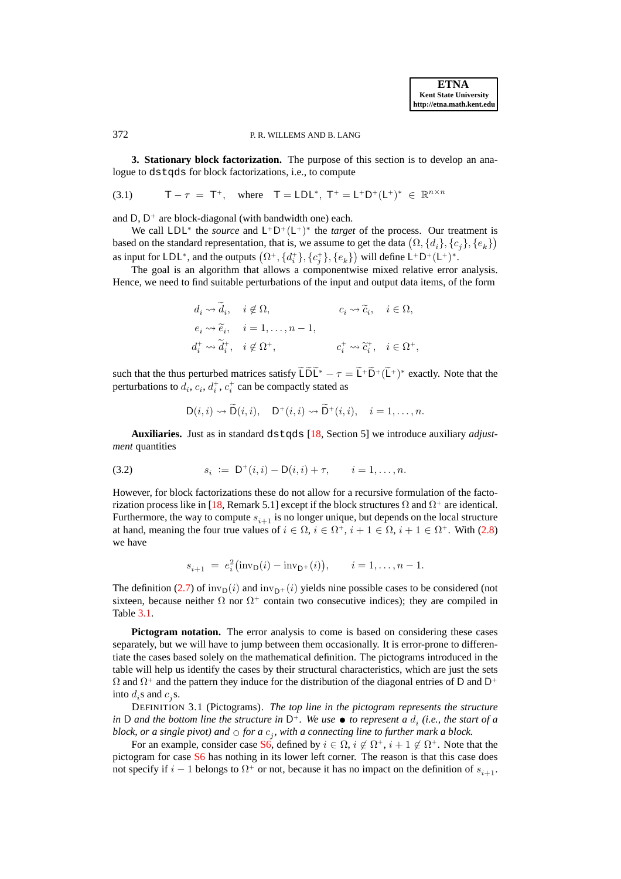### 372 P. R. WILLEMS AND B. LANG

**3. Stationary block factorization.** The purpose of this section is to develop an analogue to dstqds for block factorizations, i.e., to compute

(3.1) 
$$
T - \tau = T^+
$$
, where  $T = LDL^*, T^+ = L^+D^+(L^+)^* \in \mathbb{R}^{n \times n}$ 

and D, D <sup>+</sup> are block-diagonal (with bandwidth one) each.

We call  $LDL^*$  the *source* and  $L^+D^+(L^+)^*$  the *target* of the process. Our treatment is based on the standard representation, that is, we assume to get the data  $(\Omega, \{d_i\}, \{c_j\}, \{e_k\})$ as input for LDL<sup>\*</sup>, and the outputs  $(\Omega^+, \{d_i^+\}, \{c_j^+\}, \{e_k\})$  will define L<sup>+</sup>D<sup>+</sup>(L<sup>+</sup>)<sup>\*</sup>.

The goal is an algorithm that allows a componentwise mixed relative error analysis. Hence, we need to find suitable perturbations of the input and output data items, of the form

<span id="page-9-3"></span>
$$
d_i \leadsto \widetilde{d}_i, \quad i \notin \Omega, \qquad c_i \leadsto \widetilde{c}_i, \quad i \in \Omega, \ne_i \leadsto \widetilde{e}_i, \quad i = 1, \ldots, n-1, \nd_i^+ \leadsto \widetilde{d}_i^+, \quad i \notin \Omega^+, \qquad c_i^+ \leadsto \widetilde{c}_i^+, \quad i \in \Omega^+,
$$

such that the thus perturbed matrices satisfy  $LDL^* - \tau = L^+D^+ (L^+)^*$  exactly. Note that the perturbations to  $d_i$ ,  $c_i$ ,  $d_i^+$ ,  $c_i^+$  can be compactly stated as

<span id="page-9-2"></span>
$$
D(i,i) \rightsquigarrow D(i,i), \quad D^+(i,i) \rightsquigarrow D^+(i,i), \quad i=1,\ldots,n.
$$

**Auxiliaries.** Just as in standard dstqds [\[18,](#page-27-8) Section 5] we introduce auxiliary *adjustment* quantities

(3.2) 
$$
s_i := D^+(i,i) - D(i,i) + \tau, \qquad i = 1, ..., n.
$$

However, for block factorizations these do not allow for a recursive formulation of the facto-rization process like in [\[18,](#page-27-8) Remark 5.1] except if the block structures  $\Omega$  and  $\Omega^+$  are identical. Furthermore, the way to compute  $s_{i+1}$  is no longer unique, but depends on the local structure at hand, meaning the four true values of  $i \in \Omega$ ,  $i \in \Omega^+$ ,  $i + 1 \in \Omega$ ,  $i + 1 \in \Omega^+$ . With [\(2.8\)](#page-6-5) we have

$$
s_{i+1} = e_i^2(\text{inv}_D(i) - \text{inv}_{D^+}(i)), \quad i = 1, ..., n-1.
$$

The definition [\(2.7\)](#page-6-1) of  $inv_D(i)$  and  $inv_{D+}(i)$  yields nine possible cases to be considered (not sixteen, because neither  $\Omega$  nor  $\Omega^+$  contain two consecutive indices); they are compiled in Table [3.1.](#page-10-0)

**Pictogram notation.** The error analysis to come is based on considering these cases separately, but we will have to jump between them occasionally. It is error-prone to differentiate the cases based solely on the mathematical definition. The pictograms introduced in the table will help us identify the cases by their structural characteristics, which are just the sets  $\Omega$  and  $\Omega^+$  and the pattern they induce for the distribution of the diagonal entries of D and D<sup>+</sup> into  $d_i$ s and  $c_j$ s.

<span id="page-9-1"></span>DEFINITION 3.1 (Pictograms). *The top line in the pictogram represents the structure* in D and the bottom line the structure in  $D^+$ . We use  $\bullet$  to represent a  $d_i$  (i.e., the start of a *block, or a single pivot) and*  $\circ$  *for a*  $c_j$ *, with a connecting line to further mark a block.* 

For an example, consider case [S6,](#page-10-1) defined by  $i \in \Omega$ ,  $i \notin \Omega^+$ ,  $i+1 \notin \Omega^+$ . Note that the pictogram for case [S6](#page-10-1) has nothing in its lower left corner. The reason is that this case does not specify if  $i - 1$  belongs to  $\Omega^+$  or not, because it has no impact on the definition of  $s_{i+1}$ .

<span id="page-9-0"></span>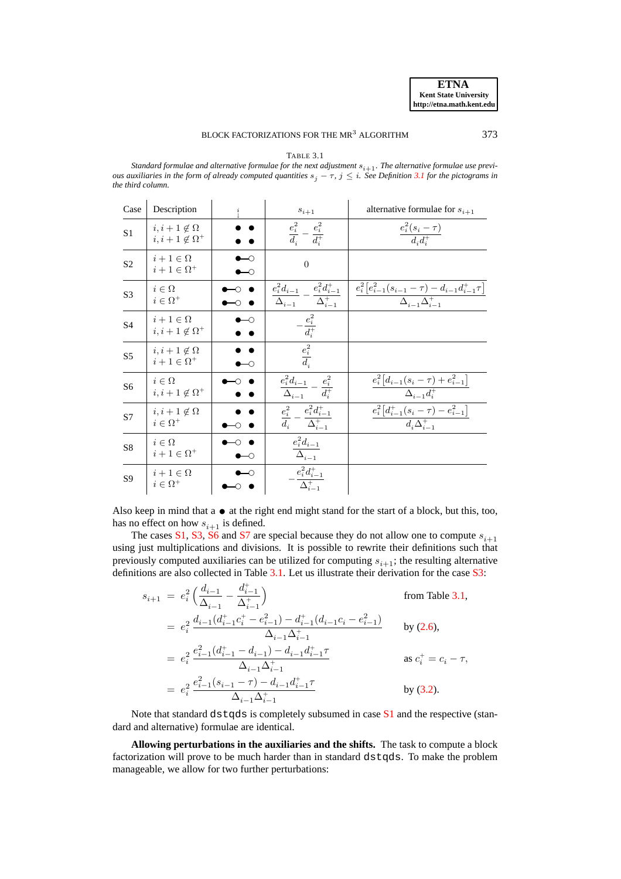# BLOCK FACTORIZATIONS FOR THE MR<sup>3</sup> ALGORITHM 373

TABLE 3.1

<span id="page-10-0"></span>Standard formulae and alternative formulae for the next adjustment  $s_{i+1}$ . The alternative formulae use previ*ous auxiliaries in the form of already computed quantities*  $s_j - \tau$ ,  $j \leq i$ . See Definition [3.1](#page-9-1) for the pictograms in *the third column.*

<span id="page-10-6"></span><span id="page-10-5"></span><span id="page-10-3"></span><span id="page-10-2"></span>

| Case           | Description                                        | $_{\downarrow}^{i}$ | $s_{i+1}$                                                                   | alternative formulae for $s_{i+1}$                                                                           |
|----------------|----------------------------------------------------|---------------------|-----------------------------------------------------------------------------|--------------------------------------------------------------------------------------------------------------|
| S <sub>1</sub> | $i, i+1 \notin \Omega$<br>$i, i+1 \notin \Omega^+$ |                     | $\frac{e_i^2}{d_i} - \frac{e_i^2}{d_i^+}$                                   | $\frac{e_i^2(s_i-\tau)}{d_i d_i^+}$                                                                          |
| S <sub>2</sub> | $i+1 \in \Omega$<br>$i+1 \in \Omega^+$             | ⊢<br>⊢∩             | $\overline{0}$                                                              |                                                                                                              |
| S <sub>3</sub> | $i \in \Omega$<br>$i \in \Omega^+$                 |                     | $\frac{e_i^2d_{i-1}}{\Delta_{i-1}} - \frac{e_i^2d_{i-1}^+}{\Delta_{i-1}^+}$ | $\frac{e_i^2 \left[e_{i-1}^2 (s_{i-1} - \tau) - d_{i-1} d_{i-1}^+ \tau\right]}{\Delta_{i-1} \Delta_{i-1}^+}$ |
| S4             | $i+1 \in \Omega$<br>$i, i+1 \notin \Omega^+$       | ⊸                   | $-\frac{e_i^2}{d_i^+}$                                                      |                                                                                                              |
| S <sub>5</sub> | $i, i+1 \notin \Omega$<br>$i+1 \in \Omega^+$       | ⊷                   | $\frac{e_i^2}{d_i}$                                                         |                                                                                                              |
| S <sub>6</sub> | $i \in \Omega$<br>$i, i+1 \notin \Omega^+$         |                     | $\frac{e_i^2d_{i-1}}{\Delta_{i-1}}-\frac{e_i^2}{d_i^+}$                     | $\frac{e_i^2 \left[d_{i-1}(s_i - \tau) + e_{i-1}^2\right]}{\Delta_{i-1} d_i^+}$                              |
| S7             | $i, i+1 \notin \Omega$<br>$i \in \Omega^+$         |                     | $\frac{e_{i}^{2}}{d_{i}}-\frac{e_{i}^{2}d_{i-1}^{+}}{\Delta_{i-1}^{+}}$     | $\frac{e_i^2\big[d_{i-1}^+(s_i-\tau)-e_{i-1}^2\big]}{d_i\Delta_{i-1}^+}$                                     |
| S8             | $i \in \Omega$<br>$i+1 \in \Omega^+$               | ⊢                   | $\frac{e_i^2d_{i-1}}{\Delta_{i-1}}$                                         |                                                                                                              |
| S <sub>9</sub> | $i+1\in\Omega$<br>$i \in \Omega^+$                 |                     | $-\frac{e_i^2d_{i-1}^+}{\Delta_{i-1}^+}$                                    |                                                                                                              |

<span id="page-10-9"></span><span id="page-10-8"></span><span id="page-10-7"></span><span id="page-10-4"></span><span id="page-10-1"></span>Also keep in mind that  $a \bullet a$  the right end might stand for the start of a block, but this, too, has no effect on how  $s_{i+1}$  is defined.

The cases [S1,](#page-10-2) [S3,](#page-10-3) [S6](#page-10-1) and [S7](#page-10-4) are special because they do not allow one to compute  $s_{i+1}$ using just multiplications and divisions. It is possible to rewrite their definitions such that previously computed auxiliaries can be utilized for computing  $s_{i+1}$ ; the resulting alternative definitions are also collected in Table [3.1.](#page-10-0) Let us illustrate their derivation for the case [S3:](#page-10-3)

$$
s_{i+1} = e_i^2 \left( \frac{d_{i-1}}{\Delta_{i-1}} - \frac{d_{i-1}^+}{\Delta_{i-1}^+} \right)
$$
 from Table 3.1,  
\n
$$
= e_i^2 \frac{d_{i-1}(d_{i-1}^+ c_i^+ - e_{i-1}^2) - d_{i-1}^+(d_{i-1}c_i - e_{i-1}^2)}{\Delta_{i-1}\Delta_{i-1}^+}
$$
 by (2.6),  
\n
$$
= e_i^2 \frac{e_{i-1}^2(d_{i-1}^+ - d_{i-1}) - d_{i-1}d_{i-1}^+ \tau}{\Delta_{i-1}\Delta_{i-1}^+}
$$
 as  $c_i^+ = c_i - \tau$ ,  
\n
$$
= e_i^2 \frac{e_{i-1}^2(s_{i-1} - \tau) - d_{i-1}d_{i-1}^+ \tau}{\Delta_{i-1}\Delta_{i-1}^+}
$$
 by (3.2).

Note that standard d $stqds$  is completely subsumed in case  $S1$  and the respective (standard and alternative) formulae are identical.

**Allowing perturbations in the auxiliaries and the shifts.** The task to compute a block factorization will prove to be much harder than in standard dstqds. To make the problem manageable, we allow for two further perturbations: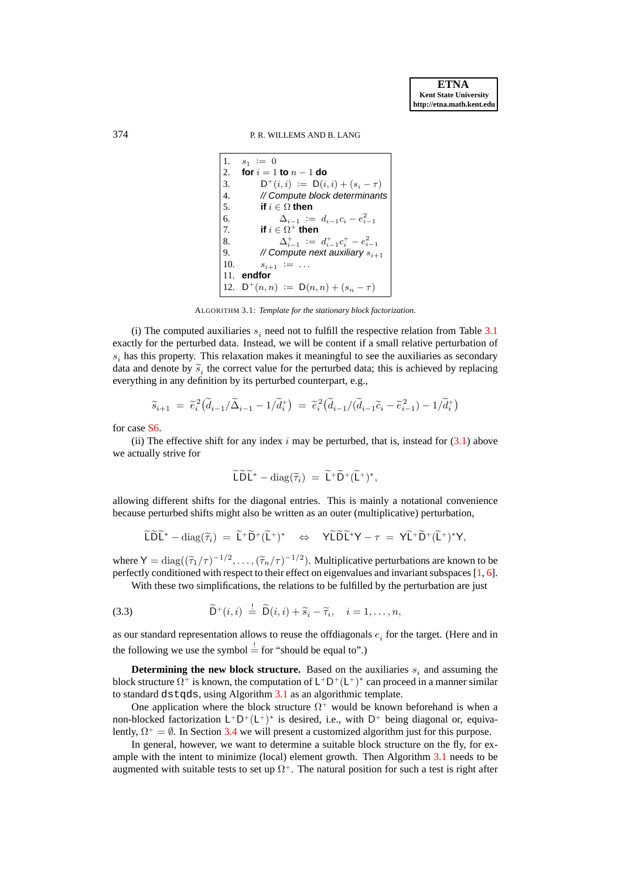### 374 P. R. WILLEMS AND B. LANG

1.  $s_1 := 0$ 2. **for**  $i = 1$  **to**  $n - 1$  **do** 3.  $D^+(i,i) := D(i,i) + (s_i - \tau)$ 4. // Compute block determinants 5. **if**  $i \in \Omega$  **then** 6.  $\Delta_{i-1} := d_{i-1}c_i - e_{i-1}^2$ 7. **if**  $i \in \Omega^+$  **then** 8.  $\Delta_{i-1}^+ := d_{i-1}^+ c_i^+ - e_{i-1}^2$ 9. // Compute next auxiliary  $s_{i+1}$ 10.  $s_{i+1} := \ldots$ 11. **endfor**  $12.$  $D^+(n, n) := D(n, n) + (s_n - \tau)$ 

ALGORITHM 3.1: *Template for the stationary block factorization.*

<span id="page-11-0"></span>(i) The computed auxiliaries  $s_i$  need not to fulfill the respective relation from Table [3.1](#page-10-0) exactly for the perturbed data. Instead, we will be content if a small relative perturbation of  $s_i$  has this property. This relaxation makes it meaningful to see the auxiliaries as secondary data and denote by  $\tilde{s}_i$  the correct value for the perturbed data; this is achieved by replacing<br>expanding in any definition by its activity of construction of everything in any definition by its perturbed counterpart, e.g.,

$$
\widetilde{s}_{i+1} = \widetilde{e}_i^2 (\widetilde{d}_{i-1}/\widetilde{\Delta}_{i-1} - 1/\widetilde{d}_i^+) = \widetilde{e}_i^2 (\widetilde{d}_{i-1}/(\widetilde{d}_{i-1}\widetilde{c}_i - \widetilde{e}_{i-1}^2) - 1/\widetilde{d}_i^+)
$$

for case [S6.](#page-10-1)

(ii) The effective shift for any index  $i$  may be perturbed, that is, instead for  $(3.1)$  above we actually strive for

<span id="page-11-1"></span>
$$
\widetilde{\mathsf{L}}\widetilde{\mathsf{D}}\widetilde{\mathsf{L}}^*-\mathrm{diag}(\widetilde{\tau}_i) = \widetilde{\mathsf{L}}^+\widetilde{\mathsf{D}}^+(\widetilde{\mathsf{L}}^+)^*,
$$

allowing different shifts for the diagonal entries. This is mainly a notational convenience because perturbed shifts might also be written as an outer (multiplicative) perturbation,

$$
\widetilde{\mathsf{L}}\widetilde{\mathsf{D}}\widetilde{\mathsf{L}}^*-\mathrm{diag}(\widetilde{\tau}_i) = \widetilde{\mathsf{L}}^+\widetilde{\mathsf{D}}^+(\widetilde{\mathsf{L}}^+)^* \quad \Leftrightarrow \quad \mathsf{Y}\widetilde{\mathsf{L}}\widetilde{\mathsf{D}}\widetilde{\mathsf{L}}^*Y - \tau = \mathsf{Y}\widetilde{\mathsf{L}}^+\widetilde{\mathsf{D}}^+(\widetilde{\mathsf{L}}^+)^*Y,
$$

where  $Y = diag((\tilde{\tau}_1/\tau)^{-1/2}, \dots, (\tilde{\tau}_n/\tau)^{-1/2})$ . Multiplicative perturbations are known to be perfectly conditioned with respect to their effect on eigenvalues and invariant subspaces [\[1,](#page-27-10) [6\]](#page-27-11).

With these two simplifications, the relations to be fulfilled by the perturbation are just

(3.3) 
$$
\widetilde{\mathsf{D}}^+(i,i) \stackrel{!}{=} \widetilde{\mathsf{D}}(i,i) + \widetilde{s}_i - \widetilde{\tau}_i, \quad i = 1,\ldots,n,
$$

as our standard representation allows to reuse the offdiagonals  $e_i$  for the target. (Here and in the following we use the symbol  $\frac{1}{x}$  for "should be equal to".)

**Determining the new block structure.** Based on the auxiliaries  $s_i$  and assuming the block structure  $\Omega^+$  is known, the computation of  $\mathsf{L}^+\mathsf{D}^+(\mathsf{L}^+)^*$  can proceed in a manner similar to standard dstqds, using Algorithm [3.1](#page-11-0) as an algorithmic template.

One application where the block structure  $\Omega^+$  would be known beforehand is when a non-blocked factorization  $L^+D^+(L^+)^*$  is desired, i.e., with  $D^+$  being diagonal or, equivalently,  $\Omega^+ = \emptyset$ . In Section [3.4](#page-18-0) we will present a customized algorithm just for this purpose.

In general, however, we want to determine a suitable block structure on the fly, for example with the intent to minimize (local) element growth. Then Algorithm [3.1](#page-11-0) needs to be augmented with suitable tests to set up  $\Omega^+$ . The natural position for such a test is right after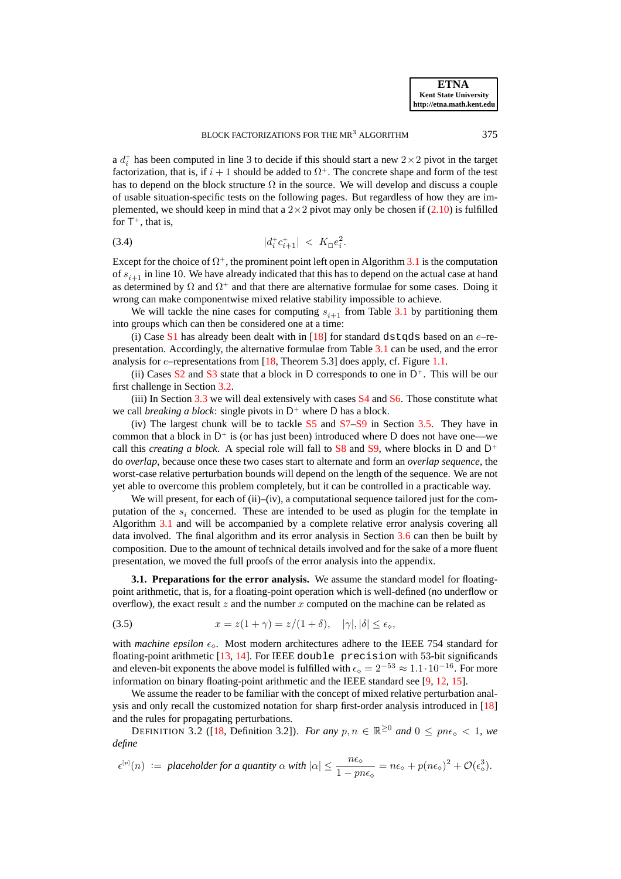a  $d_i^+$  has been computed in line 3 to decide if this should start a new  $2 \times 2$  pivot in the target factorization, that is, if  $i + 1$  should be added to  $\Omega^+$ . The concrete shape and form of the test has to depend on the block structure  $\Omega$  in the source. We will develop and discuss a couple of usable situation-specific tests on the following pages. But regardless of how they are implemented, we should keep in mind that a  $2 \times 2$  pivot may only be chosen if [\(2.10\)](#page-8-0) is fulfilled for  $T^+$ , that is,

<span id="page-12-2"></span>
$$
|d_i^+ c_{i+1}^+| < K_\square e_i^2.
$$

Except for the choice of  $\Omega^+$ , the prominent point left open in Algorithm [3.1](#page-11-0) is the computation of  $s_{i+1}$  in line 10. We have already indicated that this has to depend on the actual case at hand as determined by  $\Omega$  and  $\Omega^+$  and that there are alternative formulae for some cases. Doing it wrong can make componentwise mixed relative stability impossible to achieve.

We will tackle the nine cases for computing  $s_{i+1}$  from Table [3.1](#page-10-0) by partitioning them into groups which can then be considered one at a time:

(i) Case  $S1$  has already been dealt with in [\[18\]](#page-27-8) for standard dstqds based on an  $e$ -representation. Accordingly, the alternative formulae from Table [3.1](#page-10-0) can be used, and the error analysis for  $e$ -representations from [\[18,](#page-27-8) Theorem 5.3] does apply, cf. Figure [1.1.](#page-3-0)

(ii) Cases  $S2$  and  $S3$  state that a block in D corresponds to one in  $D^+$ . This will be our first challenge in Section [3.2.](#page-15-1)

(iii) In Section [3.3](#page-16-0) we will deal extensively with cases [S4](#page-10-6) and [S6.](#page-10-1) Those constitute what we call *breaking a block*: single pivots in  $D^+$  where D has a block.

(iv) The largest chunk will be to tackle [S5](#page-10-7) and [S7](#page-10-4)[–S9](#page-10-8) in Section [3.5.](#page-19-0) They have in common that a block in  $D^+$  is (or has just been) introduced where D does not have one—we call this *creating a block*. A special role will fall to  $S_8$  and  $S_9$ , where blocks in D and D<sup>+</sup> do *overlap*, because once these two cases start to alternate and form an *overlap sequence*, the worst-case relative perturbation bounds will depend on the length of the sequence. We are not yet able to overcome this problem completely, but it can be controlled in a practicable way.

We will present, for each of (ii)–(iv), a computational sequence tailored just for the computation of the  $s_i$  concerned. These are intended to be used as plugin for the template in Algorithm [3.1](#page-11-0) and will be accompanied by a complete relative error analysis covering all data involved. The final algorithm and its error analysis in Section [3.6](#page-22-0) can then be built by composition. Due to the amount of technical details involved and for the sake of a more fluent presentation, we moved the full proofs of the error analysis into the appendix.

<span id="page-12-0"></span>**3.1. Preparations for the error analysis.** We assume the standard model for floatingpoint arithmetic, that is, for a floating-point operation which is well-defined (no underflow or overflow), the exact result z and the number x computed on the machine can be related as

<span id="page-12-1"></span>(3.5) 
$$
x = z(1+\gamma) = z/(1+\delta), \quad |\gamma|, |\delta| \le \epsilon_{\diamond},
$$

with *machine epsilon*  $\epsilon_{\diamond}$ . Most modern architectures adhere to the IEEE 754 standard for floating-point arithmetic [\[13,](#page-27-12) [14\]](#page-27-13). For IEEE double precision with 53-bit significands and eleven-bit exponents the above model is fulfilled with  $\epsilon_{\circ} = 2^{-53} \approx 1.1 \cdot 10^{-16}$ . For more information on binary floating-point arithmetic and the IEEE standard see [\[9,](#page-27-14) [12,](#page-27-15) [15\]](#page-27-16).

We assume the reader to be familiar with the concept of mixed relative perturbation analysis and only recall the customized notation for sharp first-order analysis introduced in [\[18\]](#page-27-8) and the rules for propagating perturbations.

DEFINITION 3.2 ([\[18,](#page-27-8) Definition 3.2]). *For any*  $p, n \in \mathbb{R}^{\geq 0}$  and  $0 \leq p n \epsilon_0 < 1$ , we *define*

$$
\epsilon^{[p]}(n) \ := \ \text{placeholder for a quantity} \ \alpha \ \text{with} \ |\alpha| \leq \frac{n\epsilon_{\diamond}}{1 - p n \epsilon_{\diamond}} = n\epsilon_{\diamond} + p(n\epsilon_{\diamond})^2 + \mathcal{O}(\epsilon_{\diamond}^3).
$$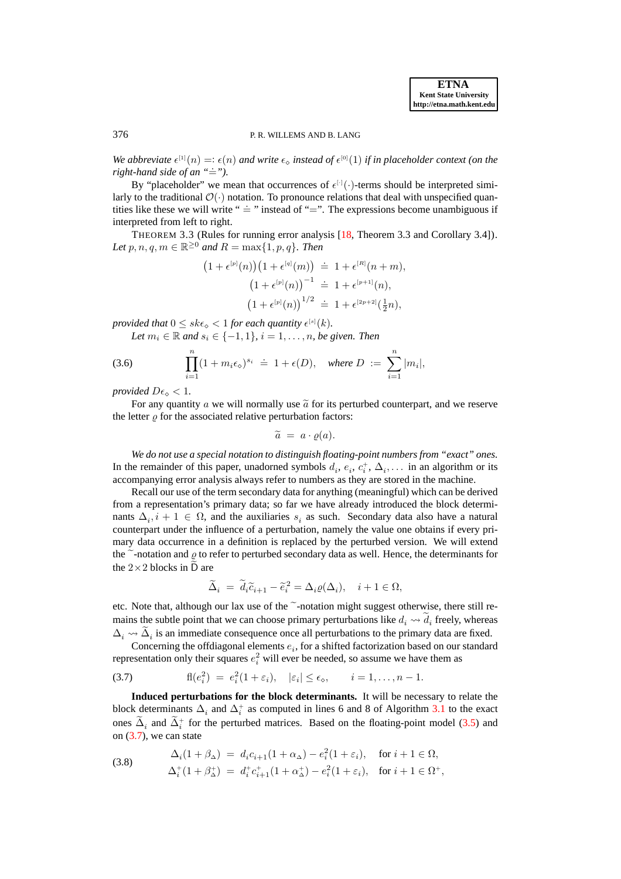### 376 P. R. WILLEMS AND B. LANG

We abbreviate  $\epsilon^{[1]}(n) =: \epsilon(n)$  and write  $\epsilon_{\infty}$  instead of  $\epsilon^{[0]}(1)$  if in placeholder context (on the *right-hand side of an*  $" \doteq"$ .

By "placeholder" we mean that occurrences of  $\epsilon^{\lceil \cdot \rceil}(\cdot)$ -terms should be interpreted similarly to the traditional  $\mathcal{O}(\cdot)$  notation. To pronounce relations that deal with unspecified quantities like these we will write "  $\dot{=}$  " instead of " $\dot{=}$ ". The expressions become unambiguous if interpreted from left to right.

<span id="page-13-3"></span>THEOREM 3.3 (Rules for running error analysis [\[18,](#page-27-8) Theorem 3.3 and Corollary 3.4]). Let  $p, n, q, m \in \mathbb{R}^{\geq 0}$  and  $R = \max\{1, p, q\}$ . Then

$$
(1 + \epsilon^{[p]}(n))(1 + \epsilon^{[q]}(m)) \doteq 1 + \epsilon^{[R]}(n+m),
$$
  

$$
(1 + \epsilon^{[p]}(n))^{-1} \doteq 1 + \epsilon^{[p+1]}(n),
$$
  

$$
(1 + \epsilon^{[p]}(n))^{1/2} \doteq 1 + \epsilon^{[2p+2]}(\frac{1}{2}n),
$$

*provided that*  $0 \leq sk\epsilon_{\diamond} < 1$  *for each quantity*  $\epsilon^{[s]}(k)$ *.* 

*Let*  $m_i \in \mathbb{R}$  and  $s_i \in \{-1, 1\}$ ,  $i = 1, \ldots, n$ , be given. Then

(3.6) 
$$
\prod_{i=1}^{n} (1 + m_i \epsilon_{\diamond})^{s_i} \doteq 1 + \epsilon(D), \text{ where } D := \sum_{i=1}^{n} |m_i|,
$$

*provided*  $D\epsilon_{\infty} < 1$ *.* 

For any quantity a we will normally use  $\tilde{a}$  for its perturbed counterpart, and we reserve the letter  $\rho$  for the associated relative perturbation factors:

<span id="page-13-2"></span> $\widetilde{a} = a \cdot \varrho(a).$ 

*We do not use a special notation to distinguish floating-point numbers from "exact" ones.* In the remainder of this paper, unadorned symbols  $d_i, e_i, c_i^+, \Delta_i, \ldots$  in an algorithm or its accompanying error analysis always refer to numbers as they are stored in the machine.

Recall our use of the term secondary data for anything (meaningful) which can be derived from a representation's primary data; so far we have already introduced the block determinants  $\Delta_i$ ,  $i + 1 \in \Omega$ , and the auxiliaries  $s_i$  as such. Secondary data also have a natural counterpart under the influence of a perturbation, namely the value one obtains if every primary data occurrence in a definition is replaced by the perturbed version. We will extend the  $\tilde{\ }$ -notation and  $\varrho$  to refer to perturbed secondary data as well. Hence, the determinants for the  $2 \times 2$  blocks in D are

<span id="page-13-0"></span>
$$
\widetilde{\Delta}_i = \widetilde{d}_i \widetilde{c}_{i+1} - \widetilde{e}_i^2 = \Delta_i \varrho(\Delta_i), \quad i+1 \in \Omega,
$$

etc. Note that, although our lax use of the  $\tilde{\ }$ -notation might suggest otherwise, there still remains the subtle point that we can choose primary perturbations like  $d_i \leadsto d_i$  freely, whereas  $\Delta_i \rightarrow \Delta_i$  is an immediate consequence once all perturbations to the primary data are fixed.

Concerning the offdiagonal elements  $e_i$ , for a shifted factorization based on our standard representation only their squares  $e_i^2$  will ever be needed, so assume we have them as

(3.7) 
$$
\mathrm{fl}(e_i^2) = e_i^2(1+\varepsilon_i), \quad |\varepsilon_i| \leq \epsilon_\diamond, \qquad i=1,\ldots,n-1.
$$

**Induced perturbations for the block determinants.** It will be necessary to relate the block determinants  $\Delta_i$  and  $\Delta_i^+$  as computed in lines 6 and 8 of Algorithm [3.1](#page-11-0) to the exact ones  $\Delta_i$  and  $\Delta_i^+$  for the perturbed matrices. Based on the floating-point model [\(3.5\)](#page-12-1) and on  $(3.7)$ , we can state

<span id="page-13-1"></span>(3.8) 
$$
\Delta_i(1+\beta_{\Delta}) = d_i c_{i+1} (1+\alpha_{\Delta}) - e_i^2 (1+\varepsilon_i), \text{ for } i+1 \in \Omega, \Delta_i^+ (1+\beta_{\Delta}^+) = d_i^+ c_{i+1}^+ (1+\alpha_{\Delta}^+) - e_i^2 (1+\varepsilon_i), \text{ for } i+1 \in \Omega^+,
$$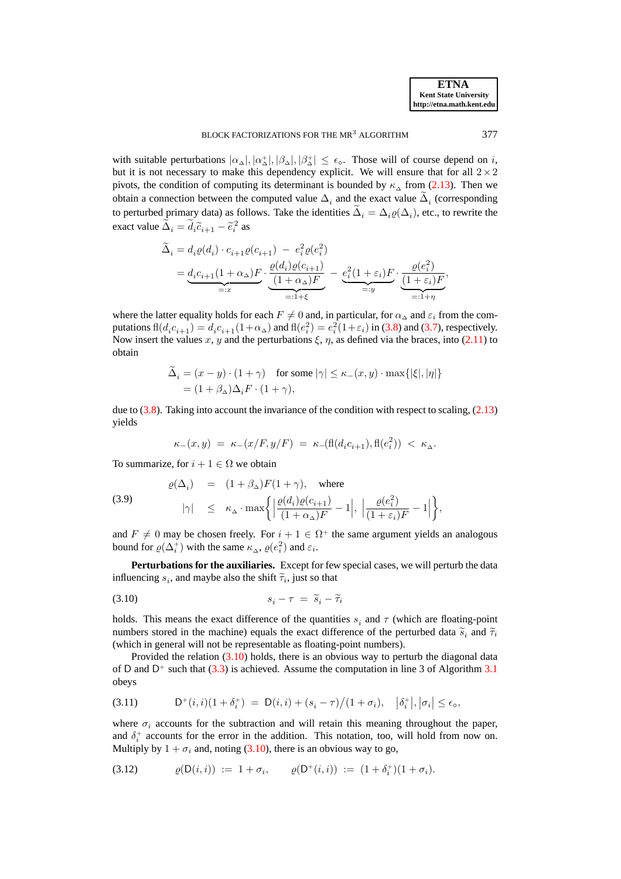with suitable perturbations  $|\alpha_{\Delta}|, |\alpha_{\Delta}^+|, |\beta_{\Delta}|, |\beta_{\Delta}^+| \le \epsilon_{\diamond}$ . Those will of course depend on i, but it is not necessary to make this dependency explicit. We will ensure that for all  $2\times 2$ pivots, the condition of computing its determinant is bounded by  $\kappa_{\Delta}$  from [\(2.13\)](#page-8-2). Then we obtain a connection between the computed value  $\Delta_i$  and the exact value  $\Delta_i$  (corresponding to perturbed primary data) as follows. Take the identities  $\Delta_i = \Delta_i \varrho(\Delta_i)$ , etc., to rewrite the exact value  $\tilde{\Delta}_i = d_i \tilde{c}_{i+1} - \tilde{e}_i^2$  as

$$
\begin{split} \widetilde{\Delta}_i &= d_i \varrho(d_i) \cdot c_{i+1} \varrho(c_{i+1}) \ - \ e_i^2 \varrho(e_i^2) \\ &= \underbrace{d_i c_{i+1} (1 + \alpha_\Delta) F}_{=:x} \cdot \underbrace{\frac{\varrho(d_i) \varrho(c_{i+1})}{(1 + \alpha_\Delta) F}}_{=:1 + \xi} \ - \underbrace{e_i^2 (1 + \varepsilon_i) F}_{=:y} \cdot \underbrace{\frac{\varrho(e_i^2)}{(1 + \varepsilon_i) F}}_{=:1 + \eta}, \end{split}
$$

where the latter equality holds for each  $F \neq 0$  and, in particular, for  $\alpha_{\Delta}$  and  $\varepsilon_i$  from the computations  $\text{fl}(d_i c_{i+1}) = d_i c_{i+1} (1 + \alpha_{\Delta})$  and  $\text{fl}(e_i^2) = e_i^2 (1 + \varepsilon_i)$  in [\(3.8\)](#page-13-1) and [\(3.7\)](#page-13-0), respectively. Now insert the values x, y and the perturbations  $\xi$ ,  $\eta$ , as defined via the braces, into [\(2.11\)](#page-8-3) to obtain

$$
\begin{aligned} \Delta_i &= (x - y) \cdot (1 + \gamma) \quad \text{for some } |\gamma| \le \kappa_-(x, y) \cdot \max\{|\xi|, |\eta|\} \\ &= (1 + \beta_\Delta) \Delta_i F \cdot (1 + \gamma), \end{aligned}
$$

due to  $(3.8)$ . Taking into account the invariance of the condition with respect to scaling,  $(2.13)$ yields

<span id="page-14-3"></span><span id="page-14-0"></span>
$$
\kappa_-(x,y) \; = \; \kappa_-(x/F,y/F) \; = \; \kappa_-(\mathrm{fl}(d_i c_{i+1}),\mathrm{fl}(e_i^2)) \; < \; \kappa_{\Delta}.
$$

To summarize, for  $i + 1 \in \Omega$  we obtain

(3.9) 
$$
\varrho(\Delta_i) = (1 + \beta_{\Delta})F(1 + \gamma), \text{ where}
$$

$$
|\gamma| \leq \kappa_{\Delta} \cdot \max \left\{ \left| \frac{\varrho(d_i)\varrho(c_{i+1})}{(1 + \alpha_{\Delta})F} - 1 \right|, \left| \frac{\varrho(e_i^2)}{(1 + \varepsilon_i)F} - 1 \right| \right\},\
$$

and  $F \neq 0$  may be chosen freely. For  $i + 1 \in \Omega^+$  the same argument yields an analogous bound for  $\varrho(\Delta_i^+)$  with the same  $\kappa_\Delta$ ,  $\varrho(e_i^2)$  and  $\varepsilon_i$ .

**Perturbations for the auxiliaries.** Except for few special cases, we will perturb the data influencing  $s_i$ , and maybe also the shift  $\tilde{\tau}_i$ , just so that

$$
(3.10) \t\t s_i - \tau = \widetilde{s}_i - \widetilde{\tau}_i
$$

holds. This means the exact difference of the quantities  $s_i$  and  $\tau$  (which are floating-point numbers stored in the machine) equals the exact difference of the perturbed data  $\tilde{s}_i$  and  $\tilde{\tau}_i$ <br>(which is appeal will not be approachable as flasting neighbourghous) (which in general will not be representable as floating-point numbers).

Provided the relation [\(3.10\)](#page-14-0) holds, there is an obvious way to perturb the diagonal data of D and  $D^+$  such that [\(3.3\)](#page-11-1) is achieved. Assume the computation in line 3 of Algorithm [3.1](#page-11-0) obeys

<span id="page-14-2"></span>(3.11) 
$$
D^+(i,i)(1+\delta_i^+) = D(i,i) + (s_i - \tau)/(1+\sigma_i), \quad |\delta_i^+|, |\sigma_i| \le \epsilon_0,
$$

where  $\sigma_i$  accounts for the subtraction and will retain this meaning throughout the paper, and  $\delta_i^+$  accounts for the error in the addition. This notation, too, will hold from now on. Multiply by  $1 + \sigma_i$  and, noting [\(3.10\)](#page-14-0), there is an obvious way to go,

<span id="page-14-1"></span>(3.12) 
$$
\varrho(D(i,i)) := 1 + \sigma_i, \qquad \varrho(D^+(i,i)) := (1 + \delta_i^+)(1 + \sigma_i).
$$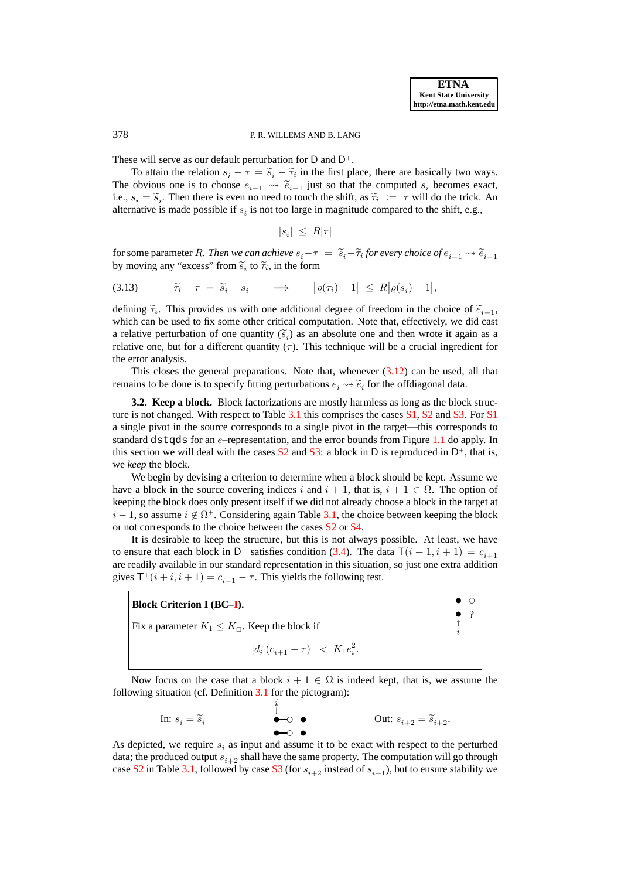### 378 P. R. WILLEMS AND B. LANG

These will serve as our default perturbation for  $D$  and  $D^+$ .

To attain the relation  $s_i - \tau = \tilde{s}_i - \tilde{\tau}_i$  in the first place, there are basically two ways. The obvious one is to choose  $e_{i-1} \leadsto \tilde{e}_{i-1}$  just so that the computed  $s_i$  becomes exact, i.e.,  $s_i = \tilde{s}_i$ . Then there is even no need to touch the shift, as  $\tilde{\tau}_i := \tau$  will do the trick. An alternative is made assailed if  $s_i$  is not too long in magnitude assument to the shift. alternative is made possible if  $s_i$  is not too large in magnitude compared to the shift, e.g.,

<span id="page-15-2"></span>
$$
|s_i| \leq R|\tau|
$$

for some parameter R. *Then we can achieve*  $s_i - \tau = \tilde{s}_i - \tilde{\tau}_i$  for every choice of  $e_{i-1} \leadsto \tilde{e}_{i-1}$ <br>hypergraphs and "transpare" from  $\tilde{\gamma}$  to  $\tilde{\gamma}$  in the form by moving any "excess" from  $\tilde{s}_i$  to  $\tilde{\tau}_i$ , in the form

(3.13)  $\widetilde{\tau}_i - \tau = \widetilde{s}_i - s_i \implies |\varrho(\tau_i) - 1| \leq R |\varrho(s_i) - 1|,$ 

defining  $\tilde{\tau}_i$ . This provides us with one additional degree of freedom in the choice of  $\tilde{e}_{i-1}$ , which can be used to fix some other critical computation. Note that, effectively, we did cast a relative perturbation of one quantity  $(\tilde{s}_i)$  as an absolute one and then wrote it again as a relative and the state of  $s_i$ relative one, but for a different quantity  $(\tau)$ . This technique will be a crucial ingredient for the error analysis.

This closes the general preparations. Note that, whenever  $(3.12)$  can be used, all that remains to be done is to specify fitting perturbations  $e_i \leadsto \tilde{e}_i$  for the offdiagonal data.

<span id="page-15-1"></span>**3.2. Keep a block.** Block factorizations are mostly harmless as long as the block struc-ture is not changed. With respect to Table [3.1](#page-10-0) this comprises the cases  $S1$ ,  $S2$  and  $S3$ . For S1 a single pivot in the source corresponds to a single pivot in the target—this corresponds to standard dstqds for an  $e$ –representation, and the error bounds from Figure [1.1](#page-3-0) do apply. In this section we will deal with the cases  $S2$  and  $S3$ : a block in D is reproduced in  $D^+$ , that is, we *keep* the block.

We begin by devising a criterion to determine when a block should be kept. Assume we have a block in the source covering indices i and  $i + 1$ , that is,  $i + 1 \in \Omega$ . The option of keeping the block does only present itself if we did not already choose a block in the target at  $i-1$ , so assume  $i \notin \Omega^+$ . Considering again Table [3.1,](#page-10-0) the choice between keeping the block or not corresponds to the choice between the cases [S2](#page-10-5) or [S4.](#page-10-6)

It is desirable to keep the structure, but this is not always possible. At least, we have to ensure that each block in  $D^+$  satisfies condition [\(3.4\)](#page-12-2). The data  $\mathsf{T}(i+1,i+1) = c_{i+1}$ are readily available in our standard representation in this situation, so just one extra addition gives  $\mathsf{T}^+(i+i,i+1) = c_{i+1} - \tau$ . This yields the following test.

<span id="page-15-0"></span>

| <b>Block Criterion I (BC-I).</b>                           |  |
|------------------------------------------------------------|--|
| Fix a parameter $K_1 \leq K_{\square}$ . Keep the block if |  |
| $ d_i^+(c_{i+1} - \tau)  < K_1 e_i^2$ .                    |  |

Now focus on the case that a block  $i + 1 \in \Omega$  is indeed kept, that is, we assume the following situation (cf. Definition [3.1](#page-9-1) for the pictogram):

$$
\text{In: } s_i = \widetilde{s}_i \qquad \qquad \overset{i}{\bullet} \qquad \qquad \text{Out: } s_{i+2} = \widetilde{s}_{i+2}.
$$

As depicted, we require  $s_i$  as input and assume it to be exact with respect to the perturbed data; the produced output  $s_{i+2}$  shall have the same property. The computation will go through case [S2](#page-10-5) in Table [3.1,](#page-10-0) followed by case [S3](#page-10-3) (for  $s_{i+2}$  instead of  $s_{i+1}$ ), but to ensure stability we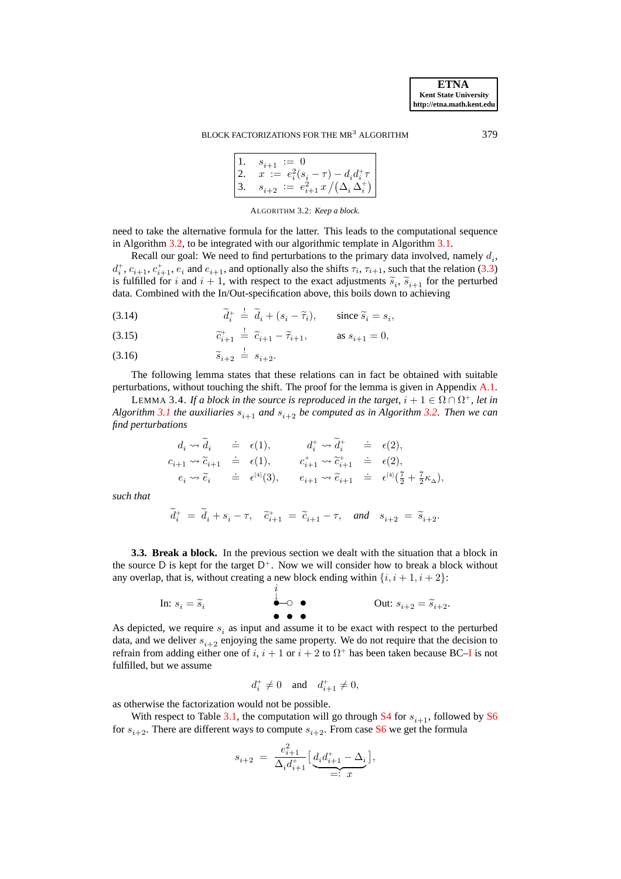#### BLOCK FACTORIZATIONS FOR THE MR<sup>3</sup> ALGORITHM 379

| 1. $s_{i+1} := 0$<br>2. $x := e_i^2(s_i - \tau) - d_i d_i^+ \tau$<br>3. $s_{i+2} := e_{i+1}^2 x / (\Delta_i \Delta_i^+)$ |
|--------------------------------------------------------------------------------------------------------------------------|

ALGORITHM 3.2: *Keep a block.*

<span id="page-16-1"></span>need to take the alternative formula for the latter. This leads to the computational sequence in Algorithm [3.2,](#page-16-1) to be integrated with our algorithmic template in Algorithm [3.1.](#page-11-0)

Recall our goal: We need to find perturbations to the primary data involved, namely  $d_i$ ,  $d_i^+, c_{i+1}, c_{i+1}^+, e_i$  and  $e_{i+1}$ , and optionally also the shifts  $\tau_i$ ,  $\tau_{i+1}$ , such that the relation [\(3.3\)](#page-11-1) is fulfilled for i and  $i + 1$ , with respect to the exact adjustments  $\tilde{s}_i$ ,  $\tilde{s}_{i+1}$  for the perturbed<br>data Combined with the In/Out angle of the perturbed data demands adjustment data. Combined with the In/Out-specification above, this boils down to achieving

- <span id="page-16-3"></span>(3.14)  $\widetilde{d}_i^+ \stackrel{!}{=} \widetilde{d}_i + (s_i - \widetilde{\tau}_i), \text{ since } \widetilde{s}_i = s_i,$
- <span id="page-16-4"></span>(3.15)  $\widetilde{c}_{i+1}^+ \stackrel{!}{=} \widetilde{c}_{i+1} - \widetilde{\tau}_{i+1}, \quad \text{as } s_{i+1} = 0,$
- <span id="page-16-5"></span>(3.16)  $\widetilde{s}_{i+2} \stackrel{!}{=} s_{i+2}.$

<span id="page-16-2"></span>The following lemma states that these relations can in fact be obtained with suitable perturbations, without touching the shift. The proof for the lemma is given in Appendix [A.1.](#page-28-0)

LEMMA 3.4. If a block in the source is reproduced in the target,  $i + 1 \in \Omega \cap \Omega^+$ , let in *Algorithm* [3.1](#page-11-0) *the auxiliaries*  $s_{i+1}$  *and*  $s_{i+2}$  *be computed as in Algorithm* [3.2.](#page-16-1) *Then we can find perturbations*

$$
d_i \leadsto \widetilde{d}_i \qquad \doteq \qquad \epsilon(1), \qquad \qquad d_i^+ \leadsto \widetilde{d}_i^+ \qquad \doteq \qquad \epsilon(2),
$$
\n
$$
c_{i+1} \leadsto \widetilde{c}_{i+1} \qquad \doteq \qquad \epsilon(1), \qquad \qquad c_{i+1}^+ \leadsto \widetilde{c}_{i+1}^+ \qquad \doteq \qquad \epsilon(2),
$$
\n
$$
e_i \leadsto \widetilde{e}_i \qquad \doteq \qquad \epsilon^{[4]}(3), \qquad e_{i+1} \leadsto \widetilde{e}_{i+1} \qquad \doteq \qquad \epsilon^{[4]}(\frac{7}{2} + \frac{7}{2}\kappa_\Delta),
$$

*such that*

$$
\widetilde d^+_i\ =\ \widetilde d_i+s_i-\tau,\quad \widetilde c^+_{i+1}\ =\ \widetilde c_{i+1}-\tau,\quad and\quad s_{i+2}\ =\ \widetilde s_{i+2}.
$$

<span id="page-16-0"></span>**3.3. Break a block.** In the previous section we dealt with the situation that a block in the source D is kept for the target  $D^+$ . Now we will consider how to break a block without any overlap, that is, without creating a new block ending within  $\{i, i+1, i+2\}$ :

In: 
$$
s_i = \tilde{s}_i
$$
  $\overset{\overset{i}{\downarrow}}{\bullet}$   $\circ$   $\overset{\underset{i}{\downarrow}}{\bullet}$  Out:  $s_{i+2} = \tilde{s}_{i+2}$ .

As depicted, we require  $s_i$  as input and assume it to be exact with respect to the perturbed data, and we deliver  $s_{i+2}$  enjoying the same property. We do not require that the decision to refrain from adding either one of  $i$ ,  $i + 1$  or  $i + 2$  to  $\Omega^+$  has been taken because BC-I is not fulfilled, but we assume

$$
d_i^+ \neq 0 \quad \text{and} \quad d_{i+1}^+ \neq 0,
$$

as otherwise the factorization would not be possible.

With respect to Table [3.1,](#page-10-0) the computation will go through [S4](#page-10-6) for  $s_{i+1}$ , followed by [S6](#page-10-1) for  $s_{i+2}$ . There are different ways to compute  $s_{i+2}$ . From case [S6](#page-10-1) we get the formula

$$
s_{i+2} = \frac{e_{i+1}^2}{\Delta_i d_{i+1}^+} \Big[ \underbrace{d_i d_{i+1}^+ - \Delta_i}_{=: x} \Big],
$$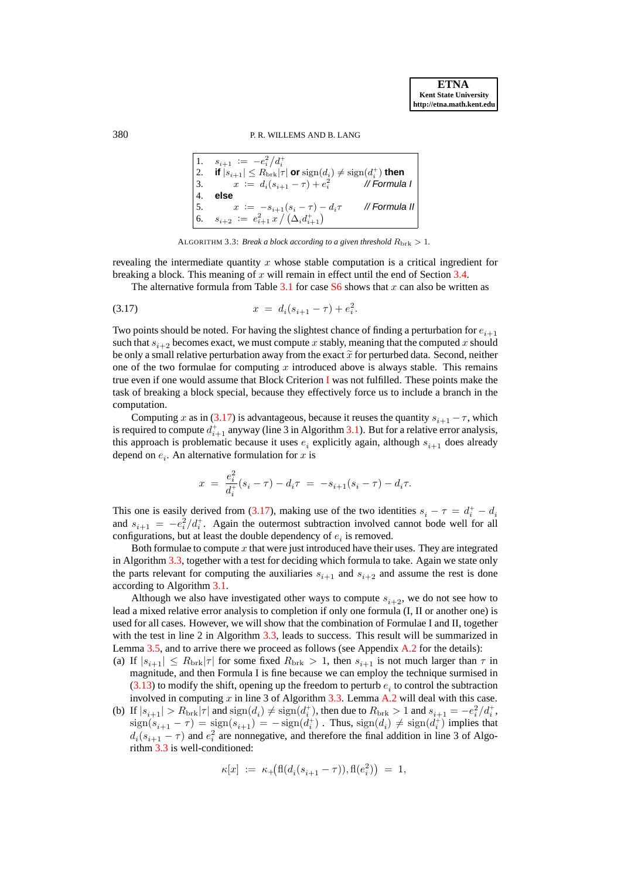# 380 P. R. WILLEMS AND B. LANG

| $\vert 1.$ | $s_{i+1} := -e_i^2/d_i^+$                                                                    |               |
|------------|----------------------------------------------------------------------------------------------|---------------|
| $\vert 2.$ | if $ s_{i+1}  \leq R_{\text{brk}}  \tau $ or $\text{sign}(d_i) \neq \text{sign}(d_i^+)$ then |               |
| $\vert 3.$ | $x := d_i(s_{i+1} - \tau) + e_i^2$                                                           | // Formula I  |
| $\vert 4.$ | else                                                                                         |               |
| $\vert 5.$ | $x := -s_{i+1}(s_i - \tau) - d_i \tau$                                                       | // Formula II |
| $\vert 6.$ | $s_{i+2} := e_{i+1}^2 x / (\Delta_i d_{i+1}^+)$                                              |               |

<span id="page-17-0"></span>ALGORITHM 3.3: *Break a block according to a given threshold*  $R_{\text{brk}} > 1$ *.* 

<span id="page-17-1"></span>revealing the intermediate quantity  $x$  whose stable computation is a critical ingredient for breaking a block. This meaning of x will remain in effect until the end of Section [3.4.](#page-18-0)

The alternative formula from Table [3.1](#page-10-0) for case  $S_6$  shows that x can also be written as

$$
(3.17) \t\t x = d_i(s_{i+1} - \tau) + e_i^2.
$$

Two points should be noted. For having the slightest chance of finding a perturbation for  $e_{i+1}$ such that  $s_{i+2}$  becomes exact, we must compute x stably, meaning that the computed x should be only a small relative perturbation away from the exact  $\widetilde{x}$  for perturbed data. Second, neither one of the two formulae for computing x introduced above is always stable. This remains true even if one would assume that Block Criterion [I](#page-15-0) was not fulfilled. These points make the task of breaking a block special, because they effectively force us to include a branch in the computation.

Computing x as in [\(3.17\)](#page-17-0) is advantageous, because it reuses the quantity  $s_{i+1} - \tau$ , which is required to compute  $d_{i+1}^+$  anyway (line 3 in Algorithm [3.1\)](#page-11-0). But for a relative error analysis, this approach is problematic because it uses  $e_i$  explicitly again, although  $s_{i+1}$  does already depend on  $e_i$ . An alternative formulation for x is

$$
x = \frac{e_i^2}{d_i^+} (s_i - \tau) - d_i \tau = -s_{i+1} (s_i - \tau) - d_i \tau.
$$

This one is easily derived from [\(3.17\)](#page-17-0), making use of the two identities  $s_i - \tau = d_i^+ - d_i$ and  $s_{i+1} = -e_i^2/d_i^+$ . Again the outermost subtraction involved cannot bode well for all configurations, but at least the double dependency of  $e_i$  is removed.

Both formulae to compute  $x$  that were just introduced have their uses. They are integrated in Algorithm [3.3,](#page-17-1) together with a test for deciding which formula to take. Again we state only the parts relevant for computing the auxiliaries  $s_{i+1}$  and  $s_{i+2}$  and assume the rest is done according to Algorithm [3.1.](#page-11-0)

Although we also have investigated other ways to compute  $s_{i+2}$ , we do not see how to lead a mixed relative error analysis to completion if only one formula (I, II or another one) is used for all cases. However, we will show that the combination of Formulae I and II, together with the test in line 2 in Algorithm [3.3,](#page-17-1) leads to success. This result will be summarized in Lemma [3.5,](#page-18-1) and to arrive there we proceed as follows (see Appendix [A.2](#page-29-0) for the details):

- (a) If  $|s_{i+1}| \le R_{\text{brk}} |\tau|$  for some fixed  $R_{\text{brk}} > 1$ , then  $s_{i+1}$  is not much larger than  $\tau$  in magnitude, and then Formula I is fine because we can employ the technique surmised in  $(3.13)$  to modify the shift, opening up the freedom to perturb  $e_i$  to control the subtraction involved in computing  $x$  in line 3 of Algorithm [3.3.](#page-17-1) Lemma [A.2](#page-31-0) will deal with this case.
- (b) If  $|s_{i+1}| > R_{\text{brk}}|\tau|$  and  $\text{sign}(d_i) \neq \text{sign}(d_i^+)$ , then due to  $R_{\text{brk}} > 1$  and  $s_{i+1} = -e_i^2/d_i^+$ ,  $sign(s_{i+1} - \tau) = sign(s_{i+1}) = -sign(d_i^+)$ . Thus,  $sign(d_i) \neq sign(d_i^+)$  implies that  $d_i(s_{i+1} - \tau)$  and  $e_i^2$  are nonnegative, and therefore the final addition in line 3 of Algorithm [3.3](#page-17-1) is well-conditioned:

$$
\kappa[x] \ := \ \kappa_+ \big( {\rm fl}(d_i(s_{i+1} - \tau)), {\rm fl}(e_i^2) \big) \ = \ 1,
$$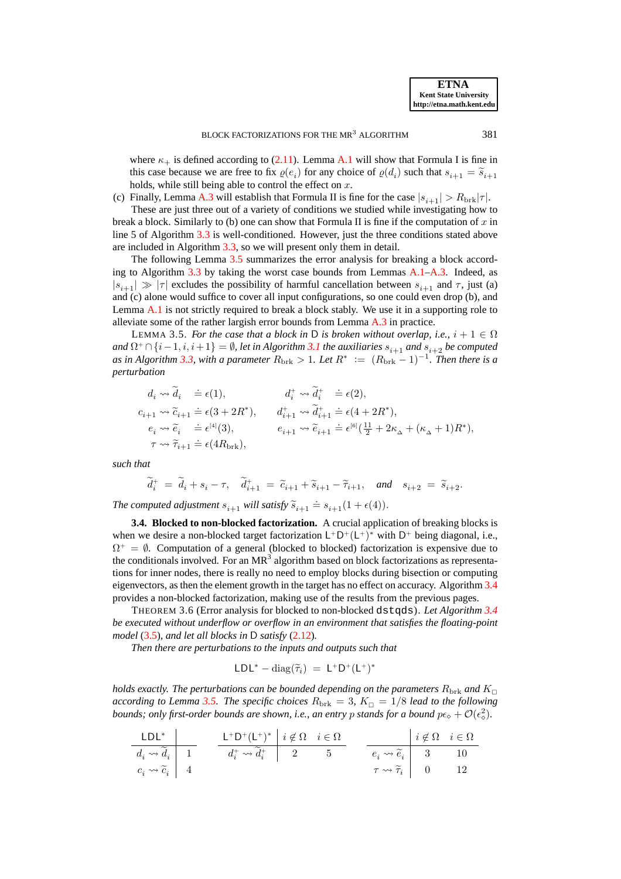where  $\kappa_{+}$  is defined according to [\(2.11\)](#page-8-3). Lemma [A.1](#page-30-0) will show that Formula I is fine in this case because we are free to fix  $\varrho(e_i)$  for any choice of  $\varrho(d_i)$  such that  $s_{i+1} = \tilde{s}_{i+1}$ holds, while still being able to control the effect on  $x$ .

(c) Finally, Lemma [A.3](#page-31-1) will establish that Formula II is fine for the case  $|s_{i+1}| > R_{\text{brk}}|\tau|$ .

These are just three out of a variety of conditions we studied while investigating how to break a block. Similarly to (b) one can show that Formula II is fine if the computation of  $x$  in line 5 of Algorithm [3.3](#page-17-1) is well-conditioned. However, just the three conditions stated above are included in Algorithm [3.3,](#page-17-1) so we will present only them in detail.

The following Lemma [3.5](#page-18-1) summarizes the error analysis for breaking a block according to Algorithm [3.3](#page-17-1) by taking the worst case bounds from Lemmas [A.1](#page-30-0)[–A.3.](#page-31-1) Indeed, as  $|s_{i+1}| \gg |\tau|$  excludes the possibility of harmful cancellation between  $s_{i+1}$  and  $\tau$ , just (a) and (c) alone would suffice to cover all input configurations, so one could even drop (b), and Lemma [A.1](#page-30-0) is not strictly required to break a block stably. We use it in a supporting role to alleviate some of the rather largish error bounds from Lemma [A.3](#page-31-1) in practice.

<span id="page-18-1"></span>LEMMA 3.5. *For the case that a block in* D *is broken without overlap, i.e.,*  $i + 1 \in \Omega$ and  $\Omega^+ \cap \{i-1,i,i+1\} = \emptyset$ , let in Algorithm [3.1](#page-11-0) the auxiliaries  $s_{i+1}$  and  $s_{i+2}$  be computed as in Algorithm [3.3,](#page-17-1) with a parameter  $R_{\text{brk}} > 1$ . Let  $R^* := (R_{\text{brk}} - 1)^{-1}$ . Then there is a *perturbation*

$$
\begin{array}{llll} & d_i \leadsto \widetilde{d}_i &\doteq \epsilon(1), & d_i^+ \leadsto \widetilde{d}_i^+ &\doteq \epsilon(2), \\ & c_{i+1} \leadsto \widetilde{c}_{i+1} \doteq \epsilon(3+2R^*), & d_{i+1}^+ \leadsto \widetilde{d}_{i+1}^+ \doteq \epsilon(4+2R^*), \\ & e_i \leadsto \widetilde{e}_i &\doteq \epsilon^{[4]}(3), & e_{i+1} \leadsto \widetilde{e}_{i+1} \doteq \epsilon^{[6]}(\frac{11}{2}+2\kappa_\Delta+(\kappa_\Delta+1)R^*), \\ & \tau \leadsto \widetilde{\tau}_{i+1} \doteq \epsilon(4R_{\mathrm{brk}}), \end{array}
$$

*such that*

$$
\widetilde{d}_i^+ = \widetilde{d}_i + s_i - \tau, \quad \widetilde{d}_{i+1}^+ = \widetilde{c}_{i+1} + \widetilde{s}_{i+1} - \widetilde{\tau}_{i+1}, \quad \text{and} \quad s_{i+2} = \widetilde{s}_{i+2}.
$$

The computed adjustment  $s_{i+1}$  will satisfy  $\widetilde{s}_{i+1} \doteq s_{i+1}(1 + \epsilon(4)).$ 

<span id="page-18-0"></span>**3.4. Blocked to non-blocked factorization.** A crucial application of breaking blocks is when we desire a non-blocked target factorization  $L^+D^+(L^+)^*$  with  $D^+$  being diagonal, i.e.,  $\Omega^+ = \emptyset$ . Computation of a general (blocked to blocked) factorization is expensive due to the conditionals involved. For an  $MR<sup>3</sup>$  algorithm based on block factorizations as representations for inner nodes, there is really no need to employ blocks during bisection or computing eigenvectors, as then the element growth in the target has no effect on accuracy. Algorithm [3.4](#page-19-1) provides a non-blocked factorization, making use of the results from the previous pages.

<span id="page-18-2"></span>THEOREM 3.6 (Error analysis for blocked to non-blocked dstqds). *Let Algorithm [3.4](#page-19-1) be executed without underflow or overflow in an environment that satisfies the floating-point model* [\(3.5\)](#page-12-1)*, and let all blocks in* D *satisfy* [\(2.12\)](#page-8-1)*.*

*Then there are perturbations to the inputs and outputs such that*

$$
LDL^*-\mathrm{diag}(\widetilde{\tau}_i)~=~L^+D^+(L^+)^*
$$

*holds exactly. The perturbations can be bounded depending on the parameters*  $R_{\rm brk}$  and  $K_{\Box}$ *according to Lemma [3.5.](#page-18-1) The specific choices*  $R_{\text{brk}} = 3$ ,  $K_{\text{C}} = 1/8$  *lead to the following bounds; only first-order bounds are shown, i.e., an entry p stands for a bound*  $p\epsilon_0 + \mathcal{O}(\epsilon_0^2)$ *.* 

| LDL*                       | $L^*$ | $L^+D^+(L^+)^*$                | $i \notin \Omega$ | $i \in \Omega$ | $i \notin \Omega$          | $i \in \Omega$ |    |
|----------------------------|-------|--------------------------------|-------------------|----------------|----------------------------|----------------|----|
| $d_i \leadsto \tilde{d}_i$ | 1     | $d_i^* \leadsto \tilde{d}_i^+$ | 2                 | 5              | $e_i \leadsto \tilde{e}_i$ | 3              | 10 |
| $c_i \leadsto \tilde{c}_i$ | 4     | $\tau \leadsto \tilde{\tau}_i$ | 0                 | 12             |                            |                |    |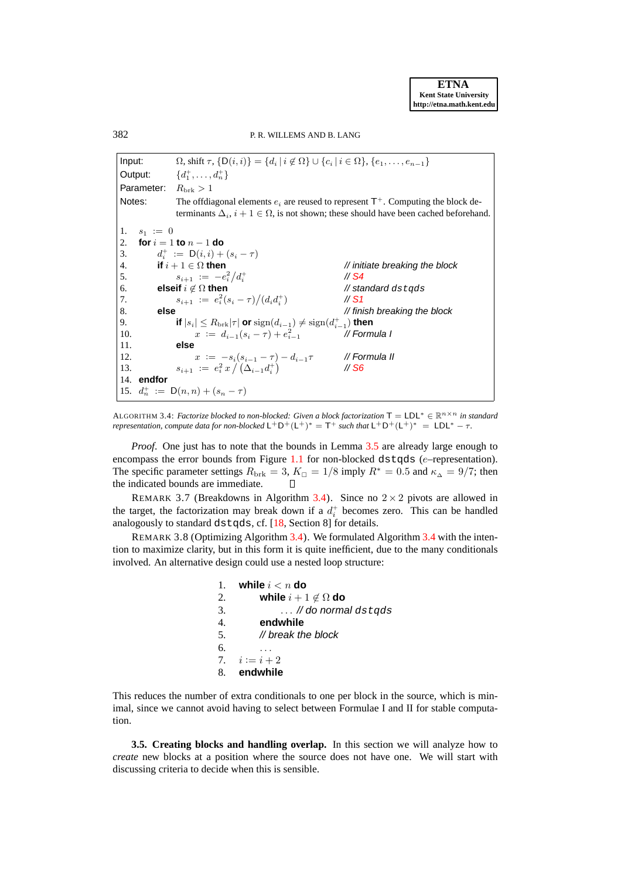Input:  $\Omega$ , shift  $\tau$ ,  $\{D(i,i)\} = \{d_i | i \notin \Omega\} \cup \{c_i | i \in \Omega\}$ ,  $\{e_1, \ldots, e_{n-1}\}$ Output:  $x_1^+, \ldots, x_n^+ \}$ Parameter:  $R_{\text{brk}} > 1$ Notes: The offdiagonal elements  $e_i$  are reused to represent  $T^+$ . Computing the block determinants  $\Delta_i$ ,  $i + 1 \in \Omega$ , is not shown; these should have been cached beforehand. 1.  $s_1 := 0$ 2. **for**  $i = 1$  **to**  $n - 1$  **do** 3.  $d_i^+ := \mathsf{D}(i,i) + (s_i - \tau)$ 4. **if**  $i + 1 \in \Omega$  then  $\blacksquare$  // initiate breaking the block 5.  $s_{i+1} := -e_i^2/d_i^+$  // S4<br>6. **elseif**  $i \notin \Omega$  **then** // standard dstqds // [S4](#page-10-6) 7.  $s_{i+1} := e_i^2 (s_i - \tau) / (d_i d_i^+$  $\frac{\pi}{31}$ 8. **else else** *else else else else else else else else else else else else else else else else else else else else else else else* 9. **if**  $|s_i| \leq R_{\text{brk}}|\tau|$  or  $\text{sign}(d_{i-1}) \neq \text{sign}(d_{i-1}^+)$  then 10.  $x := d_{i-1}(s_i - \tau) + e_i^2$ <sup>i</sup>−<sup>1</sup> // Formula I 11. **else** 12.  $x := -s_i(s_{i-1} - \tau) - d_{i-1}\tau$  // Formula II 13.  $s_{i+1} := e_i^2 x / (\Delta_{i-1} d_i^+)$ // [S6](#page-10-1) 14. **endfor** 15.  $d_n^+ := D(n,n) + (s_n - \tau)$ 

<span id="page-19-1"></span>ALGORITHM 3.4: *Factorize blocked to non-blocked: Given a block factorization* **T** = LDL<sup>\*</sup> ∈  $\mathbb{R}^{n \times n}$  *in standard representation, compute data for non-blocked*  $L^+D^+(L^+)^* = T^+$  *such that*  $L^+D^+(L^+)^* = LDL^* - \tau$ .

*Proof.* One just has to note that the bounds in Lemma [3.5](#page-18-1) are already large enough to encompass the error bounds from Figure [1.1](#page-3-0) for non-blocked d $stqds$  (e–representation). The specific parameter settings  $R_{\text{brk}} = 3$ ,  $K_{\Box} = 1/8$  imply  $R^* = 0.5$  and  $\kappa_{\Delta} = 9/7$ ; then the indicated bounds are immediate.  $\Box$ 

REMARK 3.7 (Breakdowns in Algorithm [3.4\)](#page-19-1). Since no  $2 \times 2$  pivots are allowed in the target, the factorization may break down if a  $d_i^+$  becomes zero. This can be handled analogously to standard dstqds, cf. [\[18,](#page-27-8) Section 8] for details.

REMARK 3.8 (Optimizing Algorithm [3.4\)](#page-19-1). We formulated Algorithm [3.4](#page-19-1) with the intention to maximize clarity, but in this form it is quite inefficient, due to the many conditionals involved. An alternative design could use a nested loop structure:

| 1.               | while $i < n$ do             |
|------------------|------------------------------|
| 2.               | while $i+1 \notin \Omega$ do |
| 3.               | $\ldots$ // do normal dstqds |
| $\overline{4}$ . | endwhile                     |
| 5.               | $\mathcal U$ break the block |
| 6.               |                              |
|                  | 7. $i := i + 2$              |
|                  | 8. endwhile                  |

This reduces the number of extra conditionals to one per block in the source, which is minimal, since we cannot avoid having to select between Formulae I and II for stable computation.

<span id="page-19-0"></span>**3.5. Creating blocks and handling overlap.** In this section we will analyze how to *create* new blocks at a position where the source does not have one. We will start with discussing criteria to decide when this is sensible.

382 P. R. WILLEMS AND B. LANG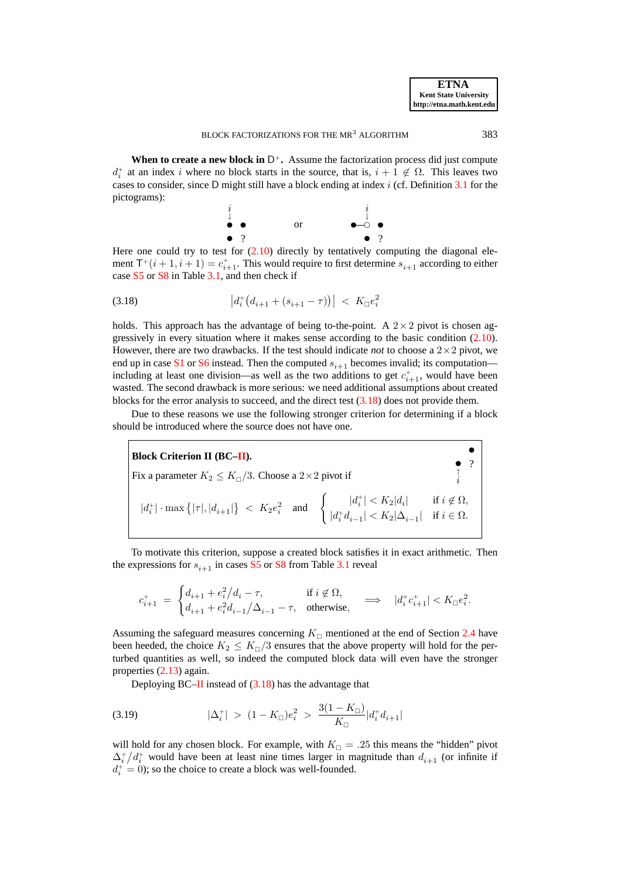**When to create a new block in**  $D^+$ . Assume the factorization process did just compute  $d_i^+$  at an index i where no block starts in the source, that is,  $i + 1 \notin \Omega$ . This leaves two cases to consider, since D might still have a block ending at index  $i$  (cf. Definition [3.1](#page-9-1) for the pictograms):

<span id="page-20-0"></span>

Here one could try to test for  $(2.10)$  directly by tentatively computing the diagonal element  $T^+(i+1,i+1) = c_{i+1}^+$ . This would require to first determine  $s_{i+1}$  according to either case [S5](#page-10-7) or [S8](#page-10-9) in Table [3.1,](#page-10-0) and then check if

$$
(3.18) \t\t |d_i^+(d_{i+1} + (s_{i+1} - \tau))| < K_\square e_i^2
$$

holds. This approach has the advantage of being to-the-point. A  $2 \times 2$  pivot is chosen aggressively in every situation where it makes sense according to the basic condition [\(2.10\)](#page-8-0). However, there are two drawbacks. If the test should indicate *not* to choose a  $2 \times 2$  pivot, we end up in case [S1](#page-10-2) or [S6](#page-10-1) instead. Then the computed  $s_{i+1}$  becomes invalid; its computation including at least one division—as well as the two additions to get  $c_{i+1}^+$ , would have been wasted. The second drawback is more serious: we need additional assumptions about created blocks for the error analysis to succeed, and the direct test [\(3.18\)](#page-20-0) does not provide them.

Due to these reasons we use the following stronger criterion for determining if a block should be introduced where the source does not have one.

<span id="page-20-1"></span>**Block Criterion II (BC[–II\)](#page-20-1).** Fix a parameter  $K_2 \le K_{\Box}/3$ . Choose a 2×2 pivot if  $\int_{i}^{3}$ t  $|d_i^+| \cdot \max\big\{| \tau |, |d_{i+1}| \big\} \leq K_2 e_i^2 \quad \text{and} \quad \begin{cases} |d_i^+| & \text{if } i \notin \Omega, \\ |d_i^+| & \text{if } i \in \Omega, \end{cases}$  $|d_i^+ d_{i-1}| < K_2 |\Delta_{i-1}| \text{ if } i \in \Omega.$ 

To motivate this criterion, suppose a created block satisfies it in exact arithmetic. Then the expressions for  $s_{i+1}$  in cases [S5](#page-10-7) or [S8](#page-10-9) from Table [3.1](#page-10-0) reveal

$$
c_{i+1}^+ \;=\; \begin{cases} d_{i+1} + e_i^2/d_i - \tau, & \text{if } i \not \in \Omega, \\ d_{i+1} + e_i^2d_{i-1}/\Delta_{i-1} - \tau, & \text{otherwise}, \end{cases} \qquad \Longrightarrow \quad |d_i^+ c_{i+1}^+| < K_\square e_i^2.
$$

Assuming the safeguard measures concerning  $K_{\Box}$  mentioned at the end of Section [2.4](#page-7-0) have been heeded, the choice  $K_2 \leq K_{\square}/3$  ensures that the above property will hold for the perturbed quantities as well, so indeed the computed block data will even have the stronger properties [\(2.13\)](#page-8-2) again.

<span id="page-20-2"></span>Deploying  $BC$ [–II](#page-20-1) instead of  $(3.18)$  has the advantage that

$$
(3.19) \t |\Delta_i^+| > (1 - K_{\square})e_i^2 > \frac{3(1 - K_{\square})}{K_{\square}}|d_i^+ d_{i+1}|
$$

will hold for any chosen block. For example, with  $K_{\Box} = .25$  this means the "hidden" pivot  $\Delta_i^+ / d_i^+$  would have been at least nine times larger in magnitude than  $d_{i+1}$  (or infinite if  $d_i^+ = 0$ ); so the choice to create a block was well-founded.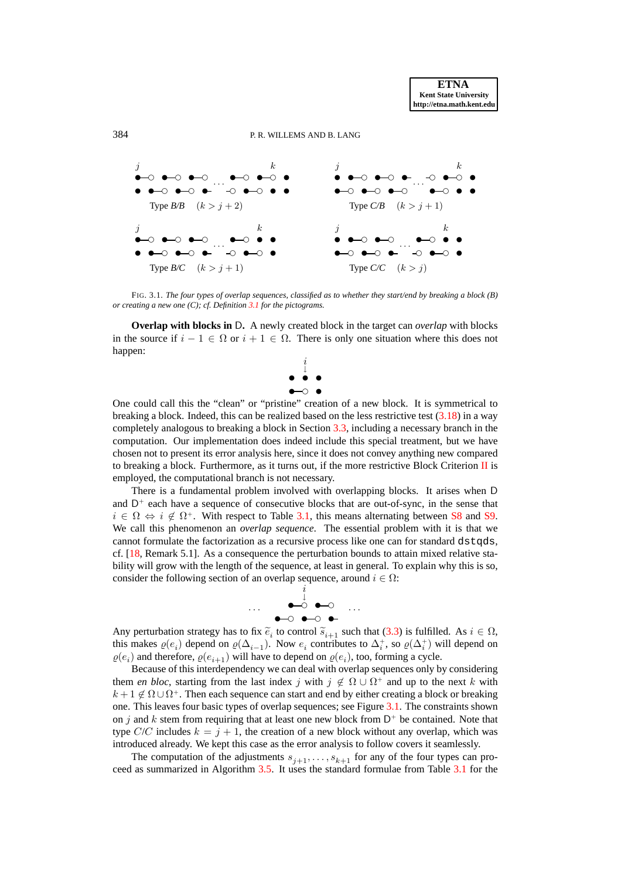

#### 384 P. R. WILLEMS AND B. LANG



<span id="page-21-0"></span>FIG. 3.1. *The four types of overlap sequences, classified as to whether they start/end by breaking a block (B) or creating a new one (C); cf. Definition [3.1](#page-9-1) for the pictograms.*

**Overlap with blocks in** D**.** A newly created block in the target can *overlap* with blocks in the source if  $i - 1 \in \Omega$  or  $i + 1 \in \Omega$ . There is only one situation where this does not happen:



One could call this the "clean" or "pristine" creation of a new block. It is symmetrical to breaking a block. Indeed, this can be realized based on the less restrictive test  $(3.18)$  in a way completely analogous to breaking a block in Section [3.3,](#page-16-0) including a necessary branch in the computation. Our implementation does indeed include this special treatment, but we have chosen not to present its error analysis here, since it does not convey anything new compared to breaking a block. Furthermore, as it turns out, if the more restrictive Block Criterion  $\Pi$  is employed, the computational branch is not necessary.

There is a fundamental problem involved with overlapping blocks. It arises when D and  $D^+$  each have a sequence of consecutive blocks that are out-of-sync, in the sense that  $i \in \Omega \Leftrightarrow i \notin \Omega^+$ . With respect to Table [3.1,](#page-10-0) this means alternating between [S8](#page-10-9) and [S9.](#page-10-8) We call this phenomenon an *overlap sequence*. The essential problem with it is that we cannot formulate the factorization as a recursive process like one can for standard dstqds, cf. [\[18,](#page-27-8) Remark 5.1]. As a consequence the perturbation bounds to attain mixed relative stability will grow with the length of the sequence, at least in general. To explain why this is so, consider the following section of an overlap sequence, around  $i \in \Omega$ :



Any perturbation strategy has to fix  $\tilde{e}_i$  to control  $\tilde{s}_{i+1}$  such that [\(3.3\)](#page-11-1) is fulfilled. As  $i \in \Omega$ ,<br>this makes  $e(x)$  depend on  $e(x)$ . Now a positivities to  $\Lambda^+$  as  $e(x)$  in will depend on this makes  $\varrho(e_i)$  depend on  $\varrho(\Delta_{i-1})$ . Now  $e_i$  contributes to  $\Delta_i^+$ , so  $\varrho(\Delta_i^+)$  will depend on  $\varrho(e_i)$  and therefore,  $\varrho(e_{i+1})$  will have to depend on  $\varrho(e_i)$ , too, forming a cycle.

Because of this interdependency we can deal with overlap sequences only by considering them *en bloc*, starting from the last index j with  $j \notin \Omega \cup \Omega^+$  and up to the next k with  $k + 1 \notin \Omega \cup \Omega^+$ . Then each sequence can start and end by either creating a block or breaking one. This leaves four basic types of overlap sequences; see Figure [3.1.](#page-21-0) The constraints shown on j and k stem from requiring that at least one new block from  $D^+$  be contained. Note that type  $C/C$  includes  $k = j + 1$ , the creation of a new block without any overlap, which was introduced already. We kept this case as the error analysis to follow covers it seamlessly.

The computation of the adjustments  $s_{j+1}, \ldots, s_{k+1}$  for any of the four types can proceed as summarized in Algorithm [3.5.](#page-22-1) It uses the standard formulae from Table [3.1](#page-10-0) for the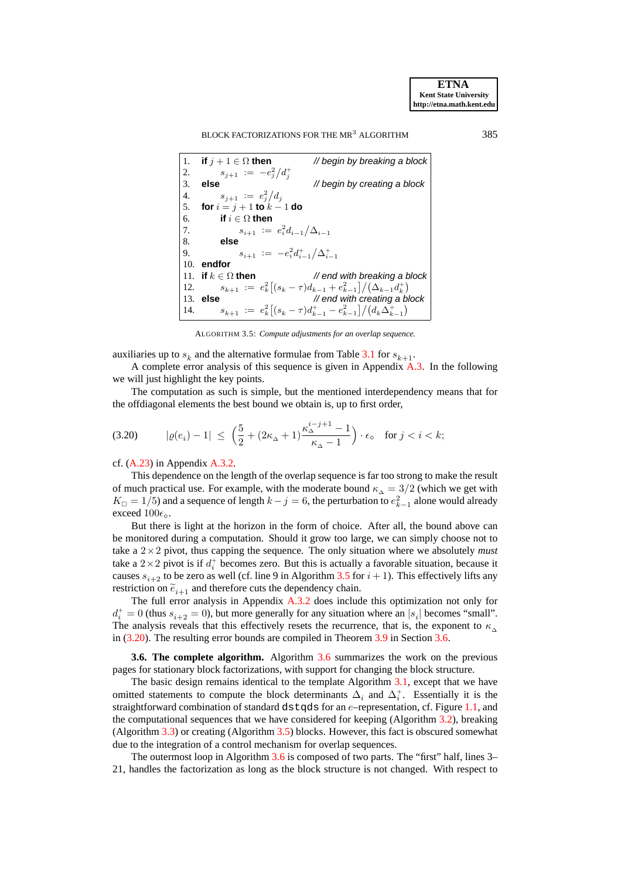#### BLOCK FACTORIZATIONS FOR THE MR<sup>3</sup> ALGORITHM 385

```
1. if j + 1 \in \Omega then // begin by breaking a block
2. s_{j+1} := -e_j^2/d_j^+3. else // begin by creating a block
4. s_{j+1} := e_j^2 / d_j5. for i = j + 1 to k - 1 do
6. if i \in \Omega then<br>7. s_{i+1} :=7. s_{i+1} := e_i^2 d_{i-1} / \Delta_{i-1}8. else
9. s_{i+1} := -e_i^2 d_{i-1}^+ / \Delta_{i-1}^+10. endfor
11. if k \in \Omega then // end with breaking a block
12. s_{k+1} := e_k^2 \left[ (s_k - \tau) d_{k-1} + e_{k-1}^2 \right] / (\Delta_{k-1} d_k^+)13. else // end with creating a block
14. s_{k+1} := e_k^2 \left[ (s_k - \tau) d_{k-1}^+ - e_{k-1}^2 \right] / (d_k \Delta_{k-1}^+)
```
<span id="page-22-2"></span>ALGORITHM 3.5: *Compute adjustments for an overlap sequence.*

<span id="page-22-1"></span>auxiliaries up to  $s_k$  and the alternative formulae from Table [3.1](#page-10-0) for  $s_{k+1}$ .

A complete error analysis of this sequence is given in Appendix [A.3.](#page-32-0) In the following we will just highlight the key points.

The computation as such is simple, but the mentioned interdependency means that for the offdiagonal elements the best bound we obtain is, up to first order,

$$
\text{(3.20)} \qquad \ \ |\varrho(e_i)-1|\ \leq \ \Big( \frac{5}{2} + (2\kappa_\Delta+1) \frac{\kappa_\Delta^{i-j+1}-1}{\kappa_\Delta-1}\Big) \cdot \epsilon_\diamond \quad \text{for } j
$$

cf. [\(A.23\)](#page-34-0) in Appendix [A.3.2.](#page-33-0)

This dependence on the length of the overlap sequence is far too strong to make the result of much practical use. For example, with the moderate bound  $\kappa_{\lambda} = 3/2$  (which we get with  $K_{\Box} = 1/5$ ) and a sequence of length  $k - j = 6$ , the perturbation to  $e_{k-1}^2$  alone would already exceed  $100\epsilon_{\diamond}$ .

But there is light at the horizon in the form of choice. After all, the bound above can be monitored during a computation. Should it grow too large, we can simply choose not to take a  $2 \times 2$  pivot, thus capping the sequence. The only situation where we absolutely *must* take a  $2 \times 2$  pivot is if  $d_i^+$  becomes zero. But this is actually a favorable situation, because it causes  $s_{i+2}$  to be zero as well (cf. line 9 in Algorithm [3.5](#page-22-1) for  $i + 1$ ). This effectively lifts any restriction on  $\tilde{e}_{i+1}$  and therefore cuts the dependency chain.

The full error analysis in Appendix [A.3.2](#page-33-0) does include this optimization not only for  $d_i^+ = 0$  (thus  $s_{i+2} = 0$ ), but more generally for any situation where an  $|s_i|$  becomes "small". The analysis reveals that this effectively resets the recurrence, that is, the exponent to  $\kappa_{\Delta}$ in [\(3.20\)](#page-22-2). The resulting error bounds are compiled in Theorem [3.9](#page-24-0) in Section [3.6.](#page-22-0)

<span id="page-22-0"></span>**3.6. The complete algorithm.** Algorithm [3.6](#page-23-0) summarizes the work on the previous pages for stationary block factorizations, with support for changing the block structure.

The basic design remains identical to the template Algorithm [3.1,](#page-11-0) except that we have omitted statements to compute the block determinants  $\Delta_i$  and  $\Delta_i^+$ . Essentially it is the straightforward combination of standard d $stqds$  for an  $e$ -representation, cf. Figure [1.1,](#page-3-0) and the computational sequences that we have considered for keeping (Algorithm [3.2\)](#page-16-1), breaking (Algorithm [3.3\)](#page-17-1) or creating (Algorithm [3.5\)](#page-22-1) blocks. However, this fact is obscured somewhat due to the integration of a control mechanism for overlap sequences.

The outermost loop in Algorithm [3.6](#page-23-0) is composed of two parts. The "first" half, lines 3– 21, handles the factorization as long as the block structure is not changed. With respect to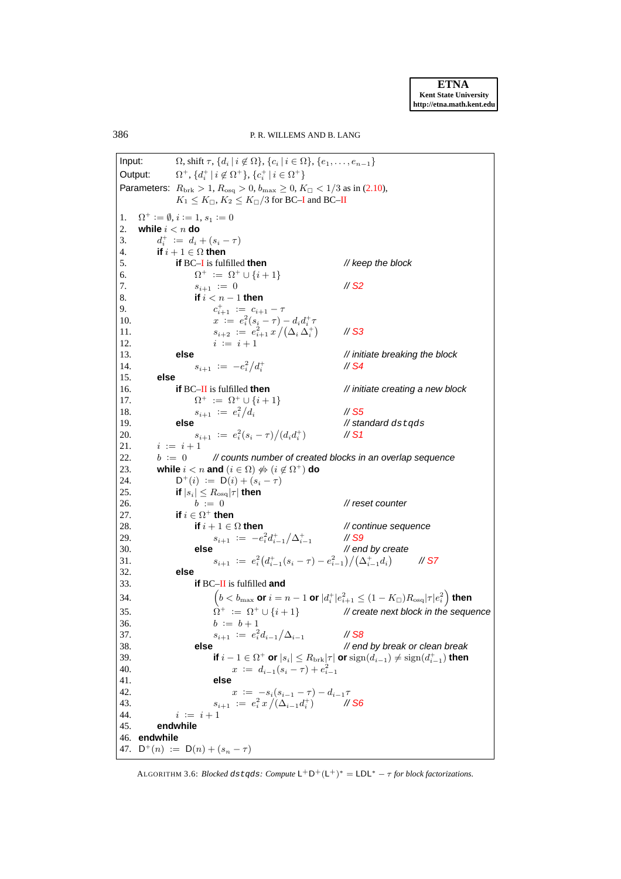386 P. R. WILLEMS AND B. LANG

Input:  $\Omega$ , shift  $\tau$ ,  $\{d_i \mid i \notin \Omega\}$ ,  $\{c_i \mid i \in \Omega\}$ ,  $\{e_1, \ldots, e_{n-1}\}$ Output:  $^{+}$ ,  $\{d_i^+ | i \notin \Omega^+\}$ ,  $\{c_i^+ | i \in \Omega^+\}$ Parameters:  $R_{\text{brk}} > 1, R_{\text{osq}} > 0, b_{\text{max}} \ge 0, K_{\square} < 1/3$  as in [\(2.10\)](#page-8-0),  $K_1 \leq K_{\square}, K_2 \leq K_{\square}/3$  for BC[–I](#page-15-0) and BC[–II](#page-20-1) 1.  $\Omega^+ := \emptyset$ ,  $i := 1$ ,  $s_1 := 0$ 2. **while**  $i < n$  **do** 3.  $d_i^+ := d_i + (s_i - \tau)$ 4. **if**  $i + 1 \in \Omega$  **then** 5. **if** BC[–I](#page-15-0) is fulfilled **then** // keep the block 6.  $\Omega^+ := \Omega^+ \cup \{i+1\}$ 7.  $s_{i+1} := 0$  // [S2](#page-10-5) 8. **if** i < n − 1 **then** 9.  $c$  $t_{i+1}^+ := c_{i+1} - \tau$ 10.  $x := e_i^2(s_i - \tau) - d_i d_i^+ \tau$ 11.  $s_{i+2} := e_{i+1}^2 x / (\Delta_i \Delta_i^+)$ // [S3](#page-10-3) 12.  $i := i + 1$ 13. **else** // initiate breaking the block 14.  $s_{i+1} := -e_i^2/d_i^+$ // [S4](#page-10-6) 15. **else** 16. **if** BC[–II](#page-20-1) is fulfilled **then** // initiate creating a new block 17. Ω  $\Omega^+ := \Omega^+ \cup \{i+1\}$ 18.  $s_{i+1} := e_i^2 / d_i$ // [S5](#page-10-7) 19. **else else** // standard dstqds 20.  $s_{i+1} := e_i^2 (s_i - \tau) / (d_i d_i^+)$ ) // [S1](#page-10-2) 21.  $i := i + 1$ 22.  $b := 0$  // counts number of created blocks in an overlap sequence 23. **while**  $i < n$  and  $(i \in \Omega) \nleftrightarrow (i \notin \Omega^+)$  do  $24.$  $D^+(i) := D(i) + (s_i - \tau)$ 25. **if**  $|s_i| \leq R_{\text{osq}} |\tau|$  then 26.  $b := 0$  // reset counter 27. **if**  $i \in \Omega^+$  **then** 28. **if**  $i + 1 \in \Omega$  then // continue sequence 29.  $s_{i+1} := -e_i^2 d_{i-1}^+ / \Delta_{i-1}^+$ // [S9](#page-10-8) 30. **else** // end by create 31.  $s_{i+1} := e_i^2 \left( d_{i-1}^+(s_i - \tau) - e_{i-1}^2 \right) / \left( \Delta_{i-1}^+ d_i \right)$ // [S7](#page-10-4) 32. **else** 33. **if** BC[–II](#page-20-1) is fulfilled **and**  $34.$   $($  $b < b_{\rm max}$  or  $i = n-1$  or  $|d^+_i|e_{i+1}^2 \leq (1-K_{\Box})R_{\rm osq}|\tau|e_i^2\Big)$  then 35.  $\hat{\Omega}^+ := \Omega^+ \cup \{i+1\}$  $#$  create next block in the sequence 36.  $b := b + 1$ 37.  $s_{i+1} := e_i^2 d_{i-1} / \Delta_{i-1}$  // [S8](#page-10-9) 38. **else** // end by break or clean break 39. **if**  $i - 1 \in \Omega^+$  or  $|s_i| \leq R_{\text{brk}} |\tau|$  or  $\text{sign}(d_{i-1}) \neq \text{sign}(d_{i-1}^+)$  then 40.  $x := d_{i-1}(s_i - \tau) + e_{i-1}^2$ 41. **else** 42.  $x := -s_i(s_{i-1} - \tau) - d_{i-1}\tau$ <br>43.  $s_{i+1} := e_i^2 x / (\Delta_{i-1} d_i^+)$  // 43.  $s_{i+1} := e_i^2 x / (\Delta_{i-1} d_i^+)$  // [S6](#page-10-1) 44.  $i := i + 1$ 45. **endwhile** 46. **endwhile** 47.  $D^+(n) := D(n) + (s_n - \tau)$ 

<span id="page-23-0"></span>ALGORITHM 3.6: *Blocked dstqds: Compute*  $L^+D^+(L^+)^* = LDL^* - \tau$  *for block factorizations.*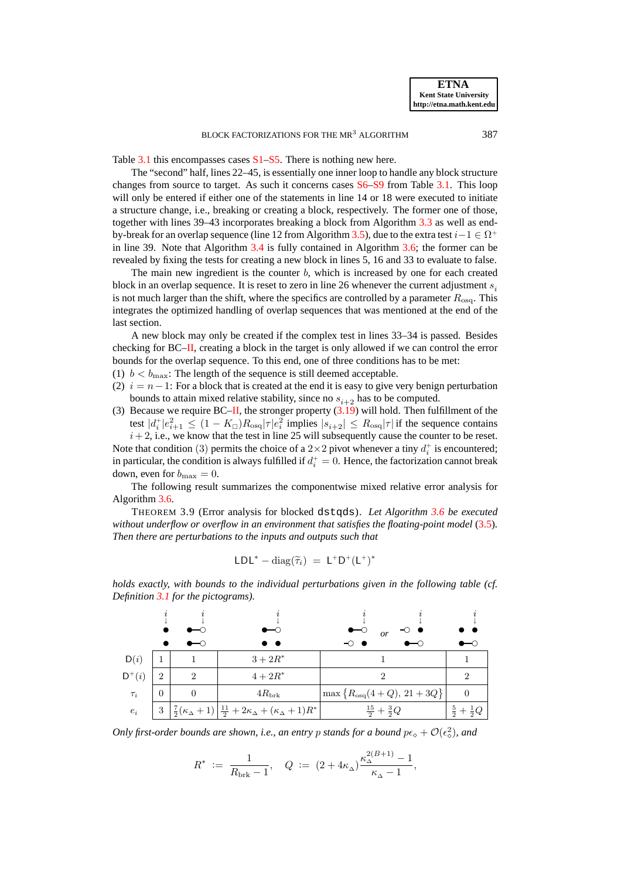Table [3.1](#page-10-0) this encompasses cases [S1–](#page-10-2)[S5.](#page-10-7) There is nothing new here.

The "second" half, lines 22–45, is essentially one inner loop to handle any block structure changes from source to target. As such it concerns cases [S6–](#page-10-1)[S9](#page-10-8) from Table [3.1.](#page-10-0) This loop will only be entered if either one of the statements in line 14 or 18 were executed to initiate a structure change, i.e., breaking or creating a block, respectively. The former one of those, together with lines 39–43 incorporates breaking a block from Algorithm [3.3](#page-17-1) as well as end-by-break for an overlap sequence (line 12 from Algorithm [3.5\)](#page-22-1), due to the extra test  $i-1 \in \Omega^+$ in line 39. Note that Algorithm [3.4](#page-19-1) is fully contained in Algorithm [3.6;](#page-23-0) the former can be revealed by fixing the tests for creating a new block in lines 5, 16 and 33 to evaluate to false.

The main new ingredient is the counter  $b$ , which is increased by one for each created block in an overlap sequence. It is reset to zero in line 26 whenever the current adjustment  $s_i$ is not much larger than the shift, where the specifics are controlled by a parameter  $R_{\rm osq}$ . This integrates the optimized handling of overlap sequences that was mentioned at the end of the last section.

A new block may only be created if the complex test in lines 33–34 is passed. Besides checking for BC[–II,](#page-20-1) creating a block in the target is only allowed if we can control the error bounds for the overlap sequence. To this end, one of three conditions has to be met:

- (1)  $b < b_{\text{max}}$ : The length of the sequence is still deemed acceptable.
- (2)  $i = n-1$ : For a block that is created at the end it is easy to give very benign perturbation bounds to attain mixed relative stability, since no  $s_{i+2}$  has to be computed.
- (3) Because we require BC[–II,](#page-20-1) the stronger property  $(3.19)$  will hold. Then fulfillment of the test  $|d_i^+|e_{i+1}^2 \leq (1 - K_{\Box})R_{\text{osq}}|\tau|e_i^2$  implies  $|s_{i+2}| \leq R_{\text{osq}}|\tau|$  if the sequence contains  $i+2$ , i.e., we know that the test in line 25 will subsequently cause the counter to be reset.

Note that condition (3) permits the choice of a  $2 \times 2$  pivot whenever a tiny  $d_i^+$  is encountered; in particular, the condition is always fulfilled if  $d_i^+ = 0$ . Hence, the factorization cannot break down, even for  $b_{\text{max}} = 0$ .

The following result summarizes the componentwise mixed relative error analysis for Algorithm [3.6.](#page-23-0)

<span id="page-24-0"></span>THEOREM 3.9 (Error analysis for blocked dstqds). *Let Algorithm [3.6](#page-23-0) be executed without underflow or overflow in an environment that satisfies the floating-point model* [\(3.5\)](#page-12-1)*. Then there are perturbations to the inputs and outputs such that*

$$
LDL^* - \mathrm{diag}(\widetilde{\tau}_i) \ = \ L^+D^+(L^+)^*
$$



*holds exactly, with bounds to the individual perturbations given in the following table (cf. Definition [3.1](#page-9-1) for the pictograms).*

*Only first-order bounds are shown, i.e., an entry p stands for a bound*  $p\epsilon_0 + \mathcal{O}(\epsilon_0^2)$ *, and* 

$$
R^* := \frac{1}{R_{\text{brk}} - 1}, \quad Q := (2 + 4\kappa_\Delta) \frac{\kappa_\Delta^{2(B+1)} - 1}{\kappa_\Delta - 1},
$$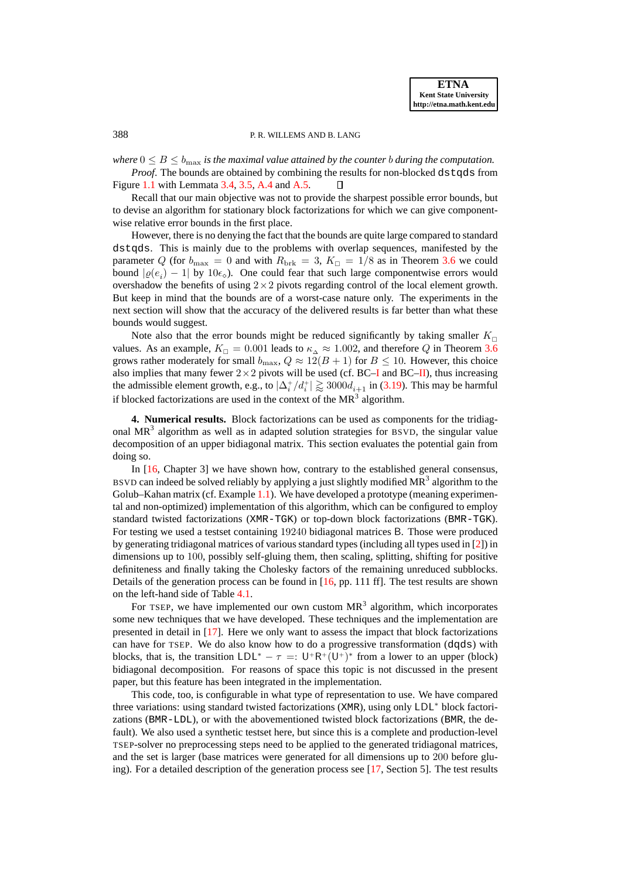# 388 P.R. WILLEMS AND B. LANG

*where*  $0 \leq B \leq b_{\text{max}}$  *is the maximal value attained by the counter b during the computation.* 

*Proof.* The bounds are obtained by combining the results for non-blocked dstqds from Figure [1.1](#page-3-0) with Lemmata [3.4,](#page-16-2) [3.5,](#page-18-1) [A.4](#page-34-1) and [A.5.](#page-37-0)  $\Box$ 

Recall that our main objective was not to provide the sharpest possible error bounds, but to devise an algorithm for stationary block factorizations for which we can give componentwise relative error bounds in the first place.

However, there is no denying the fact that the bounds are quite large compared to standard dstgds. This is mainly due to the problems with overlap sequences, manifested by the parameter Q (for  $b_{\text{max}} = 0$  and with  $R_{\text{brk}} = 3$ ,  $K_{\Box} = 1/8$  as in Theorem [3.6](#page-18-2) we could bound  $|\varrho(e_i) - 1|$  by  $10\epsilon_\diamond$ ). One could fear that such large componentwise errors would overshadow the benefits of using  $2 \times 2$  pivots regarding control of the local element growth. But keep in mind that the bounds are of a worst-case nature only. The experiments in the next section will show that the accuracy of the delivered results is far better than what these bounds would suggest.

Note also that the error bounds might be reduced significantly by taking smaller  $K_{\square}$ values. As an example,  $K_{\square} = 0.001$  leads to  $\kappa_{\lambda} \approx 1.002$ , and therefore Q in Theorem [3.6](#page-18-2) grows rather moderately for small  $b_{\text{max}}$ ,  $Q \approx 12(B + 1)$  for  $B \le 10$ . However, this choice also implies that many fewer  $2 \times 2$  pivots will be used (cf. BC[–I](#page-15-0) and BC[–II\)](#page-20-1), thus increasing the admissible element growth, e.g., to  $|\Delta_i^+/d_i^+| \gtrapprox 3000d_{i+1}$  in [\(3.19\)](#page-20-2). This may be harmful if blocked factorizations are used in the context of the  $MR<sup>3</sup>$  algorithm.

<span id="page-25-0"></span>**4. Numerical results.** Block factorizations can be used as components for the tridiagonal  $MR<sup>3</sup>$  algorithm as well as in adapted solution strategies for BSVD, the singular value decomposition of an upper bidiagonal matrix. This section evaluates the potential gain from doing so.

In [\[16,](#page-27-3) Chapter 3] we have shown how, contrary to the established general consensus, BSVD can indeed be solved reliably by applying a just slightly modified  $MR^3$  algorithm to the Golub–Kahan matrix (cf. Example [1.1\)](#page-1-0). We have developed a prototype (meaning experimental and non-optimized) implementation of this algorithm, which can be configured to employ standard twisted factorizations (XMR-TGK) or top-down block factorizations (BMR-TGK). For testing we used a testset containing 19240 bidiagonal matrices B. Those were produced by generating tridiagonal matrices of various standard types (including all types used in [\[2\]](#page-27-17)) in dimensions up to 100, possibly self-gluing them, then scaling, splitting, shifting for positive definiteness and finally taking the Cholesky factors of the remaining unreduced subblocks. Details of the generation process can be found in  $[16, pp. 111 \text{ ff}]$  $[16, pp. 111 \text{ ff}]$ . The test results are shown on the left-hand side of Table [4.1.](#page-26-0)

For TSEP, we have implemented our own custom  $MR<sup>3</sup>$  algorithm, which incorporates some new techniques that we have developed. These techniques and the implementation are presented in detail in [\[17\]](#page-27-4). Here we only want to assess the impact that block factorizations can have for TSEP. We do also know how to do a progressive transformation (dqds) with blocks, that is, the transition  $LDL^* - \tau =: U^*R^+(U^*)^*$  from a lower to an upper (block) bidiagonal decomposition. For reasons of space this topic is not discussed in the present paper, but this feature has been integrated in the implementation.

This code, too, is configurable in what type of representation to use. We have compared three variations: using standard twisted factorizations (XMR), using only LDL<sup>∗</sup> block factorizations (BMR-LDL), or with the abovementioned twisted block factorizations (BMR, the default). We also used a synthetic testset here, but since this is a complete and production-level TSEP-solver no preprocessing steps need to be applied to the generated tridiagonal matrices, and the set is larger (base matrices were generated for all dimensions up to 200 before gluing). For a detailed description of the generation process see [\[17,](#page-27-4) Section 5]. The test results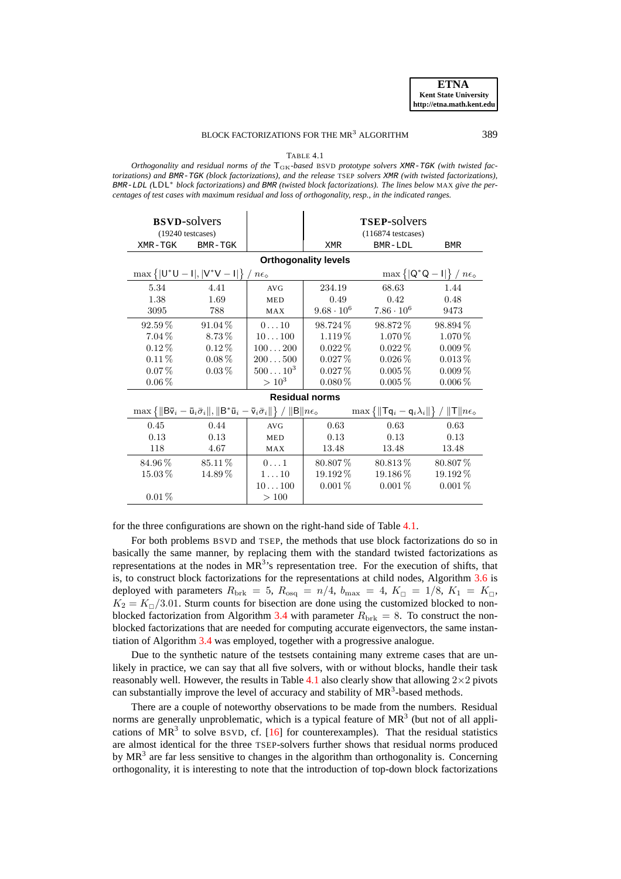#### BLOCK FACTORIZATIONS FOR THE MR<sup>3</sup> ALGORITHM 389

TABLE 4.1

<span id="page-26-0"></span>*Orthogonality and residual norms of the* TGK*-based* BSVD *prototype solvers* XMR-TGK *(with twisted factorizations) and* BMR-TGK *(block factorizations), and the release* TSEP *solvers* XMR *(with twisted factorizations),* BMR-LDL *(*LDL<sup>∗</sup> *block factorizations) and* BMR *(twisted block factorizations). The lines below* MAX *give the percentages of test cases with maximum residual and loss of orthogonality, resp., in the indicated ranges.*

| <b>BSVD-solvers</b><br>$(19240 \text{ testcases})$                                                                                                                                                                                                                   |                                                                                                                                                                                                  |               | <b>TSEP-solvers</b><br>$(116874$ testcases) |                   |             |  |  |  |
|----------------------------------------------------------------------------------------------------------------------------------------------------------------------------------------------------------------------------------------------------------------------|--------------------------------------------------------------------------------------------------------------------------------------------------------------------------------------------------|---------------|---------------------------------------------|-------------------|-------------|--|--|--|
| XMR-TGK<br>BMR-TGK                                                                                                                                                                                                                                                   |                                                                                                                                                                                                  |               | <b>XMR</b>                                  | BMR-LDL           | <b>BMR</b>  |  |  |  |
|                                                                                                                                                                                                                                                                      | <b>Orthogonality levels</b>                                                                                                                                                                      |               |                                             |                   |             |  |  |  |
|                                                                                                                                                                                                                                                                      | $\max\left\{ \mathsf{U}^*\mathsf{U}-\mathsf{I} , \mathsf{V}^*\mathsf{V}-\mathsf{I} \right\}/n\epsilon_0$<br>$\max \left\{  \mathsf{Q}^*\mathsf{Q} - \mathsf{I}  \right\} / n\epsilon_{\diamond}$ |               |                                             |                   |             |  |  |  |
| 5.34                                                                                                                                                                                                                                                                 | 4.41                                                                                                                                                                                             | AVG           | 234.19                                      | 68.63             | 1.44        |  |  |  |
| 1.38                                                                                                                                                                                                                                                                 | 1.69                                                                                                                                                                                             | <b>MED</b>    | 0.49                                        | 0.42              | 0.48        |  |  |  |
| 3095                                                                                                                                                                                                                                                                 | 788                                                                                                                                                                                              | MAX           | $9.68 \cdot 10^{6}$                         | $7.86 \cdot 10^6$ | 9473        |  |  |  |
| $92.59\%$                                                                                                                                                                                                                                                            | $91.04\%$                                                                                                                                                                                        | 010           | 98.724 %                                    | 98.872 %          | 98.894 %    |  |  |  |
| $7.04\%$                                                                                                                                                                                                                                                             | 8.73%                                                                                                                                                                                            | 10100         | $1.119\%$                                   | $1.070\,\%$       | 1.070 %     |  |  |  |
| $0.12\%$                                                                                                                                                                                                                                                             | $0.12\%$                                                                                                                                                                                         | 100200        | $0.022\%$                                   | $0.022\%$         | $0.009\%$   |  |  |  |
| $0.11\%$                                                                                                                                                                                                                                                             | $0.08\%$                                                                                                                                                                                         | 200500        | $0.027\,\%$                                 | $0.026\,\%$       | $0.013\,\%$ |  |  |  |
| $0.07\%$                                                                                                                                                                                                                                                             | $0.03\%$                                                                                                                                                                                         | $50010^{3}$   | $0.027\,\%$                                 | $0.005\%$         | $0.009\%$   |  |  |  |
| $0.06\,\%$                                                                                                                                                                                                                                                           |                                                                                                                                                                                                  | $> 10^3$      | $0.080\,\%$                                 | $0.005\%$         | $0.006\,\%$ |  |  |  |
| <b>Residual norms</b>                                                                                                                                                                                                                                                |                                                                                                                                                                                                  |               |                                             |                   |             |  |  |  |
| $\max \{   B\overline{\mathsf{v}}_i - \overline{\mathsf{u}}_i\overline{\sigma}_i   ,   B^* \overline{\mathsf{u}}_i - \overline{\mathsf{v}}_i\overline{\sigma}_i    \} /   B  n\epsilon_0$ $\max \{   T\mathsf{q}_i - \mathsf{q}_i\lambda_i    \} /   T  n\epsilon_0$ |                                                                                                                                                                                                  |               |                                             |                   |             |  |  |  |
| 0.45                                                                                                                                                                                                                                                                 | 0.44                                                                                                                                                                                             | AVG           | 0.63                                        | 0.63              | 0.63        |  |  |  |
| 0.13                                                                                                                                                                                                                                                                 | 0.13                                                                                                                                                                                             | <b>MED</b>    | 0.13                                        | 0.13              | 0.13        |  |  |  |
| 118                                                                                                                                                                                                                                                                  | 4.67                                                                                                                                                                                             | MAX           | 13.48                                       | 13.48             | 13.48       |  |  |  |
| 84.96%                                                                                                                                                                                                                                                               | 85.11%                                                                                                                                                                                           | $0 \ldots 1$  | 80.807\%                                    | 80.813\%          | 80.807%     |  |  |  |
| $15.03\,\%$                                                                                                                                                                                                                                                          | $14.89\%$                                                                                                                                                                                        | $1 \ldots 10$ | $19.192\,\%$                                | 19.186 %          | $19.192\%$  |  |  |  |
|                                                                                                                                                                                                                                                                      |                                                                                                                                                                                                  | 10100         | $0.001\%$                                   | $0.001\%$         | $0.001\%$   |  |  |  |
| $0.01\%$                                                                                                                                                                                                                                                             |                                                                                                                                                                                                  | >100          |                                             |                   |             |  |  |  |

for the three configurations are shown on the right-hand side of Table [4.1.](#page-26-0)

For both problems BSVD and TSEP, the methods that use block factorizations do so in basically the same manner, by replacing them with the standard twisted factorizations as representations at the nodes in  $MR<sup>3</sup>$ 's representation tree. For the execution of shifts, that is, to construct block factorizations for the representations at child nodes, Algorithm [3.6](#page-23-0) is deployed with parameters  $R_{\text{brk}} = 5$ ,  $R_{\text{osq}} = n/4$ ,  $b_{\text{max}} = 4$ ,  $K_{\Box} = 1/8$ ,  $K_1 = K_{\Box}$ ,  $K_2 = K_{\square}/3.01$ . Sturm counts for bisection are done using the customized blocked to non-blocked factorization from Algorithm [3.4](#page-19-1) with parameter  $R_{\text{brk}} = 8$ . To construct the nonblocked factorizations that are needed for computing accurate eigenvectors, the same instantiation of Algorithm [3.4](#page-19-1) was employed, together with a progressive analogue.

Due to the synthetic nature of the testsets containing many extreme cases that are unlikely in practice, we can say that all five solvers, with or without blocks, handle their task reasonably well. However, the results in Table [4.1](#page-26-0) also clearly show that allowing  $2\times 2$  pivots can substantially improve the level of accuracy and stability of  $MR<sup>3</sup>$ -based methods.

There are a couple of noteworthy observations to be made from the numbers. Residual norms are generally unproblematic, which is a typical feature of  $MR<sup>3</sup>$  (but not of all applications of  $MR^3$  to solve BSVD, cf. [\[16\]](#page-27-3) for counterexamples). That the residual statistics are almost identical for the three TSEP-solvers further shows that residual norms produced by  $MR<sup>3</sup>$  are far less sensitive to changes in the algorithm than orthogonality is. Concerning orthogonality, it is interesting to note that the introduction of top-down block factorizations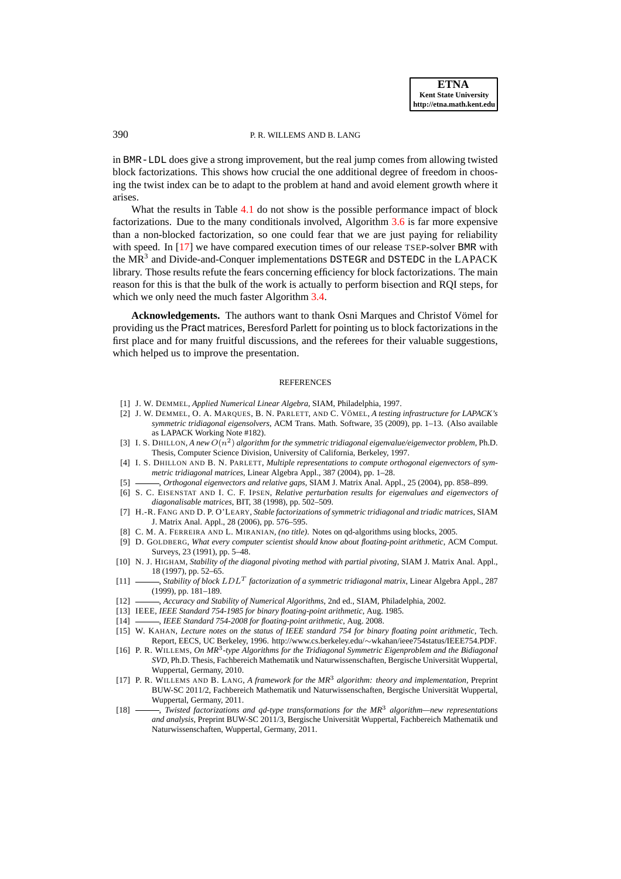#### 390 P. R. WILLEMS AND B. LANG

in BMR-LDL does give a strong improvement, but the real jump comes from allowing twisted block factorizations. This shows how crucial the one additional degree of freedom in choosing the twist index can be to adapt to the problem at hand and avoid element growth where it arises.

What the results in Table [4.1](#page-26-0) do not show is the possible performance impact of block factorizations. Due to the many conditionals involved, Algorithm [3.6](#page-23-0) is far more expensive than a non-blocked factorization, so one could fear that we are just paying for reliability with speed. In [\[17\]](#page-27-4) we have compared execution times of our release TSEP-solver BMR with the MR<sup>3</sup> and Divide-and-Conquer implementations DSTEGR and DSTEDC in the LAPACK library. Those results refute the fears concerning efficiency for block factorizations. The main reason for this is that the bulk of the work is actually to perform bisection and RQI steps, for which we only need the much faster Algorithm [3.4.](#page-19-1)

Acknowledgements. The authors want to thank Osni Marques and Christof Vömel for providing us the Pract matrices, Beresford Parlett for pointing us to block factorizations in the first place and for many fruitful discussions, and the referees for their valuable suggestions, which helped us to improve the presentation.

#### **REFERENCES**

- <span id="page-27-17"></span><span id="page-27-10"></span>[1] J. W. DEMMEL, *Applied Numerical Linear Algebra*, SIAM, Philadelphia, 1997.
- [2] J. W. DEMMEL, O. A. MARQUES, B. N. PARLETT, AND C. VÖMEL, A testing infrastructure for LAPACK's *symmetric tridiagonal eigensolvers*, ACM Trans. Math. Software, 35 (2009), pp. 1–13. (Also available as LAPACK Working Note #182).
- <span id="page-27-0"></span>[3] I. S. DHILLON, *A new*  $O(n^2)$  algorithm for the symmetric tridiagonal eigenvalue/eigenvector problem, Ph.D. Thesis, Computer Science Division, University of California, Berkeley, 1997.
- <span id="page-27-1"></span>[4] I. S. DHILLON AND B. N. PARLETT, *Multiple representations to compute orthogonal eigenvectors of symmetric tridiagonal matrices*, Linear Algebra Appl., 387 (2004), pp. 1–28.
- <span id="page-27-11"></span><span id="page-27-2"></span>[5] , *Orthogonal eigenvectors and relative gaps*, SIAM J. Matrix Anal. Appl., 25 (2004), pp. 858–899.
- [6] S. C. EISENSTAT AND I. C. F. IPSEN, *Relative perturbation results for eigenvalues and eigenvectors of diagonalisable matrices*, BIT, 38 (1998), pp. 502–509.
- <span id="page-27-5"></span>[7] H.-R. FANG AND D. P. O'LEARY, *Stable factorizations of symmetric tridiagonal and triadic matrices*, SIAM J. Matrix Anal. Appl., 28 (2006), pp. 576–595.
- <span id="page-27-14"></span><span id="page-27-9"></span>[8] C. M. A. FERREIRA AND L. MIRANIAN, *(no title)*. Notes on qd-algorithms using blocks, 2005.
- [9] D. GOLDBERG, *What every computer scientist should know about floating-point arithmetic*, ACM Comput. Surveys, 23 (1991), pp. 5–48.
- <span id="page-27-6"></span>[10] N. J. HIGHAM, *Stability of the diagonal pivoting method with partial pivoting*, SIAM J. Matrix Anal. Appl., 18 (1997), pp. 52–65.
- <span id="page-27-7"></span>[11]  $\_\_\_\$  *Stability of block LDL<sup>T</sup>* factorization of a symmetric tridiagonal matrix, Linear Algebra Appl., 287 (1999), pp. 181–189.
- <span id="page-27-15"></span><span id="page-27-12"></span>[12] , *Accuracy and Stability of Numerical Algorithms*, 2nd ed., SIAM, Philadelphia, 2002.
- <span id="page-27-13"></span>[13] IEEE, *IEEE Standard 754-1985 for binary floating-point arithmetic*, Aug. 1985.
- <span id="page-27-16"></span>[14] , *IEEE Standard 754-2008 for floating-point arithmetic*, Aug. 2008.
- [15] W. KAHAN, *Lecture notes on the status of IEEE standard 754 for binary floating point arithmetic*, Tech. Report, EECS, UC Berkeley, 1996. http://www.cs.berkeley.edu/∼wkahan/ieee754status/IEEE754.PDF.
- <span id="page-27-3"></span>[16] P. R. WILLEMS, *On MR*<sup>3</sup> *-type Algorithms for the Tridiagonal Symmetric Eigenproblem and the Bidiagonal SVD*, Ph.D. Thesis, Fachbereich Mathematik und Naturwissenschaften, Bergische Universität Wuppertal, Wuppertal, Germany, 2010.
- <span id="page-27-4"></span>[17] P. R. WILLEMS AND B. LANG, *A framework for the MR*<sup>3</sup> *algorithm: theory and implementation*, Preprint BUW-SC 2011/2, Fachbereich Mathematik und Naturwissenschaften, Bergische Universitat Wuppertal, ¨ Wuppertal, Germany, 2011.
- <span id="page-27-8"></span>[18] , *Twisted factorizations and qd-type transformations for the MR*<sup>3</sup> *algorithm—new representations and analysis*, Preprint BUW-SC 2011/3, Bergische Universitat Wuppertal, Fachbereich Mathematik und ¨ Naturwissenschaften, Wuppertal, Germany, 2011.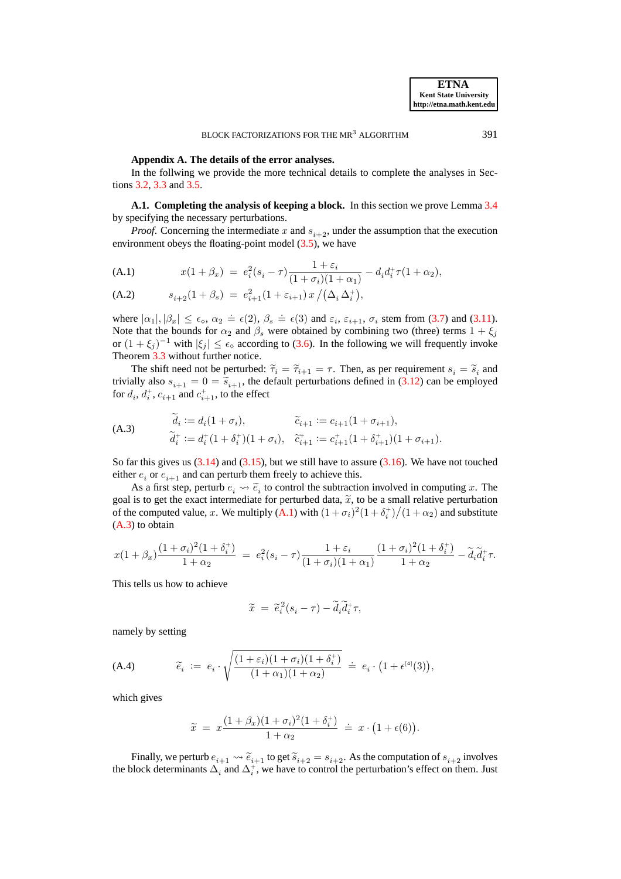### **Appendix A. The details of the error analyses.**

In the follwing we provide the more technical details to complete the analyses in Sections [3.2,](#page-15-1) [3.3](#page-16-0) and [3.5.](#page-19-0)

<span id="page-28-0"></span>**A.1. Completing the analysis of keeping a block.** In this section we prove Lemma [3.4](#page-16-2) by specifying the necessary perturbations.

*Proof.* Concerning the intermediate x and  $s_{i+2}$ , under the assumption that the execution environment obeys the floating-point model [\(3.5\)](#page-12-1), we have

<span id="page-28-1"></span>(A.1) 
$$
x(1+\beta_x) = e_i^2(s_i-\tau)\frac{1+\varepsilon_i}{(1+\sigma_i)(1+\alpha_1)} - d_i d_i^+ \tau (1+\alpha_2),
$$

<span id="page-28-4"></span>(A.2) 
$$
s_{i+2}(1+\beta_s) = e_{i+1}^2(1+\varepsilon_{i+1}) x / (\Delta_i \Delta_i^+),
$$

where  $|\alpha_1|, |\beta_x| \le \epsilon_\diamond$ ,  $\alpha_2 \doteq \epsilon(2), \beta_s \doteq \epsilon(3)$  and  $\varepsilon_i$ ,  $\varepsilon_{i+1}$ ,  $\sigma_i$  stem from [\(3.7\)](#page-13-0) and [\(3.11\)](#page-14-2). Note that the bounds for  $\alpha_2$  and  $\beta_s$  were obtained by combining two (three) terms  $1 + \xi_i$ or  $(1 + \xi_j)^{-1}$  with  $|\xi_j| \leq \epsilon_\diamond$  according to [\(3.6\)](#page-13-2). In the following we will frequently invoke Theorem [3.3](#page-13-3) without further notice.

<span id="page-28-2"></span>The shift need not be perturbed:  $\widetilde{\tau}_i = \widetilde{\tau}_{i+1} = \tau$ . Then, as per requirement  $s_i = \widetilde{s}_i$  and  $s_i$  and  $s_i$  and  $s_i$  and  $s_i$  and  $s_i$  and  $s_i$  and  $s_i$  and  $s_i$  and  $s_i$  and  $s_i$  and  $s_i$  and  $s_i$  and  $s_i$  and  $s$ trivially also  $s_{i+1} = 0 = \tilde{s}_{i+1}$ , the default perturbations defined in [\(3.12\)](#page-14-1) can be employed for  $d_i$ ,  $d_i^+$ ,  $c_{i+1}$  and  $c_{i+1}^+$ , to the effect

(A.3)  
\n
$$
\begin{aligned}\n\tilde{d}_i &:= d_i(1 + \sigma_i), & \tilde{c}_{i+1} &:= c_{i+1}(1 + \sigma_{i+1}), \\
\tilde{d}_i^+ &:= d_i^+(1 + \delta_i^+)(1 + \sigma_i), & \tilde{c}_{i+1}^+ &:= c_{i+1}^+(1 + \delta_{i+1}^+)(1 + \sigma_{i+1}).\n\end{aligned}
$$

So far this gives us  $(3.14)$  and  $(3.15)$ , but we still have to assure  $(3.16)$ . We have not touched either  $e_i$  or  $e_{i+1}$  and can perturb them freely to achieve this.

As a first step, perturb  $e_i \leadsto \tilde{e}_i$  to control the subtraction involved in computing x. The goal is to get the exact intermediate for perturbed data,  $\tilde{x}$ , to be a small relative perturbation of the computed value, x. We multiply  $(A.1)$  with  $(1 + \sigma_i)^2 (1 + \delta_i^+)/(1 + \alpha_2)$  and substitute [\(A.3\)](#page-28-2) to obtain

$$
x(1+\beta_x)\frac{(1+\sigma_i)^2(1+\delta_i^+)}{1+\alpha_2} \;=\; e_i^2(s_i-\tau)\frac{1+\varepsilon_i}{(1+\sigma_i)(1+\alpha_1)}\frac{(1+\sigma_i)^2(1+\delta_i^+)}{1+\alpha_2} - \widetilde{d}_i\widetilde{d}_i^+\tau.
$$

This tells us how to achieve

<span id="page-28-3"></span>
$$
\widetilde{x} = \widetilde{e}_i^2 (s_i - \tau) - \widetilde{d}_i \widetilde{d}_i^+ \tau,
$$

namely by setting

(A.4) 
$$
\widetilde{e}_i \; := \; e_i \cdot \sqrt{\frac{(1+\varepsilon_i)(1+\sigma_i)(1+\delta_i^+)}{(1+\alpha_1)(1+\alpha_2)}} \; \doteq \; e_i \cdot \big(1+\epsilon^{[4]}(3)\big),
$$

which gives

$$
\widetilde{x} = x \frac{(1+\beta_x)(1+\sigma_i)^2(1+\delta_i^+)}{1+\alpha_2} \doteq x \cdot (1+\epsilon(6)).
$$

Finally, we perturb  $e_{i+1} \leadsto \tilde{e}_{i+1}$  to get  $\tilde{s}_{i+2} = s_{i+2}$ . As the computation of  $s_{i+2}$  involves the block determinants  $\Delta_i$  and  $\Delta_i^+$ , we have to control the perturbation's effect on them. Just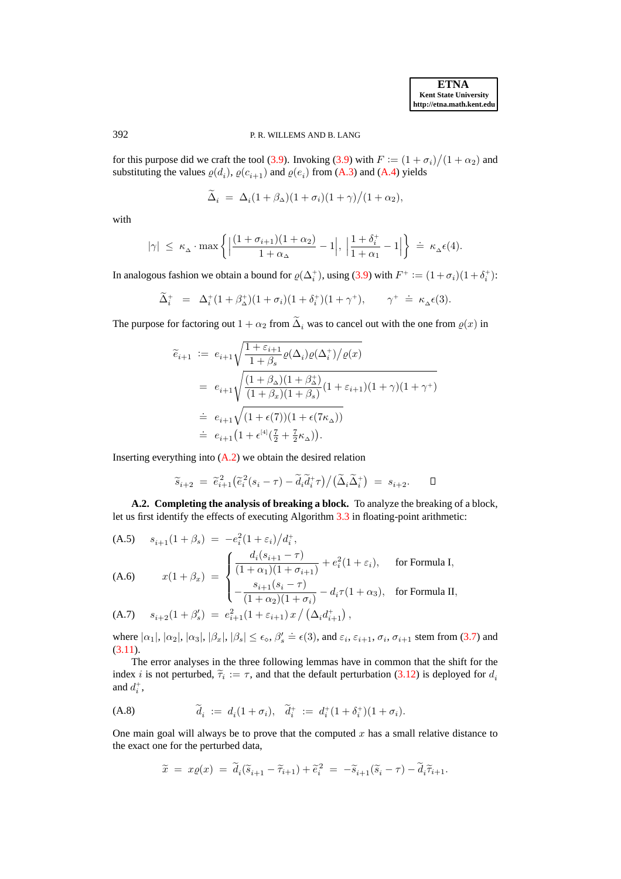# 392 P. R. WILLEMS AND B. LANG

for this purpose did we craft the tool [\(3.9\)](#page-14-3). Invoking (3.9) with  $F := (1 + \sigma_i)/(1 + \alpha_2)$  and substituting the values  $\varrho(d_i)$ ,  $\varrho(c_{i+1})$  and  $\varrho(e_i)$  from [\(A.3\)](#page-28-2) and [\(A.4\)](#page-28-3) yields

$$
\widetilde{\Delta}_i = \Delta_i (1 + \beta_\Delta)(1 + \sigma_i)(1 + \gamma)/(1 + \alpha_2),
$$

with

$$
|\gamma| \ \le \ \kappa_{\scriptscriptstyle \Delta} \cdot \max\left\{\Bigl|\frac{(1+\sigma_{i+1})(1+\alpha_2)}{1+\alpha_{\scriptscriptstyle \Delta}}-1\Bigr|, \ \Bigl|\frac{1+\delta_i^+}{1+\alpha_1}-1\Bigr|\right\} \ \dot{= \ \kappa_{\scriptscriptstyle \Delta}\epsilon(4).
$$

In analogous fashion we obtain a bound for  $\varrho(\Delta_i^+)$ , using [\(3.9\)](#page-14-3) with  $F^+ := (1 + \sigma_i)(1 + \delta_i^+)$ :

$$
\widetilde{\Delta}_i^+ = \Delta_i^+(1+\beta_\Delta^+)(1+\sigma_i)(1+\delta_i^+)(1+\gamma^+), \qquad \gamma^+ \doteq \kappa_\Delta \epsilon(3).
$$

The purpose for factoring out  $1 + \alpha_2$  from  $\Delta_i$  was to cancel out with the one from  $\varrho(x)$  in

$$
\begin{array}{lcl} \widetilde{e}_{i+1} \;:=& \displaystyle e_{i+1}\sqrt{\frac{1+\varepsilon_{i+1}}{1+\beta_s}\varrho(\Delta_i)\varrho(\Delta_i^+)/\varrho(x)} \vspace{3mm} \\ & = & \displaystyle e_{i+1}\sqrt{\frac{(1+\beta_\Delta)(1+\beta_\Delta^+)}{(1+\beta_x)(1+\beta_s)}(1+\varepsilon_{i+1})(1+\gamma)(1+\gamma^+) } \vspace{3mm} \\ & \doteq& \displaystyle e_{i+1}\sqrt{(1+\epsilon(7))(1+\epsilon(7\kappa_\Delta))} \vspace{3mm} \\ & = & \displaystyle e_{i+1}\left(1+\epsilon^{[4]}(\frac{7}{2}+\frac{7}{2}\kappa_\Delta)\right). \end{array}
$$

Inserting everything into  $(A.2)$  we obtain the desired relation

$$
\widetilde{s}_{i+2} = \widetilde{e}_{i+1}^2 \left( \widetilde{e}_i^2 (s_i - \tau) - \widetilde{d}_i \widetilde{d}_i^+ \tau \right) / \left( \widetilde{\Delta}_i \widetilde{\Delta}_i^+ \right) = s_{i+2}. \qquad \Box
$$

<span id="page-29-0"></span>**A.2. Completing the analysis of breaking a block.** To analyze the breaking of a block, let us first identify the effects of executing Algorithm [3.3](#page-17-1) in floating-point arithmetic:

<span id="page-29-1"></span>(A.5) 
$$
s_{i+1}(1+\beta_s) = -e_i^2(1+\varepsilon_i)/d_i^+
$$
,  
\n(A.6)  $x(1+\beta_x) = \begin{cases} \frac{d_i(s_{i+1}-\tau)}{(1+\alpha_1)(1+\sigma_{i+1})} + e_i^2(1+\varepsilon_i), & \text{for Formula I,} \\ -\frac{s_{i+1}(s_i-\tau)}{(1+\alpha_2)(1+\sigma_i)} - d_i\tau(1+\alpha_3), & \text{for Formula II,} \end{cases}$ 

(A.7) 
$$
s_{i+2}(1+\beta'_s) = e_{i+1}^2(1+\varepsilon_{i+1}) x / (\Delta_i d_{i+1}^+),
$$

where  $|\alpha_1|, |\alpha_2|, |\alpha_3|, |\beta_x|, |\beta_s| \le \epsilon_\diamond$ ,  $\beta'_s \doteq \epsilon(3)$ , and  $\varepsilon_i$ ,  $\varepsilon_{i+1}$ ,  $\sigma_i$ ,  $\sigma_{i+1}$  stem from [\(3.7\)](#page-13-0) and [\(3.11\)](#page-14-2).

The error analyses in the three following lemmas have in common that the shift for the index *i* is not perturbed,  $\tilde{\tau}_i := \tau$ , and that the default perturbation [\(3.12\)](#page-14-1) is deployed for  $d_i$ and  $d_i^+$ ,

<span id="page-29-2"></span>(A.8) 
$$
\widetilde{d}_i := d_i(1 + \sigma_i), \quad \widetilde{d}_i^+ := d_i^+(1 + \delta_i^+)(1 + \sigma_i).
$$

One main goal will always be to prove that the computed  $x$  has a small relative distance to the exact one for the perturbed data,

$$
\widetilde{x} = x\varrho(x) = \widetilde{d}_i(\widetilde{s}_{i+1} - \widetilde{\tau}_{i+1}) + \widetilde{e}_i^2 = -\widetilde{s}_{i+1}(\widetilde{s}_i - \tau) - \widetilde{d}_i\widetilde{\tau}_{i+1}.
$$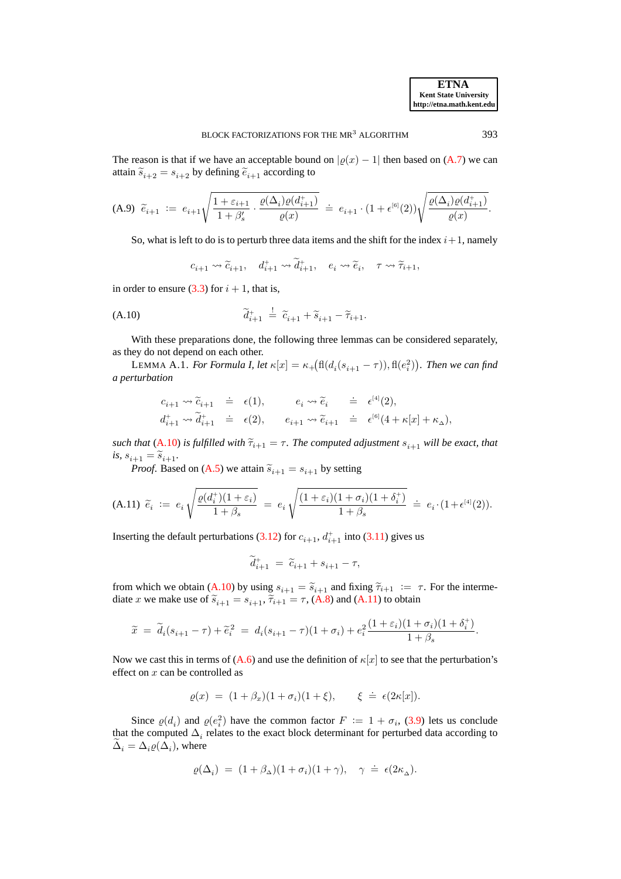The reason is that if we have an acceptable bound on  $|\rho(x) - 1|$  then based on [\(A.7\)](#page-29-1) we can attain  $\widetilde{s}_{i+2} = s_{i+2}$  by defining  $\widetilde{e}_{i+1}$  according to

$$
\text{(A.9) \ } \widetilde{e}_{i+1} \ := \ e_{i+1} \sqrt{\frac{1+\varepsilon_{i+1}}{1+\beta_s'} \cdot \frac{\varrho(\Delta_i) \varrho(d_{i+1}^+)}{\varrho(x)}} \ \ \dot{=} \ \ e_{i+1} \cdot (1+\epsilon^{\scriptscriptstyle[6]}(2)) \sqrt{\frac{\varrho(\Delta_i) \varrho(d_{i+1}^+)}{\varrho(x)}}.
$$

So, what is left to do is to perturb three data items and the shift for the index  $i+1$ , namely

<span id="page-30-3"></span><span id="page-30-1"></span>
$$
c_{i+1} \rightsquigarrow \widetilde{c}_{i+1}, \quad d_{i+1}^+ \rightsquigarrow \widetilde{d}_{i+1}^+, \quad e_i \rightsquigarrow \widetilde{e}_i, \quad \tau \rightsquigarrow \widetilde{\tau}_{i+1},
$$

in order to ensure [\(3.3\)](#page-11-1) for  $i + 1$ , that is,

$$
\widetilde{d}_{i+1}^+ \stackrel{!}{=} \widetilde{c}_{i+1} + \widetilde{s}_{i+1} - \widetilde{\tau}_{i+1}.
$$

With these preparations done, the following three lemmas can be considered separately, as they do not depend on each other.

<span id="page-30-0"></span>LEMMA A.1. *For Formula I, let*  $\kappa[x] = \kappa_+ \big( \text{fl}(d_i(s_{i+1} - \tau)), \text{fl}(e_i^2) \big)$ *. Then we can find a perturbation*

$$
\begin{array}{rclcl} c_{i+1} \leadsto \widetilde{c}_{i+1} & \doteq & \epsilon(1), \qquad & e_i \leadsto \widetilde{e}_i & \doteq & \epsilon^{[4]}(2), \\ d^+_{i+1} \leadsto \widetilde{d}^+_{i+1} & \doteq & \epsilon(2), \qquad e_{i+1} \leadsto \widetilde{e}_{i+1} & \doteq & \epsilon^{[6]}(4+\kappa[x]+\kappa_{\Delta}), \end{array}
$$

*such that* [\(A.10\)](#page-30-1) *is fulfilled with*  $\tilde{\tau}_{i+1} = \tau$ *. The computed adjustment*  $s_{i+1}$  *will be exact, that*  $i\mathbf{s},\,s_{i+1}=\widetilde{s}_{i+1}.$ 

*Proof.* Based on [\(A.5\)](#page-29-1) we attain  $\tilde{s}_{i+1} = s_{i+1}$  by setting

$$
\text{(A.11) $\widetilde{e}_i$ := $e_i \sqrt{\frac{\varrho(d_i^+)(1+\varepsilon_i)}{1+\beta_s}$} = $e_i \sqrt{\frac{(1+\varepsilon_i)(1+\sigma_i)(1+\delta_i^+)}{1+\beta_s}$} \stackrel{.}{=} e_i \cdot (1+\epsilon^{[4]}(2)).
$$

Inserting the default perturbations [\(3.12\)](#page-14-1) for  $c_{i+1}$ ,  $d_{i+1}^+$  into [\(3.11\)](#page-14-2) gives us

<span id="page-30-2"></span>
$$
\widetilde{d}_{i+1}^{+} = \widetilde{c}_{i+1} + s_{i+1} - \tau,
$$

from which we obtain [\(A.10\)](#page-30-1) by using  $s_{i+1} = \tilde{s}_{i+1}$  and fixing  $\tilde{\tau}_{i+1} := \tau$ . For the intermediate x we make use of  $\tilde{s}_{i+1} = s_{i+1}, \tilde{\tau}_{i+1} = \tau$ , [\(A.8\)](#page-29-2) and [\(A.11\)](#page-30-2) to obtain

$$
\widetilde{x} = \widetilde{d}_i (s_{i+1} - \tau) + \widetilde{e}_i^2 = d_i (s_{i+1} - \tau) (1 + \sigma_i) + e_i^2 \frac{(1 + \varepsilon_i)(1 + \sigma_i)(1 + \delta_i^+)}{1 + \beta_s}.
$$

Now we cast this in terms of [\(A.6\)](#page-29-1) and use the definition of  $\kappa[x]$  to see that the perturbation's effect on  $x$  can be controlled as

$$
\varrho(x) = (1+\beta_x)(1+\sigma_i)(1+\xi), \qquad \xi = \epsilon(2\kappa[x]).
$$

Since  $\varrho(d_i)$  and  $\varrho(e_i^2)$  have the common factor  $F := 1 + \sigma_i$ , [\(3.9\)](#page-14-3) lets us conclude that the computed  $\Delta_i$  relates to the exact block determinant for perturbed data according to  $\Delta_i = \Delta_i \varrho(\Delta_i)$ , where

$$
\varrho(\Delta_i) = (1+\beta_\Delta)(1+\sigma_i)(1+\gamma), \quad \gamma \doteq \epsilon(2\kappa_\Delta).
$$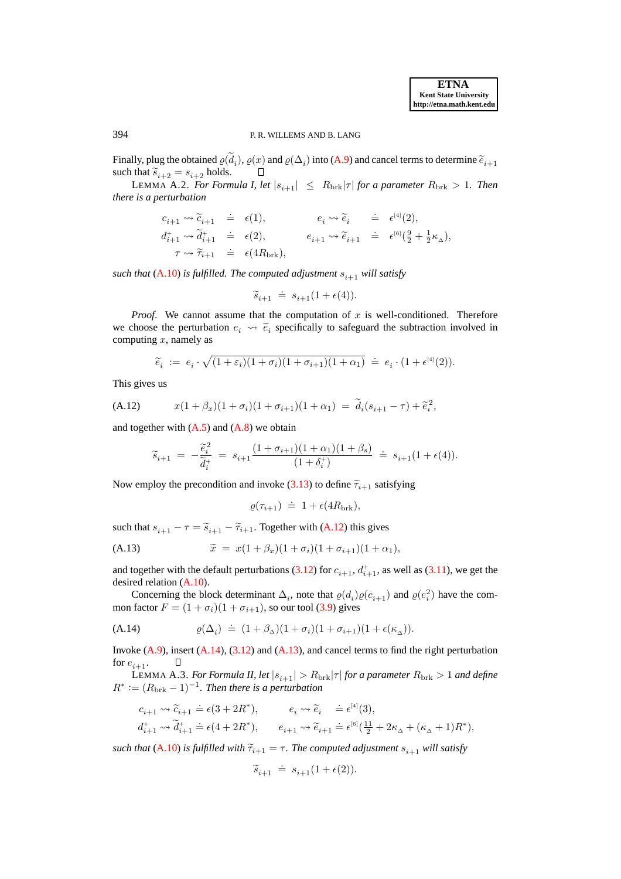# 394 P. R. WILLEMS AND B. LANG

Finally, plug the obtained  $\varrho(d_i)$ ,  $\varrho(x)$  and  $\varrho(\Delta_i)$  into [\(A.9\)](#page-30-3) and cancel terms to determine  $\widetilde{e}_{i+1}$ such that  $\widetilde{s}_{i+2} = s_{i+2}$  holds.

<span id="page-31-0"></span>LEMMA A.2. *For Formula I, let*  $|s_{i+1}| \leq R_{\text{brk}}|\tau|$  *for a parameter*  $R_{\text{brk}} > 1$ *. Then there is a perturbation*

$$
c_{i+1} \rightsquigarrow \widetilde{c}_{i+1} \doteq \epsilon(1), \qquad c_i \rightsquigarrow \widetilde{e}_i \doteq \epsilon^{[4]}(2),
$$
  
\n
$$
d_{i+1}^+ \rightsquigarrow \widetilde{d}_{i+1}^+ \doteq \epsilon(2), \qquad c_{i+1} \rightsquigarrow \widetilde{e}_{i+1} \doteq \epsilon^{[6]}(\frac{9}{2} + \frac{1}{2}\kappa_\Delta),
$$
  
\n
$$
\tau \rightsquigarrow \widetilde{\tau}_{i+1} \doteq \epsilon(4R_{\text{brk}}),
$$

*such that* [\(A.10\)](#page-30-1) *is fulfilled. The computed adjustment*  $s_{i+1}$  *will satisfy* 

$$
\widetilde{s}_{i+1} \ \doteq \ s_{i+1}(1+\epsilon(4)).
$$

*Proof.* We cannot assume that the computation of  $x$  is well-conditioned. Therefore we choose the perturbation  $e_i \leadsto \tilde{e}_i$  specifically to safeguard the subtraction involved in computing  $x$ , namely as

<span id="page-31-2"></span>
$$
\widetilde{e}_i \ := \ e_i \cdot \sqrt{(1+\varepsilon_i)(1+\sigma_i)(1+\sigma_{i+1})(1+\alpha_1)} \ \doteq \ e_i \cdot (1+\epsilon^{[4]}(2)).
$$

This gives us

(A.12) 
$$
x(1+\beta_x)(1+\sigma_i)(1+\sigma_{i+1})(1+\alpha_1) = \tilde{d}_i(s_{i+1}-\tau) + \tilde{e}_i^2,
$$

and together with  $(A.5)$  and  $(A.8)$  we obtain

$$
\widetilde{s}_{i+1} = -\frac{\widetilde{e}_i^2}{\widetilde{d}_i^+} = s_{i+1} \frac{(1+\sigma_{i+1})(1+\alpha_1)(1+\beta_s)}{(1+\delta_i^+)} \doteq s_{i+1}(1+\epsilon(4)).
$$

Now employ the precondition and invoke [\(3.13\)](#page-15-2) to define  $\tilde{\tau}_{i+1}$  satisfying

<span id="page-31-4"></span><span id="page-31-3"></span>
$$
\varrho(\tau_{i+1}) \doteq 1 + \epsilon(4R_{\text{brk}}),
$$

such that  $s_{i+1} - \tau = \tilde{s}_{i+1} - \tilde{\tau}_{i+1}$ . Together with [\(A.12\)](#page-31-2) this gives

(A.13) 
$$
\widetilde{x} = x(1+\beta_x)(1+\sigma_i)(1+\sigma_{i+1})(1+\alpha_1),
$$

and together with the default perturbations [\(3.12\)](#page-14-1) for  $c_{i+1}$ ,  $d_{i+1}^+$ , as well as [\(3.11\)](#page-14-2), we get the desired relation [\(A.10\)](#page-30-1).

Concerning the block determinant  $\Delta_i$ , note that  $\varrho(d_i)\varrho(c_{i+1})$  and  $\varrho(e_i^2)$  have the common factor  $F = (1 + \sigma_i)(1 + \sigma_{i+1})$ , so our tool [\(3.9\)](#page-14-3) gives

(A.14) 
$$
\varrho(\Delta_i) \doteq (1+\beta_\Delta)(1+\sigma_i)(1+\sigma_{i+1})(1+\epsilon(\kappa_\Delta)).
$$

Invoke  $(A.9)$ , insert  $(A.14)$ ,  $(3.12)$  and  $(A.13)$ , and cancel terms to find the right perturbation for  $e_{i+1}$ . Л

<span id="page-31-1"></span>LEMMA A.3. *For Formula II, let*  $|s_{i+1}| > R_{\text{brk}}/\tau$  *for a parameter*  $R_{\text{brk}} > 1$  *and define*  $R^* \coloneqq (R_{\text{brk}} - 1)^{-1}$ . Then there is a perturbation

$$
\begin{aligned} &c_{i+1} \leadsto \widetilde{c}_{i+1} \doteq \epsilon (3+2R^*), \qquad &&e_i \leadsto \widetilde{e}_i &&\doteq \epsilon^{[4]}(3),\\ &d_{i+1}^+ \leadsto \widetilde{d}_{i+1}^+ \doteq \epsilon (4+2R^*), \qquad e_{i+1} \leadsto \widetilde{e}_{i+1} \doteq \epsilon^{[6]}(\tfrac{11}{2}+2\kappa_{\scriptscriptstyle \Delta} + (\kappa_{\scriptscriptstyle \Delta}+1)R^*), \end{aligned}
$$

*such that* [\(A.10\)](#page-30-1) *is fulfilled with*  $\tilde{\tau}_{i+1} = \tau$ . The computed adjustment  $s_{i+1}$  will satisfy

$$
\widetilde{s}_{i+1} \ \doteq \ s_{i+1}(1+\epsilon(2)).
$$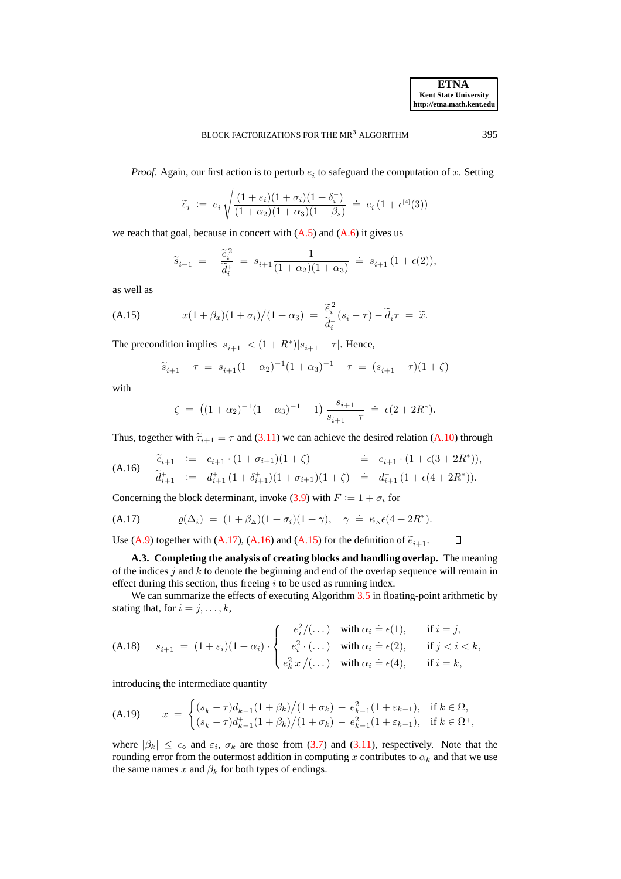*Proof.* Again, our first action is to perturb  $e_i$  to safeguard the computation of x. Setting

$$
\widetilde{e}_i \; := \; e_i \, \sqrt{\frac{(1+\varepsilon_i)(1+\sigma_i)(1+\delta_i^+)}{(1+\alpha_2)(1+\alpha_3)(1+\beta_s)}} \; \doteq \; e_i \, (1+\epsilon^{^{[4]}}(3))
$$

we reach that goal, because in concert with  $(A.5)$  and  $(A.6)$  it gives us

<span id="page-32-3"></span>
$$
\widetilde{s}_{i+1} \;=\; -\frac{\widetilde{e}_i^{\,2}}{\widetilde{d}_i^{\,+\,}}\;=\; s_{i+1} \frac{1}{(1+\alpha_2)(1+\alpha_3)}\;\doteq\; s_{i+1}\,(1+\epsilon(2)),
$$

as well as

(A.15) 
$$
x(1+\beta_x)(1+\sigma_i)/(1+\alpha_3) = \frac{\tilde{e}_i^2}{\tilde{d}_i^+(s_i-\tau)} - \tilde{d}_i\tau = \tilde{x}.
$$

The precondition implies  $|s_{i+1}| < (1 + R^*)|s_{i+1} - \tau|$ . Hence,

$$
\widetilde{s}_{i+1} - \tau \ = \ s_{i+1} (1+\alpha_2)^{-1} (1+\alpha_3)^{-1} - \tau \ = \ (s_{i+1} - \tau)(1+\zeta)
$$

with

<span id="page-32-1"></span>
$$
\zeta = ((1+\alpha_2)^{-1}(1+\alpha_3)^{-1} - 1) \frac{s_{i+1}}{s_{i+1} - \tau} \doteq \epsilon (2 + 2R^*).
$$

Thus, together with  $\tilde{\tau}_{i+1} = \tau$  and [\(3.11\)](#page-14-2) we can achieve the desired relation [\(A.10\)](#page-30-1) through

(A.16) 
$$
\begin{array}{rcl}\n\widetilde{c}_{i+1} & := & c_{i+1} \cdot (1 + \sigma_{i+1})(1 + \zeta) & \stackrel{\cdot}{=} & c_{i+1} \cdot (1 + \epsilon (3 + 2R^*)), \\
\widetilde{d}_{i+1}^+ & := & d_{i+1}^+ (1 + \delta_{i+1}^+)(1 + \sigma_{i+1})(1 + \zeta) & \stackrel{\cdot}{=} & d_{i+1}^+ (1 + \epsilon (4 + 2R^*)).\n\end{array}
$$

Concerning the block determinant, invoke [\(3.9\)](#page-14-3) with  $F := 1 + \sigma_i$  for

(A.17) 
$$
\varrho(\Delta_i) = (1+\beta_{\Delta})(1+\sigma_i)(1+\gamma), \quad \gamma = \kappa_{\Delta}\epsilon(4+2R^*).
$$

<span id="page-32-0"></span>Use [\(A.9\)](#page-30-3) together with [\(A.17\)](#page-32-1), [\(A.16\)](#page-32-2) and [\(A.15\)](#page-32-3) for the definition of  $\tilde{e}_{i+1}$ .  $\Box$ 

**A.3. Completing the analysis of creating blocks and handling overlap.** The meaning of the indices j and  $k$  to denote the beginning and end of the overlap sequence will remain in effect during this section, thus freeing  $i$  to be used as running index.

We can summarize the effects of executing Algorithm [3.5](#page-22-1) in floating-point arithmetic by stating that, for  $i = j, \ldots, k$ ,

<span id="page-32-4"></span>(A.18) 
$$
s_{i+1} = (1+\varepsilon_i)(1+\alpha_i) \cdot \begin{cases} e_i^2/(\dots) & \text{with } \alpha_i = \epsilon(1), & \text{if } i = j, \\ e_i^2 \cdot (\dots) & \text{with } \alpha_i = \epsilon(2), & \text{if } j < i < k, \\ e_k^2 x/(\dots) & \text{with } \alpha_i = \epsilon(4), & \text{if } i = k, \end{cases}
$$

<span id="page-32-5"></span>introducing the intermediate quantity

(A.19) 
$$
x = \begin{cases} (s_k - \tau)d_{k-1}(1+\beta_k)/(1+\sigma_k) + e_{k-1}^2(1+\varepsilon_{k-1}), & \text{if } k \in \Omega, \\ (s_k - \tau)d_{k-1}^+(1+\beta_k)/(1+\sigma_k) - e_{k-1}^2(1+\varepsilon_{k-1}), & \text{if } k \in \Omega^+, \end{cases}
$$

where  $|\beta_k| \leq \epsilon_{\diamond}$  and  $\varepsilon_i$ ,  $\sigma_k$  are those from [\(3.7\)](#page-13-0) and [\(3.11\)](#page-14-2), respectively. Note that the rounding error from the outermost addition in computing x contributes to  $\alpha_k$  and that we use the same names x and  $\beta_k$  for both types of endings.

<span id="page-32-2"></span>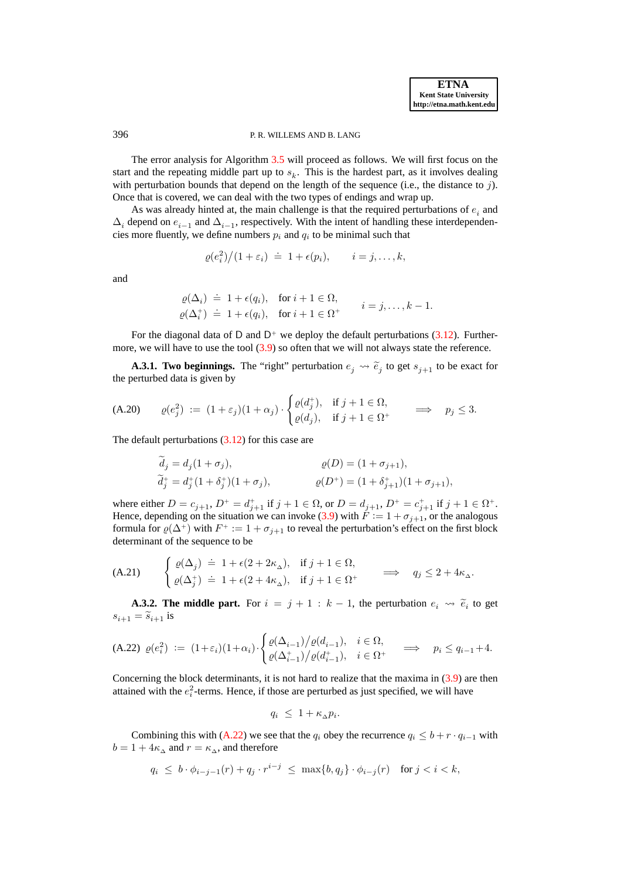# 396 P. R. WILLEMS AND B. LANG

The error analysis for Algorithm [3.5](#page-22-1) will proceed as follows. We will first focus on the start and the repeating middle part up to  $s_k$ . This is the hardest part, as it involves dealing with perturbation bounds that depend on the length of the sequence (i.e., the distance to  $j$ ). Once that is covered, we can deal with the two types of endings and wrap up.

As was already hinted at, the main challenge is that the required perturbations of  $e_i$  and  $\Delta_i$  depend on  $e_{i-1}$  and  $\Delta_{i-1}$ , respectively. With the intent of handling these interdependencies more fluently, we define numbers  $p_i$  and  $q_i$  to be minimal such that

$$
\varrho(e_i^2)/(1+\varepsilon_i) \doteq 1+\epsilon(p_i), \qquad i=j,\ldots,k,
$$

and

<span id="page-33-3"></span>
$$
\begin{array}{rcl}\n\varrho(\Delta_i) & \doteq& 1 + \epsilon(q_i), \quad \text{for } i + 1 \in \Omega, \\
\varrho(\Delta_i^+) & \doteq& 1 + \epsilon(q_i), \quad \text{for } i + 1 \in \Omega^+ \quad \text{if } i = j, \dots, k - 1.\n\end{array}
$$

For the diagonal data of D and  $D^+$  we deploy the default perturbations [\(3.12\)](#page-14-1). Furthermore, we will have to use the tool  $(3.9)$  so often that we will not always state the reference.

**A.3.1. Two beginnings.** The "right" perturbation  $e_j \leadsto \tilde{e}_j$  to get  $s_{j+1}$  to be exact for the perturbed data is given by

(A.20) 
$$
\varrho(e_j^2) := (1+\varepsilon_j)(1+\alpha_j) \cdot \begin{cases} \varrho(d_j^+), & \text{if } j+1 \in \Omega, \\ \varrho(d_j), & \text{if } j+1 \in \Omega^+ \end{cases} \implies p_j \le 3.
$$

The default perturbations  $(3.12)$  for this case are

<span id="page-33-2"></span>
$$
\begin{aligned}\n\widetilde{d}_j &= d_j(1 + \sigma_j), & \varrho(D) &= (1 + \sigma_{j+1}), \\
\widetilde{d}_j^+ &= d_j^+(1 + \delta_j^+)(1 + \sigma_j), & \varrho(D^+) &= (1 + \delta_{j+1}^+)(1 + \sigma_{j+1}),\n\end{aligned}
$$

where either  $D = c_{j+1}$ ,  $D^+ = d_{j+1}^+$  if  $j + 1 \in \Omega$ , or  $D = d_{j+1}$ ,  $D^+ = c_{j+1}^+$  if  $j + 1 \in \Omega^+$ . Hence, depending on the situation we can invoke [\(3.9\)](#page-14-3) with  $\tilde{F} := 1 + \sigma_{j+1}$ , or the analogous formula for  $\varrho(\Delta^+)$  with  $F^+ := 1 + \sigma_{j+1}$  to reveal the perturbation's effect on the first block determinant of the sequence to be

(A.21) 
$$
\begin{cases} \varrho(\Delta_j) \doteq 1 + \epsilon(2 + 2\kappa_\Delta), & \text{if } j + 1 \in \Omega, \\ \varrho(\Delta_j^+) \doteq 1 + \epsilon(2 + 4\kappa_\Delta), & \text{if } j + 1 \in \Omega^+ \end{cases} \implies q_j \le 2 + 4\kappa_\Delta.
$$

<span id="page-33-1"></span><span id="page-33-0"></span>**A.3.2. The middle part.** For  $i = j + 1 : k - 1$ , the perturbation  $e_i \leadsto \tilde{e}_i$  to get  $s_{i+1} = \widetilde{s}_{i+1}$  is

$$
\text{(A.22) } \varrho(e_i^2) := (1+\varepsilon_i)(1+\alpha_i) \cdot \begin{cases} \varrho(\Delta_{i-1})/\varrho(d_{i-1}), & i \in \Omega, \\ \varrho(\Delta_{i-1}^+)/\varrho(d_{i-1}^+), & i \in \Omega^+ \end{cases} \implies p_i \le q_{i-1}+4.
$$

Concerning the block determinants, it is not hard to realize that the maxima in  $(3.9)$  are then attained with the  $e_i^2$ -terms. Hence, if those are perturbed as just specified, we will have

$$
q_i \leq 1 + \kappa_\Delta p_i.
$$

Combining this with [\(A.22\)](#page-33-1) we see that the  $q_i$  obey the recurrence  $q_i \leq b + r \cdot q_{i-1}$  with  $b = 1 + 4\kappa_{\alpha}$  and  $r = \kappa_{\alpha}$ , and therefore

$$
q_i \leq b \cdot \phi_{i-j-1}(r) + q_j \cdot r^{i-j} \leq \max\{b, q_j\} \cdot \phi_{i-j}(r) \quad \text{for } j < i < k,
$$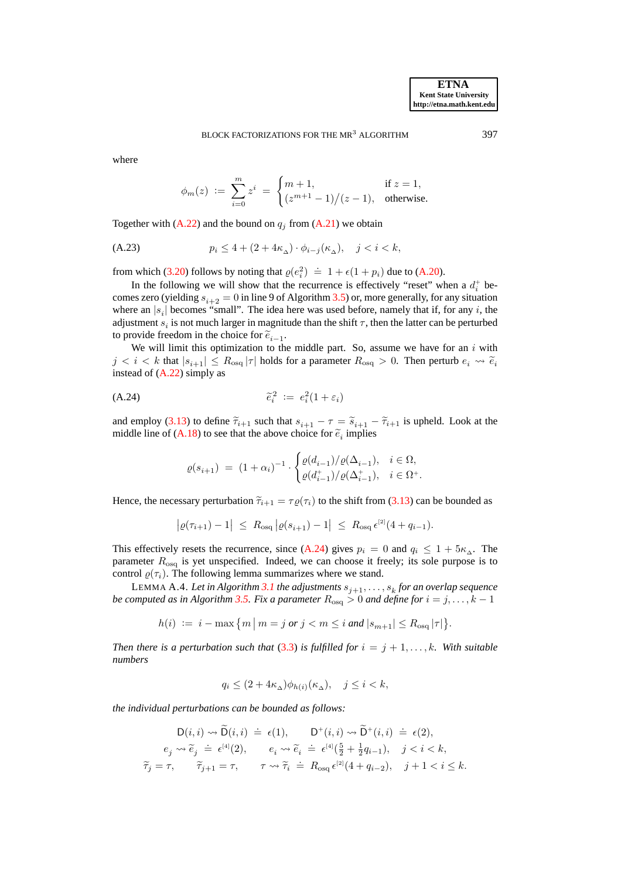where

$$
\phi_m(z) \ := \ \sum_{i=0}^m z^i \ = \ \begin{cases} m+1, & \text{if } z = 1, \\ (z^{m+1}-1)/(z-1), & \text{otherwise.} \end{cases}
$$

Together with  $(A.22)$  and the bound on  $q_j$  from  $(A.21)$  we obtain

(A.23) 
$$
p_i \le 4 + (2 + 4\kappa_\Delta) \cdot \phi_{i-j}(\kappa_\Delta), \quad j < i < k,
$$

from which [\(3.20\)](#page-22-2) follows by noting that  $\varrho(e_i^2) \doteq 1 + \epsilon(1 + p_i)$  due to [\(A.20\)](#page-33-3).

In the following we will show that the recurrence is effectively "reset" when a  $d_i^+$  becomes zero (yielding  $s_{i+2} = 0$  in line 9 of Algorithm [3.5\)](#page-22-1) or, more generally, for any situation where an  $|s_i|$  becomes "small". The idea here was used before, namely that if, for any i, the adjustment  $s_i$  is not much larger in magnitude than the shift  $\tau$ , then the latter can be perturbed to provide freedom in the choice for  $\tilde{e}_{i-1}$ .

We will limit this optimization to the middle part. So, assume we have for an  $i$  with  $j < i < k$  that  $|s_{i+1}| \leq R_{\text{osq}} |\tau|$  holds for a parameter  $R_{\text{osq}} > 0$ . Then perturb  $e_i \leadsto \tilde{e}_i$ instead of [\(A.22\)](#page-33-1) simply as

$$
\widetilde{e}_i^2 := e_i^2(1 + \varepsilon_i)
$$

and employ [\(3.13\)](#page-15-2) to define  $\tilde{\tau}_{i+1}$  such that  $s_{i+1} - \tau = \tilde{s}_{i+1} - \tilde{\tau}_{i+1}$  is upheld. Look at the middle line of [\(A.18\)](#page-32-4) to see that the above choice for  $\tilde{e}_i$  implies

<span id="page-34-2"></span>
$$
\varrho(s_{i+1}) \; = \; (1+\alpha_i)^{-1} \cdot \begin{cases} \varrho(d_{i-1})/\varrho(\Delta_{i-1}), & i \in \Omega, \\ \varrho(d_{i-1}^+)/\varrho(\Delta_{i-1}^+), & i \in \Omega^+. \end{cases}
$$

Hence, the necessary perturbation  $\tilde{\tau}_{i+1} = \tau \varrho(\tau_i)$  to the shift from [\(3.13\)](#page-15-2) can be bounded as

$$
\big|\varrho(\tau_{i+1})-1\big| \ \leq \ R_{\text{osq}}\, \big|\varrho(s_{i+1})-1\big| \ \leq \ R_{\text{osq}}\, \epsilon^{\text{[2]}}(4+q_{i-1}).
$$

This effectively resets the recurrence, since [\(A.24\)](#page-34-2) gives  $p_i = 0$  and  $q_i \leq 1 + 5\kappa_{\Delta}$ . The parameter  $R_{\text{osq}}$  is yet unspecified. Indeed, we can choose it freely; its sole purpose is to control  $\varrho(\tau_i)$ . The following lemma summarizes where we stand.

<span id="page-34-1"></span> $\tt LEMMA A.4.$  *Let in Algorithm [3.1](#page-11-0) the adjustments*  $s_{j+1},\ldots,s_k$  *for an overlap sequence be computed as in Algorithm* [3.5.](#page-22-1) Fix a parameter  $R_{\text{osq}} > 0$  and define for  $i = j, \ldots, k - 1$ 

$$
h(i) \ := \ i - \max \big\{ m \, \big| \, m = j \text{ or } j < m \leq i \text{ and } |s_{m+1}| \leq R_{\text{osq}} \, |\tau| \big\}.
$$

*Then there is a perturbation such that* [\(3.3\)](#page-11-1) *is fulfilled for*  $i = j + 1, \ldots, k$ *. With suitable numbers*

$$
q_i \le (2 + 4\kappa_\Delta)\phi_{h(i)}(\kappa_\Delta), \quad j \le i < k,
$$

*the individual perturbations can be bounded as follows:*

$$
\begin{array}{rl} \mathsf{D}(i,i)\leadsto \widetilde{\mathsf{D}}(i,i)\ \doteq\ \epsilon(1),\qquad \mathsf{D}^+(i,i)\leadsto \widetilde{\mathsf{D}}^+(i,i)\ \doteq\ \epsilon(2),\\ e_j\leadsto \widetilde{e}_j\ \doteq\ \epsilon^{[4]}(2),\qquad e_i\leadsto \widetilde{e}_i\ \doteq\ \epsilon^{[4]}(\tfrac{5}{2}+\tfrac{1}{2}q_{i-1}),\quad j
$$

<span id="page-34-0"></span>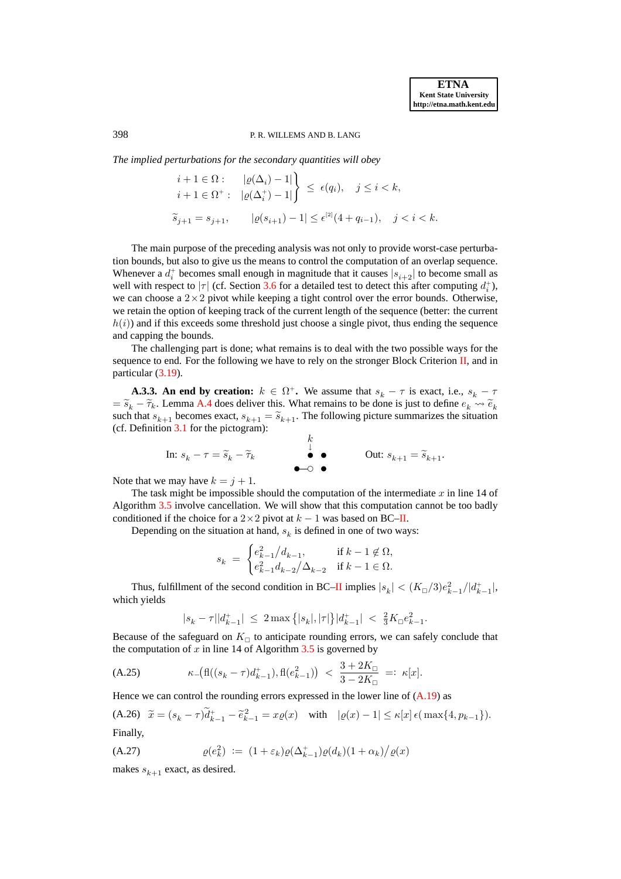# 398 P. R. WILLEMS AND B. LANG

*The implied perturbations for the secondary quantities will obey*

$$
\begin{aligned}\ni+1&\in\Omega:\quad\quad &|\varrho(\Delta_i)-1|\\i+1&\in\Omega^+:\quad &|\varrho(\Delta_i^+)-1|\end{aligned}\bigg\}\leq\ \epsilon(q_i),\quad j\leq i
$$

The main purpose of the preceding analysis was not only to provide worst-case perturbation bounds, but also to give us the means to control the computation of an overlap sequence. Whenever a  $d_i^+$  becomes small enough in magnitude that it causes  $|s_{i+2}|$  to become small as well with respect to  $|\tau|$  (cf. Section [3.6](#page-22-0) for a detailed test to detect this after computing  $d_i^+$ ), we can choose a  $2\times 2$  pivot while keeping a tight control over the error bounds. Otherwise, we retain the option of keeping track of the current length of the sequence (better: the current  $h(i)$ ) and if this exceeds some threshold just choose a single pivot, thus ending the sequence and capping the bounds.

The challenging part is done; what remains is to deal with the two possible ways for the sequence to end. For the following we have to rely on the stronger Block Criterion [II,](#page-20-1) and in particular [\(3.19\)](#page-20-2).

**A.3.3.** An end by creation:  $k \in \Omega^+$ . We assume that  $s_k - \tau$  is exact, i.e.,  $s_k - \tau$  $= \tilde{s}_k - \tilde{\tau}_k$ . Lemma [A.4](#page-34-1) does deliver this. What remains to be done is just to define  $e_k \leadsto \tilde{e}_k$ such that  $s_{k+1}$  becomes exact,  $s_{k+1} = \tilde{s}_{k+1}$ . The following picture summarizes the situation (cf. Definition [3.1](#page-9-1) for the pictogram):

In: 
$$
s_k - \tau = \widetilde{s}_k - \widetilde{\tau}_k
$$
  
\n $\overset{k}{\bullet}$   
\nOut:  $s_{k+1} = \widetilde{s}_{k+1}$ .

Note that we may have  $k = j + 1$ .

The task might be impossible should the computation of the intermediate  $x$  in line 14 of Algorithm [3.5](#page-22-1) involve cancellation. We will show that this computation cannot be too badly conditioned if the choice for a  $2 \times 2$  pivot at  $k - 1$  was based on BC[–II.](#page-20-1)

Depending on the situation at hand,  $s_k$  is defined in one of two ways:

<span id="page-35-1"></span><span id="page-35-0"></span>
$$
s_k \; = \; \begin{cases} e_{k-1}^2 \big/ d_{k-1}, & \text{if $k-1 \not\in \Omega$}, \\ e_{k-1}^2 d_{k-2} \big/ \Delta_{k-2} & \text{if $k-1 \in \Omega$}. \end{cases}
$$

Thus, fulfillment of the second condition in BC[–II](#page-20-1) implies  $|s_k| < (K_{\Box}/3)e_{k-1}^2/|d_{k-1}^+|$ , which yields

$$
|s_k - \tau| |d^+_{k-1}| \ \le \ 2 \max\left\{ |s_k|, |\tau| \right\} \! |d^+_{k-1}| \ < \ \tfrac{2}{3} K_\Box e_{k-1}^2.
$$

Because of the safeguard on  $K_{\square}$  to anticipate rounding errors, we can safely conclude that the computation of  $x$  in line 14 of Algorithm  $3.5$  is governed by

(A.25) 
$$
\kappa_{-}(\mathrm{fl}((s_{k}-\tau)d_{k-1}^+),\mathrm{fl}(e_{k-1}^2)) < \frac{3+2K_{\square}}{3-2K_{\square}} =: \kappa[x].
$$

Hence we can control the rounding errors expressed in the lower line of  $(A.19)$  as

(A.26) 
$$
\tilde{x} = (s_k - \tau)\tilde{d}_{k-1}^+ - \tilde{e}_{k-1}^2 = x\varrho(x)
$$
 with  $|\varrho(x) - 1| \le \kappa[x] \epsilon(\max\{4, p_{k-1}\})$ .  
Finally,

<span id="page-35-2"></span>(A.27) 
$$
\varrho(e_k^2) := (1 + \varepsilon_k) \varrho(\Delta_{k-1}^+) \varrho(d_k) (1 + \alpha_k) / \varrho(x)
$$

makes  $s_{k+1}$  exact, as desired.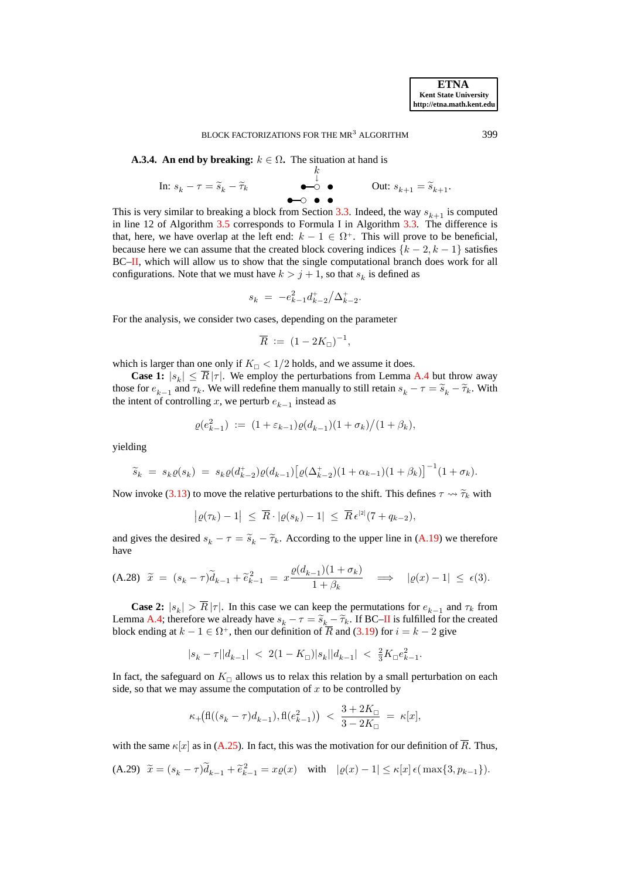**A.3.4.** An end by breaking:  $k \in \Omega$ . The situation at hand is

$$
\text{In: } s_k - \tau = \widetilde{s}_k - \widetilde{\tau}_k \qquad \qquad \overset{k}{\overset{\downarrow}{\bullet}} \qquad \qquad \text{Out: } s_{k+1} = \widetilde{s}_{k+1}.
$$

This is very similar to breaking a block from Section [3.3.](#page-16-0) Indeed, the way  $s_{k+1}$  is computed in line 12 of Algorithm [3.5](#page-22-1) corresponds to Formula I in Algorithm [3.3.](#page-17-1) The difference is that, here, we have overlap at the left end:  $k - 1 \in \Omega^+$ . This will prove to be beneficial, because here we can assume that the created block covering indices  $\{k-2, k-1\}$  satisfies BC[–II,](#page-20-1) which will allow us to show that the single computational branch does work for all configurations. Note that we must have  $k > j + 1$ , so that  $s_k$  is defined as

$$
s_k \ = \ - e_{k-1}^2 d_{k-2}^+ \big/ \Delta_{k-2}^+.
$$

For the analysis, we consider two cases, depending on the parameter

$$
\overline{R} := (1 - 2K_{\square})^{-1},
$$

which is larger than one only if  $K_{\Box} < 1/2$  holds, and we assume it does.

**Case 1:**  $|s_k| \leq R |\tau|$ . We employ the perturbations from Lemma [A.4](#page-34-1) but throw away those for  $e_{k-1}$  and  $\tau_k$ . We will redefine them manually to still retain  $s_k - \tau = \tilde{s}_k - \tilde{\tau}_k$ . With the intent of controlling x, we perturb  $e_{k-1}$  instead as

$$
\varrho(e_{k-1}^2) := (1 + \varepsilon_{k-1})\varrho(d_{k-1})(1 + \sigma_k)/(1 + \beta_k),
$$

yielding

$$
\widetilde{s}_k = s_k \varrho(s_k) = s_k \varrho(d_{k-2}^+) \varrho(d_{k-1}) \big[ \varrho(\Delta_{k-2}^+) (1 + \alpha_{k-1}) (1 + \beta_k) \big]^{-1} (1 + \sigma_k).
$$

Now invoke [\(3.13\)](#page-15-2) to move the relative perturbations to the shift. This defines  $\tau \rightarrow \tilde{\tau}_k$  with

$$
\big|\varrho(\tau_k)-1\big| \ \leq \ \overline{R}\cdot|\varrho(s_k)-1| \ \leq \ \overline{R}\,\epsilon^{[2]}(7+q_{k-2}),
$$

<span id="page-36-0"></span>and gives the desired  $s_k - \tau = \tilde{s}_k - \tilde{\tau}_k$ . According to the upper line in [\(A.19\)](#page-32-5) we therefore have

$$
\text{(A.28)} \quad \widetilde{x} \ = \ (s_k - \tau) \widetilde{d}_{k-1} + \widetilde{e}_{k-1}^2 \ = \ x \frac{\varrho(d_{k-1})(1+\sigma_k)}{1+\beta_k} \quad \Longrightarrow \quad |\varrho(x)-1| \ \leq \ \epsilon(3).
$$

**Case 2:**  $|s_k| > R |\tau|$ . In this case we can keep the permutations for  $e_{k-1}$  and  $\tau_k$  from Lemma [A.4;](#page-34-1) therefore we already have  $s_k - \tau = \tilde{s}_k - \tilde{\tau}_k$ . If BC[–II](#page-20-1) is fulfilled for the created<br>black and in a t k = 1.5 O<sup>+</sup> than any definition of  $\overline{B}$  and (2.10) fan is skep 2 since block ending at  $k - 1 \in \Omega^+$ , then our definition of R and [\(3.19\)](#page-20-2) for  $i = k - 2$  give

$$
|s_k-\tau||d_{k-1}| \ < \ 2(1-K_{\Box})|s_k||d_{k-1}| \ < \ \tfrac23 K_{\Box} e_{k-1}^2.
$$

In fact, the safeguard on  $K_{\square}$  allows us to relax this relation by a small perturbation on each side, so that we may assume the computation of  $x$  to be controlled by

<span id="page-36-1"></span>
$$
\kappa_+\big(\text{fl}((s_k-\tau)d_{k-1}),\text{fl}(e_{k-1}^2)\big) \ < \ \frac{3+2K_\square}{3-2K_\square} \ = \ \kappa[x],
$$

with the same  $\kappa[x]$  as in [\(A.25\)](#page-35-0). In fact, this was the motivation for our definition of  $\overline{R}$ . Thus,

(A.29) 
$$
\tilde{x} = (s_k - \tau)\tilde{d}_{k-1} + \tilde{e}_{k-1}^2 = x\varrho(x)
$$
 with  $|\varrho(x) - 1| \le \kappa[x] \epsilon(\max\{3, p_{k-1}\}).$